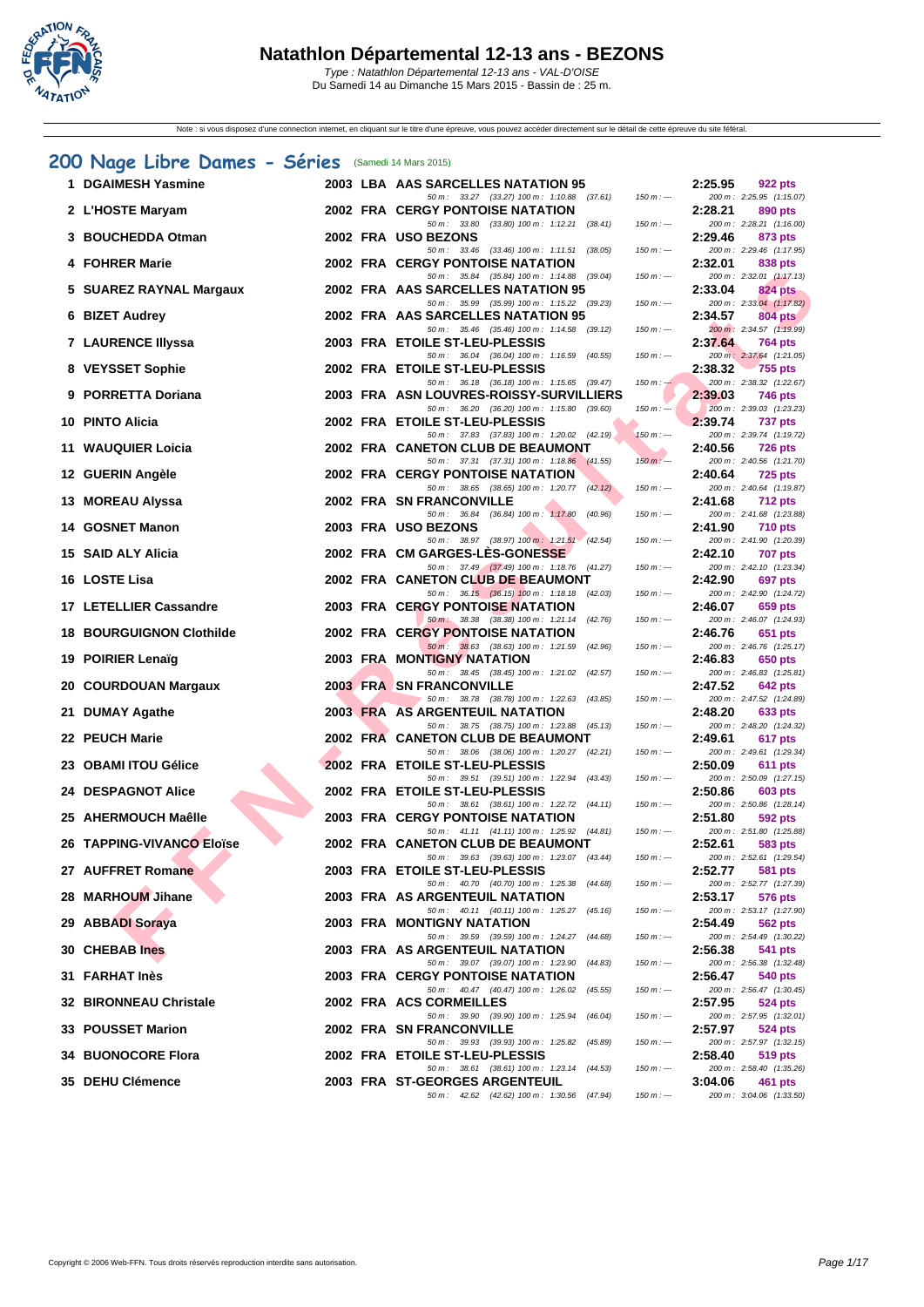

Note : si vous disposez d'une connection internet, en cliquant sur le titre d'une épreuve, vous pouvez accéder directement sur le détail de cette épreuve du site féféral.

# **[200 N](http://www.ffnatation.fr/webffn/index.php)age Libre Dames - Séries** (Samedi 14 Mars 2015)

| 1 DGAIMESH Yasmine              |  | 2003 LBA AAS SARCELLES NATATION 95                                                         |             | 2:25.95 | 922 pts                                    |
|---------------------------------|--|--------------------------------------------------------------------------------------------|-------------|---------|--------------------------------------------|
| 2 L'HOSTE Maryam                |  | 50 m: 33.27 (33.27) 100 m: 1:10.88 (37.61)<br><b>2002 FRA CERGY PONTOISE NATATION</b>      | $150 m: -$  | 2:28.21 | 200 m: 2:25.95 (1:15.07)<br>890 pts        |
| 3 BOUCHEDDA Otman               |  | 50 m: 33.80 (33.80) 100 m: 1:12.21 (38.41)<br>2002 FRA USO BEZONS                          | $150 m: -$  | 2:29.46 | 200 m: 2:28.21 (1:16.00)<br>873 pts        |
| 4 FOHRER Marie                  |  | 50 m: 33.46 (33.46) 100 m: 1:11.51 (38.05)<br><b>2002 FRA CERGY PONTOISE NATATION</b>      | $150 m : -$ | 2:32.01 | 200 m: 2:29.46 (1:17.95)<br>838 pts        |
| 5 SUAREZ RAYNAL Margaux         |  | 50 m: 35.84 (35.84) 100 m: 1:14.88 (39.04)<br>2002 FRA AAS SARCELLES NATATION 95           | $150 m: -$  | 2:33.04 | 200 m: 2:32.01 (1:17.13)<br>824 pts        |
| 6 BIZET Audrey                  |  | 50 m: 35.99 (35.99) 100 m: 1:15.22 (39.23)<br>2002 FRA AAS SARCELLES NATATION 95           | $150 m: -$  | 2:34.57 | 200 m: 2:33.04 (1:17.82)<br><b>804 pts</b> |
| <b>7 LAURENCE Illyssa</b>       |  | 50 m: 35.46 (35.46) 100 m: 1:14.58 (39.12)<br>2003 FRA ETOILE ST-LEU-PLESSIS               | $150 m: -$  | 2:37.64 | 200 m: 2:34.57 (1:19.99)<br><b>764 pts</b> |
|                                 |  | 50 m: 36.04 (36.04) 100 m: 1:16.59 (40.55)                                                 | $150 m: -$  |         | 200 m: 2:37.64 (1:21.05)                   |
| 8 VEYSSET Sophie                |  | 2002 FRA ETOILE ST-LEU-PLESSIS<br>50 m: 36.18 (36.18) 100 m: 1:15.65 (39.47)               | $150 m : -$ | 2:38.32 | 755 pts<br>200 m: 2:38.32 (1:22.67)        |
| 9 PORRETTA Doriana              |  | 2003 FRA ASN LOUVRES-ROISSY-SURVILLIERS<br>50 m : 36.20 (36.20) 100 m : 1:15.80 (39.60)    | $150 m : -$ | 2:39.03 | 746 pts<br>200 m: 2:39.03 (1:23.23)        |
| 10 PINTO Alicia                 |  | 2002 FRA ETOILE ST-LEU-PLESSIS<br>50 m: 37.83 (37.83) 100 m: 1:20.02 (42.19)               | $150 m: -$  | 2:39.74 | <b>737 pts</b><br>200 m: 2:39.74 (1:19.72) |
| 11 WAUQUIER Loicia              |  | 2002 FRA CANETON CLUB DE BEAUMONT<br>50 m: 37.31 (37.31) 100 m: 1:18.86 (41.55)            | $150 m: -$  | 2:40.56 | <b>726 pts</b><br>200 m: 2:40.56 (1:21.70) |
| 12 GUERIN Angèle                |  | <b>2002 FRA CERGY PONTOISE NATATION</b><br>50 m: 38.65 (38.65) 100 m: 1:20.77 (42.12)      | $150 m: -$  | 2:40.64 | <b>725 pts</b><br>200 m: 2:40.64 (1:19.87) |
| 13 MOREAU Alyssa                |  | 2002 FRA SN FRANCONVILLE                                                                   |             | 2:41.68 | <b>712 pts</b>                             |
| 14 GOSNET Manon                 |  | 50 m : 36.84 (36.84) 100 m : 1:17.80 (40.96)<br>2003 FRA USO BEZONS                        | $150 m: -$  | 2:41.90 | 200 m: 2:41.68 (1:23.88)<br><b>710 pts</b> |
| 15 SAID ALY Alicia              |  | 50 m : 38.97 (38.97) 100 m : 1:21.51 (42.54)<br>2002 FRA CM GARGES-LES-GONESSE             | $150 m : -$ | 2:42.10 | 200 m: 2:41.90 (1:20.39)<br><b>707 pts</b> |
| 16 LOSTE Lisa                   |  | 50 m: 37.49 (37.49) 100 m: 1:18.76 (41.27)<br>2002 FRA CANETON CLUB DE BEAUMONT            | $150 m : -$ | 2:42.90 | 200 m: 2:42.10 (1:23.34)<br>697 pts        |
| 17 LETELLIER Cassandre          |  | 50 m: 36.15 (36.15) 100 m: 1:18.18 (42.03)<br><b>2003 FRA CERGY PONTOISE NATATION</b>      | $150 m: -$  | 2:46.07 | 200 m: 2:42.90 (1:24.72)<br>659 pts        |
| <b>18 BOURGUIGNON Clothilde</b> |  | 50 m : 38.38 (38.38) 100 m : 1:21.14<br>(42.76)<br><b>2002 FRA CERGY PONTOISE NATATION</b> | $150 m : -$ | 2:46.76 | 200 m: 2:46.07 (1:24.93)<br>651 pts        |
|                                 |  | 50 m: 38.63 (38.63) 100 m: 1:21.59 (42.96)                                                 | $150 m: -$  |         | 200 m: 2:46.76 (1:25.17)                   |
| 19 POIRIER Lenaïg               |  | 2003 FRA MONTIGNY NATATION<br>50 m: 38.45 (38.45) 100 m: 1:21.02 (42.57)                   | $150 m: -$  | 2:46.83 | 650 pts<br>200 m: 2:46.83 (1:25.81)        |
| 20 COURDOUAN Margaux            |  | <b>2003 FRA SN FRANCONVILLE</b><br>50 m: 38.78 (38.78) 100 m: 1:22.63 (43.85)              | $150 m : -$ | 2:47.52 | 642 pts<br>200 m: 2:47.52 (1:24.89)        |
| 21 DUMAY Agathe                 |  | <b>2003 FRA AS ARGENTEUIL NATATION</b><br>50 m: 38.75 (38.75) 100 m: 1:23.88 (45.13)       | $150 m : -$ | 2:48.20 | 633 pts<br>200 m: 2:48.20 (1:24.32)        |
| 22 PEUCH Marie                  |  | 2002 FRA CANETON CLUB DE BEAUMONT<br>50 m: 38.06 (38.06) 100 m: 1:20.27 (42.21)            | $150 m: -$  | 2:49.61 | 617 pts<br>200 m: 2:49.61 (1:29.34)        |
| 23   OBAMI ITOU Gélice          |  | 2002 FRA ETOILE ST-LEU-PLESSIS                                                             |             | 2:50.09 | 611 pts<br>200 m: 2:50.09 (1:27.15)        |
| 24 DESPAGNOT Alice              |  | 50 m: 39.51 (39.51) 100 m: 1:22.94 (43.43)<br>2002 FRA ETOILE ST-LEU-PLESSIS               | $150 m : -$ | 2:50.86 | 603 pts                                    |
| 25   AHERMOUCH Maêlle           |  | 50 m: 38.61 (38.61) 100 m: 1:22.72 (44.11)<br><b>2003 FRA CERGY PONTOISE NATATION</b>      | $150 m : -$ | 2:51.80 | 200 m: 2:50.86 (1:28.14)<br>592 pts        |
| 26   TAPPING-VIVANCO Eloïse     |  | 50 m: 41.11 (41.11) 100 m: 1:25.92 (44.81)<br>2002 FRA CANETON CLUB DE BEAUMONT            | $150 m : -$ | 2:52.61 | 200 m: 2:51.80 (1:25.88)<br>583 pts        |
| 27 AUFFRET Romane               |  | 50 m: 39.63 (39.63) 100 m: 1:23.07 (43.44)<br>2003 FRA ETOILE ST-LEU-PLESSIS               | $150 m : -$ | 2:52.77 | 200 m: 2:52.61 (1:29.54)<br><b>581 pts</b> |
| 28 MARHOUM Jihane               |  | 50 m : 40.70 (40.70) 100 m : 1:25.38 (44.68)<br>2003 FRA AS ARGENTEUIL NATATION            | $150 m : -$ | 2:53.17 | 200 m: 2:52.77 (1:27.39)<br>576 pts        |
| 29 ABBADI Soraya                |  | 50 m: 40.11 (40.11) 100 m: 1:25.27 (45.16)<br>2003 FRA MONTIGNY NATATION                   | $150 m: -$  | 2:54.49 | 200 m: 2:53.17 (1:27.90)<br>562 pts        |
|                                 |  | 50 m: 39.59 (39.59) 100 m: 1:24.27 (44.68)                                                 | $150 m : -$ |         | 200 m: 2:54.49 (1:30.22)                   |
| 30 CHEBAB Ines                  |  | <b>2003 FRA AS ARGENTEUIL NATATION</b><br>50 m : 39.07 (39.07) 100 m : 1:23.90<br>(44.83)  | $150 m: -$  | 2:56.38 | 541 pts<br>200 m: 2:56.38 (1:32.48)        |
| 31 FARHAT Inès                  |  | <b>2003 FRA CERGY PONTOISE NATATION</b><br>50 m: 40.47 (40.47) 100 m: 1:26.02<br>(45.55)   | $150 m : -$ | 2:56.47 | 540 pts<br>200 m: 2:56.47 (1:30.45)        |
| 32 BIRONNEAU Christale          |  | 2002 FRA ACS CORMEILLES<br>50 m: 39.90 (39.90) 100 m: 1:25.94<br>(46.04)                   | $150 m : -$ | 2:57.95 | 524 pts<br>200 m: 2:57.95 (1:32.01)        |
| 33 POUSSET Marion               |  | 2002 FRA SN FRANCONVILLE<br>50 m : 39.93 (39.93) 100 m : 1:25.82<br>(45.89)                | $150 m : -$ | 2:57.97 | 524 pts<br>200 m: 2:57.97 (1:32.15)        |
| <b>34 BUONOCORE Flora</b>       |  | 2002 FRA ETOILE ST-LEU-PLESSIS                                                             |             | 2:58.40 | 519 pts<br>200 m: 2:58.40 (1:35.26)        |
| <b>35 DEHU Clémence</b>         |  | 50 m: 38.61 (38.61) 100 m: 1:23.14 (44.53)<br>2003 FRA ST-GEORGES ARGENTEUIL               | $150 m : -$ | 3:04.06 | 461 pts                                    |
|                                 |  | 50 m: 42.62 (42.62) 100 m: 1:30.56 (47.94)                                                 | $150 m : -$ |         | 200 m: 3:04.06 (1:33.50)                   |

|                   | 2:25.95               | 922 pts                                 |
|-------------------|-----------------------|-----------------------------------------|
| 150 m : ---       | 200 m:<br>2:28.21     | 2:25.95 (1:15.07)<br>890 pts            |
| $150 m: -$        | 200 m :               | 2:28.21 (1:16.00)                       |
|                   | 2:29.46               | 873 pts                                 |
| $150 m: -$        | 200 m:                | 2:29.46 (1:17.95)                       |
| $150 m : -$       | 2:32.01<br>200 m:     | <b>838 pts</b><br>2:32.01 (1:17.13)     |
|                   | 2:33.04               | <b>824 pts</b>                          |
| $150 m: -$        | 200 m :               | 2:33.04 (1:17.82)                       |
|                   | 2:34.57               | <b>804 pts</b>                          |
| $150 m : -$       | 200 m:<br>2:37.64     | 2:34.57 (1:19.99)<br><b>764 pts</b>     |
| $150 m: -$        | $200 m$ :             | 2:37.64 (1:21.05)                       |
|                   | 2:38.32               | <b>755 pts</b>                          |
| $150 m: -$        | 200 m:<br>2:39.03     | 2:38.32 (1:22.67)<br><b>746 pts</b>     |
| 150 m :           | $200 m$ :             | 2:39.03 (1:23.23)                       |
|                   | 2:39.74               | 737 pts                                 |
| 50 m : ---        | 200 m:                | 2:39.74 (1:19.72)                       |
| $150 m: -$        | 2:40.56<br>200 m :    | <b>726 pts</b><br>2:40.56 (1:21.70)     |
|                   | 2:40.64               | <b>725 pts</b>                          |
| $150 m: -$        | 200 m :               | 2:40.64 (1:19.87)                       |
| $150 m : -$       | 2:41.68<br>200 m:     | 712 pts<br>2:41.68 (1:23.88)            |
|                   | 2:41.90               | <b>710 pts</b>                          |
| 150 m : ---       | 200 m:                | 2:41.90 (1:20.39)                       |
|                   | 2:42.10               | <b>707 pts</b>                          |
| $150 m : -$       | 200 m:<br>2:42.90     | 2:42.10 (1:23.34)<br>697 pts            |
| $150 m : -$       | 200 m:                | 2:42.90 (1:24.72)                       |
|                   | 2:46.07               | <b>659 pts</b>                          |
| $150 m: -$        | 200 m:                | 2:46.07 (1:24.93)                       |
| $150 m : -$       | 2:46.76<br>200 m:     | 651 pts<br>2:46.76 (1:25.17)            |
|                   | 2:46.83               | 650 pts                                 |
| $150 m: -$        | 200 m :               | 2:46.83 (1:25.81)                       |
| $150 m: -$        | 2:47.52<br>200 m:     | <b>642 pts</b><br>2:47.52 (1:24.89)     |
|                   | 2:48.20               | 633 pts                                 |
| $150 m: -$        | 200 m:                | 2:48.20 (1:24.32)                       |
| 150 m : ---       | 2:49.61<br>200 m:     | 617 pts<br>2:49.61 (1:29.34)            |
|                   | 2:50.09               | <b>611 pts</b>                          |
| $150 m: -$        | 200 m:                | 2:50.09 (1:27.15)                       |
|                   | 2:50.86               | 603 pts                                 |
| $150 m$ : $\cdot$ | 200 m:<br>2:51.80     | 2:50.86 (1:28.14)<br><b>592 pts</b>     |
| $150 m: -$        | 200 m:                | 2:51.80 (1:25.88)                       |
|                   | 2:52.61               | 583 pts                                 |
| $150 m: -$        | 200 m:<br>2:52.77     | 2:52.61 (1:29.54)<br><b>581 pts</b>     |
| $150 m : -$       | 200 m:                | 2:52.77 (1:27.39)                       |
|                   | 2:53.17               | <b>576 pts</b>                          |
| $150 m: -$        | 200 m:<br>2:54.49     | $2:53.17$ $(1:27.90)$<br><b>562 pts</b> |
| 150 m : ---       | 200 m:                | 2:54.49 (1:30.22)                       |
|                   | 2:56.38               | <b>541 pts</b>                          |
| $150 m: -$        | 200 m:                | 2:56.38 (1:32.48)                       |
| $150 m: -$        | 2:56.47<br>200 m:     | 540 pts<br>2:56.47 (1:30.45)            |
|                   | 2:57.95               | 524 pts                                 |
| $150 m: -$        | 200 m:                | 2:57.95 (1:32.01)                       |
| $150 m: -$        | 2:57.97<br>$200\,m$ : | <b>524 pts</b><br>2:57.97 (1:32.15)     |
|                   | 2:58.40               | <b>519 pts</b>                          |
| 150 m : ---       |                       | 200 m: 2:58.40 (1:35.26)                |
|                   | 3:04.06               | <b>461 pts</b>                          |
| 150 m : ---       |                       | 200 m: 3:04.06 (1:33.50)                |
|                   |                       |                                         |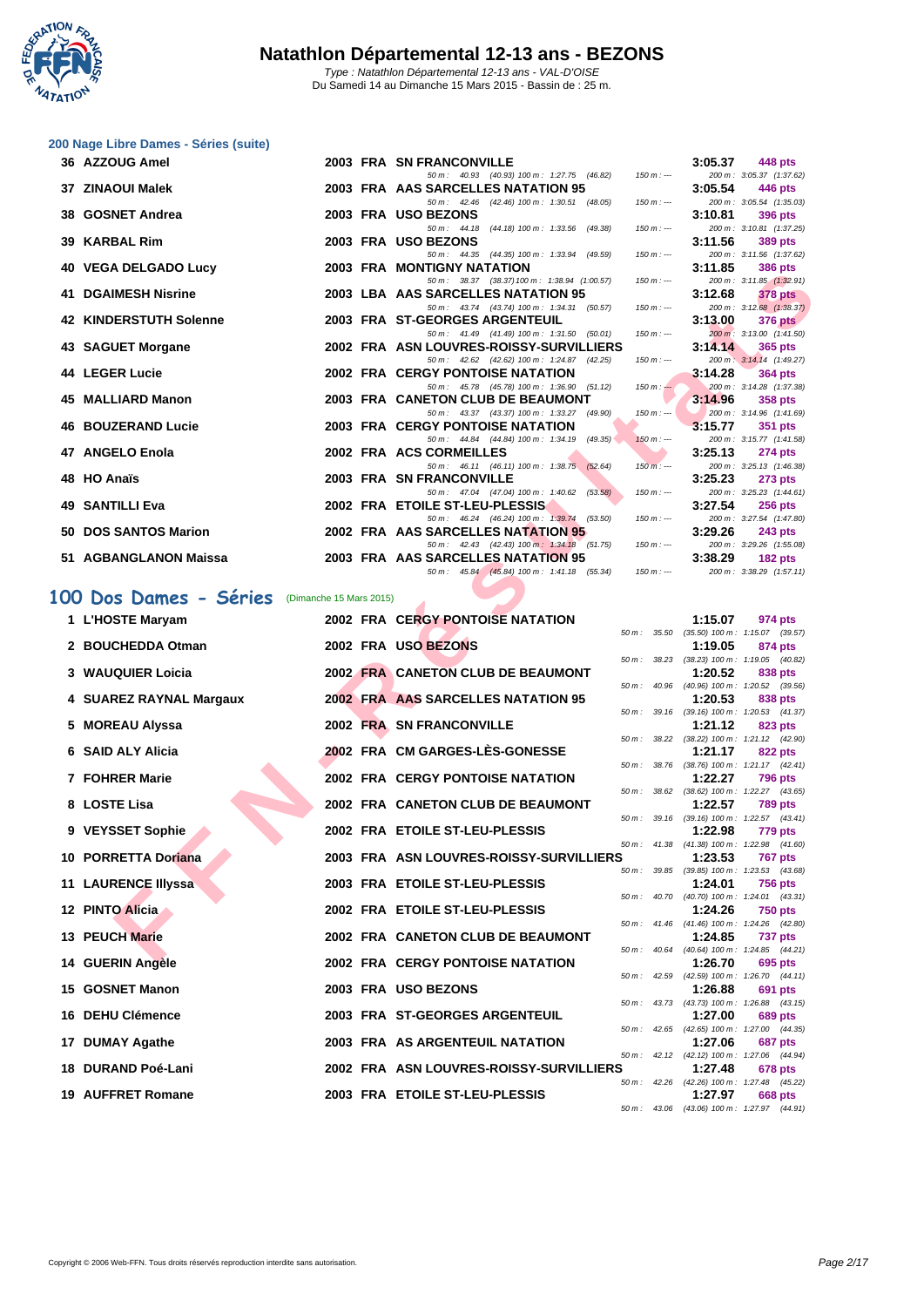

|  |  | 200 Nage Libre Dames - Séries (suite) |  |
|--|--|---------------------------------------|--|
|  |  |                                       |  |

| 36 AZZOUG Amel                |  | <b>2003 FRA SN FRANCONVILLE</b>                                                                                              |         | $3:05.37$ 448 pts                                                                             |
|-------------------------------|--|------------------------------------------------------------------------------------------------------------------------------|---------|-----------------------------------------------------------------------------------------------|
|                               |  | 50 m: 40.93 (40.93) 100 m: 1:27.75 (46.82) 150 m: --- 200 m: 3:05.37 (1:37.62)                                               |         |                                                                                               |
| 37 ZINAOUI Malek              |  | 2003 FRA AAS SARCELLES NATATION 95 3:05.54 446 pts                                                                           |         |                                                                                               |
|                               |  | 50 m : 42.46 (42.46) 100 m : 1:30.51 (48.05) 150 m :-- 200 m : 3:05.54 (1:35.03)                                             |         |                                                                                               |
| 38 GOSNET Andrea              |  | 2003 FRA USO BEZONS                                                                                                          | 3:10.81 | 396 pts                                                                                       |
|                               |  | 50 m : 44.18 (44.18) 100 m : 1:33.56 (49.38)                                                                                 |         | $150 \text{ m}$ : $-200 \text{ m}$ : $3:10.81$ (1:37.25)                                      |
| 39 KARBAL Rim                 |  | 2003 FRA USO BEZONS<br>50 m : 44.35 (44.35) 100 m : 1:33.94 (49.59)                                                          | 3:11.56 | 389 pts<br>150 m :--- 200 m : 3:11.56 (1:37.62)                                               |
| <b>40 VEGA DELGADO Lucy</b>   |  | <b>2003 FRA MONTIGNY NATATION</b>                                                                                            |         | $3:11.85$ 386 pts                                                                             |
|                               |  | 50 m: 38.37 (38.37) 100 m: 1:38.94 (1:00.57) 150 m: --- 200 m: 3:11.85 (1:32.91)                                             |         |                                                                                               |
| <b>41 DGAIMESH Nisrine</b>    |  | 2003 LBA AAS SARCELLES NATATION 95                                                                                           |         | 3:12.68 378 pts                                                                               |
|                               |  | 50 m : 43.74 (43.74) 100 m : 1:34.31 (50.57)                                                                                 |         | $150 \text{ m}$ : $-200 \text{ m}$ : $3:12.68$ (1:38.37)                                      |
| <b>42 KINDERSTUTH Solenne</b> |  | 2003 FRA ST-GEORGES ARGENTEUIL                                                                                               |         | $3:13.00$ $376 \text{ pts}$                                                                   |
|                               |  | 50 m : 41.49 (41.49) 100 m : 1:31.50 (50.01)                                                                                 |         | $150 \text{ m}$ : $-200 \text{ m}$ : $3:13.00$ $(1.41.50)$                                    |
| 43 SAGUET Morgane             |  | 2002 FRA ASN LOUVRES-ROISSY-SURVILLIERS                                                                                      |         | $3.14.14$ 365 pts                                                                             |
|                               |  | 50 m : 42.62 (42.62) 100 m : 1:24.87 (42.25)                                                                                 |         | $150 \text{ m}$ : $-200 \text{ m}$ : $3:14.14$ (1:49.27)                                      |
| 44 LEGER Lucie                |  | <b>2002 FRA CERGY PONTOISE NATATION</b>                                                                                      |         | $3:14.28$ 364 pts                                                                             |
|                               |  | 50 m : 45.78 (45.78) 100 m : 1:36.90 (51.12) 150 m : 200 m : 3:14.28 (1:37.38)<br><b>Contract Contract Contract Contract</b> |         |                                                                                               |
| 45 MALLIARD Manon             |  | 2003 FRA CANETON CLUB DE BEAUMONT                                                                                            |         | $3:14.96$ 358 pts                                                                             |
| <b>46 BOUZERAND Lucie</b>     |  | 50 m : 43.37 (43.37) 100 m : 1:33.27 (49.90)<br>2003 FRA CERGY PONTOISE NATATION                                             |         | $150 \text{ m}$ : $-200 \text{ m}$ : $3.14.96$ (1.41.69)<br>$\frac{3.15.77}{3.15.77}$ 351 pts |
|                               |  | 50 m: 44.84 (44.84) 100 m: 1:34.19 (49.35) 150 m: -- 200 m: 3:15.77 (1:41.58)                                                |         |                                                                                               |
| 47 ANGELO Enola               |  | 2002 FRA ACS CORMEILLES                                                                                                      |         | $3:25.13$ 274 pts                                                                             |
|                               |  | 50 m : 46.11 (46.11) 100 m : 1:38.75 (52.64) 150 m :---                                                                      |         | 200 m: 3:25.13 (1:46.38)                                                                      |
| 48 HO Anaïs                   |  | 2003 FRA SN FRANCONVILLE                                                                                                     |         | $3:25.23$ 273 pts                                                                             |
|                               |  | 50 m : 47.04 (47.04) 100 m : 1:40.62 (53.58)<br>$150 m : -$                                                                  |         | 200 m: 3:25.23 (1:44.61)                                                                      |
| <b>49 SANTILLI Eva</b>        |  | 2002 FRA ETOILE ST-LEU-PLESSIS                                                                                               |         | $3:27.54$ 256 pts                                                                             |
|                               |  | 50 m: 46.24 (46.24) 100 m: 1:39.74 (53.50) 150 m: --- 200 m: 3:27.54 (1:47.80)                                               |         |                                                                                               |
| 50 DOS SANTOS Marion          |  | 2002 FRA AAS SARCELLES NATATION 95                                                                                           |         | $3:29.26$ 243 pts                                                                             |
|                               |  | 50 m: 42.43 (42.43) 100 m: 1:34.18 (51.75) 150 m: --- 200 m: 3:29.26 (1:55.08)                                               |         |                                                                                               |
| 51 AGBANGLANON Maissa         |  | 2003 FRA AAS SARCELLES NATATION 95 3:38.29 182 pts                                                                           |         |                                                                                               |
|                               |  | 50 m: 45.84 (45.84) 100 m: 1:41.18 (55.34) 150 m: -- 200 m: 3:38.29 (1:57.11,                                                |         |                                                                                               |

# **100 Dos Dames - Séries** (Dimanche 15 Mars 2015)

| πυ | VLUA DLLUADU LUU              |                         | <b>INA WONTGIT ITATATION</b>                                                          |        |                  | J. I I.UJ | งขบ pเจ                                                      |
|----|-------------------------------|-------------------------|---------------------------------------------------------------------------------------|--------|------------------|-----------|--------------------------------------------------------------|
|    | <b>41 DGAIMESH Nisrine</b>    |                         | 50 m: 38.37 (38.37) 100 m: 1:38.94 (1:00.57)<br>2003 LBA AAS SARCELLES NATATION 95    |        | $150 m: -$       | 3:12.68   | 200 m: 3:11.85 (1:32.91)<br>378 pts                          |
|    |                               |                         | 50 m: 43.74 (43.74) 100 m: 1:34.31 (50.57)                                            |        | $150 m : -$      |           | 200 m: 3:12.68 (1:38.37)                                     |
|    | <b>42 KINDERSTUTH Solenne</b> |                         | 2003 FRA ST-GEORGES ARGENTEUIL<br>50 m: 41.49 (41.49) 100 m: 1:31.50 (50.01)          |        | $150 m: -$       | 3:13.00   | <b>376 pts</b><br>200 m: 3:13.00 (1:41.50)                   |
|    | 43 SAGUET Morgane             |                         | 2002 FRA ASN LOUVRES-ROISSY-SURVILLIERS                                               |        |                  | 3:14.14   | 365 pts                                                      |
|    | 44 LEGER Lucie                |                         | 50 m: 42.62 (42.62) 100 m: 1:24.87 (42.25)<br><b>2002 FRA CERGY PONTOISE NATATION</b> |        | $150 m: -$       | 3:14.28   | 200 m: 3:14.14 (1:49.27)<br>364 pts                          |
|    |                               |                         | 50 m: 45.78 (45.78) 100 m: 1:36.90 (51.12)                                            |        | $150 m$ : $-$    |           | 200 m: 3:14.28 (1:37.38)                                     |
|    | 45 MALLIARD Manon             |                         | 2003 FRA CANETON CLUB DE BEAUMONT<br>50 m: 43.37 (43.37) 100 m: 1:33.27 (49.90)       |        | $150 m: -$       | 3:14.96   | 358 pts<br>200 m: 3:14.96 (1:41.69)                          |
|    | <b>46 BOUZERAND Lucie</b>     |                         | <b>2003 FRA CERGY PONTOISE NATATION</b>                                               |        |                  | 3:15.77   | 351 pts                                                      |
|    |                               |                         | 50 m: 44.84 (44.84) 100 m: 1:34.19 (49.35)                                            |        | $150 m : -$      |           | 200 m: 3:15.77 (1:41.58)                                     |
|    | 47 ANGELO Enola               |                         | 2002 FRA ACS CORMEILLES<br>50 m: 46.11 (46.11) 100 m: 1:38.75 (52.64)                 |        | $150 m$ : ---    | 3:25.13   | <b>274 pts</b><br>200 m: 3:25.13 (1:46.38)                   |
|    | 48 HO Anaïs                   |                         | <b>2003 FRA SN FRANCONVILLE</b>                                                       |        |                  | 3:25.23   | <b>273 pts</b>                                               |
|    | 49 SANTILLI Eva               |                         | 50 m: 47.04 (47.04) 100 m: 1:40.62 (53.58)<br>2002 FRA ETOILE ST-LEU-PLESSIS          |        | $150 m: -$       | 3:27.54   | 200 m: 3:25.23 (1:44.61)<br><b>256 pts</b>                   |
|    |                               |                         | 50 m : 46.24 (46.24) 100 m : 1:39.74 (53.50)                                          |        | $150 m: -$       |           | 200 m: 3:27.54 (1:47.80)                                     |
|    | 50 DOS SANTOS Marion          |                         | 2002 FRA AAS SARCELLES NATATION 95                                                    |        |                  | 3:29.26   | <b>243 pts</b>                                               |
|    | 51 AGBANGLANON Maissa         |                         | 50 m: 42.43 (42.43) 100 m: 1:34.18 (51.75)<br>2003 FRA AAS SARCELLES NATATION 95      |        | $150 m : -$      | 3:38.29   | 200 m: 3:29.26 (1:55.08)<br><b>182 pts</b>                   |
|    |                               |                         | 50 m : 45.84 (45.84) 100 m : 1:41.18 (55.34)                                          |        | $150 m : -$      |           | 200 m: 3:38.29 (1:57.11)                                     |
|    | 00 Dos Dames - Séries         | (Dimanche 15 Mars 2015) |                                                                                       |        |                  |           |                                                              |
|    | 1 L'HOSTE Maryam              |                         | <b>2002 FRA CERGY PONTOISE NATATION</b>                                               |        |                  | 1:15.07   | 974 pts                                                      |
|    |                               |                         |                                                                                       |        | 50 m : 35.50     |           | $(35.50)$ 100 m : 1:15.07 $(39.57)$                          |
|    | 2 BOUCHEDDA Otman             |                         | 2002 FRA USO BEZONS                                                                   |        |                  | 1:19.05   | 874 pts                                                      |
|    | 3 WAUQUIER Loicia             |                         | 2002 FRA CANETON CLUB DE BEAUMONT                                                     |        | 50 m: 38.23      | 1:20.52   | (38.23) 100 m: 1:19.05 (40.82)<br>838 pts                    |
|    |                               |                         |                                                                                       |        | $50 m$ : $40.96$ |           | $(40.96)$ 100 m : 1:20.52 $(39.56)$                          |
|    | 4 SUAREZ RAYNAL Margaux       |                         | 2002 FRA AAS SARCELLES NATATION 95                                                    |        |                  | 1:20.53   | 838 pts                                                      |
|    | 5 MOREAU Alyssa               |                         | 2002 FRA SN FRANCONVILLE                                                              |        |                  | 1:21.12   | 50 m: 39.16 (39.16) 100 m: 1:20.53 (41.37)<br>823 pts        |
|    |                               |                         |                                                                                       |        | 50 m: 38.22      |           | $(38.22)$ 100 m : 1:21.12 $(42.90)$                          |
|    | 6 SAID ALY Alicia             |                         | 2002 FRA CM GARGES-LES-GONESSE                                                        |        |                  | 1:21.17   | 822 pts<br>50 m: 38.76 (38.76) 100 m: 1:21.17 (42.41)        |
|    | 7 FOHRER Marie                |                         | <b>2002 FRA CERGY PONTOISE NATATION</b>                                               |        |                  | 1:22.27   | <b>796 pts</b>                                               |
|    | 8 LOSTE Lisa                  |                         | 2002 FRA CANETON CLUB DE BEAUMONT                                                     | 50 m : | 38.62            | 1:22.57   | $(38.62)$ 100 m : 1:22.27 $(43.65)$<br><b>789 pts</b>        |
|    |                               |                         |                                                                                       |        | 50 m: 39.16      |           | $(39.16)$ 100 m : 1:22.57 $(43.41)$                          |
|    | 9 VEYSSET Sophie              |                         | 2002 FRA ETOILE ST-LEU-PLESSIS                                                        |        |                  | 1:22.98   | <b>779 pts</b>                                               |
|    | 10 PORRETTA Doriana           |                         | 2003 FRA ASN LOUVRES-ROISSY-SURVILLIERS                                               |        | 50 m: 41.38      | 1:23.53   | $(41.38)$ 100 m : 1:22.98 $(41.60)$<br><b>767 pts</b>        |
|    |                               |                         |                                                                                       |        | $50 m$ : 39.85   |           | $(39.85)$ 100 m : 1:23.53 $(43.68)$                          |
|    | 11 LAURENCE Illyssa           |                         | 2003 FRA ETOILE ST-LEU-PLESSIS                                                        |        |                  | 1:24.01   | <b>756 pts</b><br>50 m: 40.70 (40.70) 100 m: 1:24.01 (43.31) |
|    | 12 PINTO Alicia               |                         | 2002 FRA ETOILE ST-LEU-PLESSIS                                                        |        |                  | 1:24.26   | <b>750 pts</b>                                               |
|    |                               |                         |                                                                                       |        |                  |           | 50 m: 41.46 (41.46) 100 m: 1:24.26 (42.80)                   |
|    | 13 PEUCH Marie                |                         | 2002 FRA CANETON CLUB DE BEAUMONT                                                     |        | 50 m : 40.64     | 1:24.85   | <b>737 pts</b><br>(40.64) 100 m: 1:24.85 (44.21)             |
|    | 14 GUERIN Angèle              |                         | 2002 FRA CERGY PONTOISE NATATION                                                      |        |                  | 1:26.70   | 695 pts                                                      |
|    | 15 GOSNET Manon               |                         | 2003 FRA USO BEZONS                                                                   |        |                  | 1:26.88   | 50 m: 42.59 (42.59) 100 m: 1:26.70 (44.11)<br>691 pts        |
|    |                               |                         |                                                                                       |        |                  |           | 50 m: 43.73 (43.73) 100 m: 1:26.88 (43.15)                   |
|    | 16 DEHU Clémence              |                         | 2003 FRA ST-GEORGES ARGENTEUIL                                                        |        |                  | 1:27.00   | <b>689 pts</b>                                               |
|    | 17 DUMAY Agathe               |                         | 2003 FRA AS ARGENTEUIL NATATION                                                       |        |                  | 1:27.06   | 50 m: 42.65 (42.65) 100 m: 1:27.00 (44.35)<br>687 pts        |
|    |                               |                         |                                                                                       |        |                  |           | 50 m: 42.12 (42.12) 100 m: 1:27.06 (44.94)                   |
|    | 18 DURAND Poé-Lani            |                         | 2002 FRA ASN LOUVRES-ROISSY-SURVILLIERS                                               |        |                  | 1:27.48   | 678 pts<br>50 m: 42.26 (42.26) 100 m: 1:27.48 (45.22)        |
|    | <b>19 AUFFRET Romane</b>      |                         | 2003 FRA ETOILE ST-LEU-PLESSIS                                                        |        |                  | 1:27.97   | 668 pts                                                      |
|    |                               |                         |                                                                                       |        |                  |           | 50 m: 43.06 (43.06) 100 m: 1:27.97 (44.91)                   |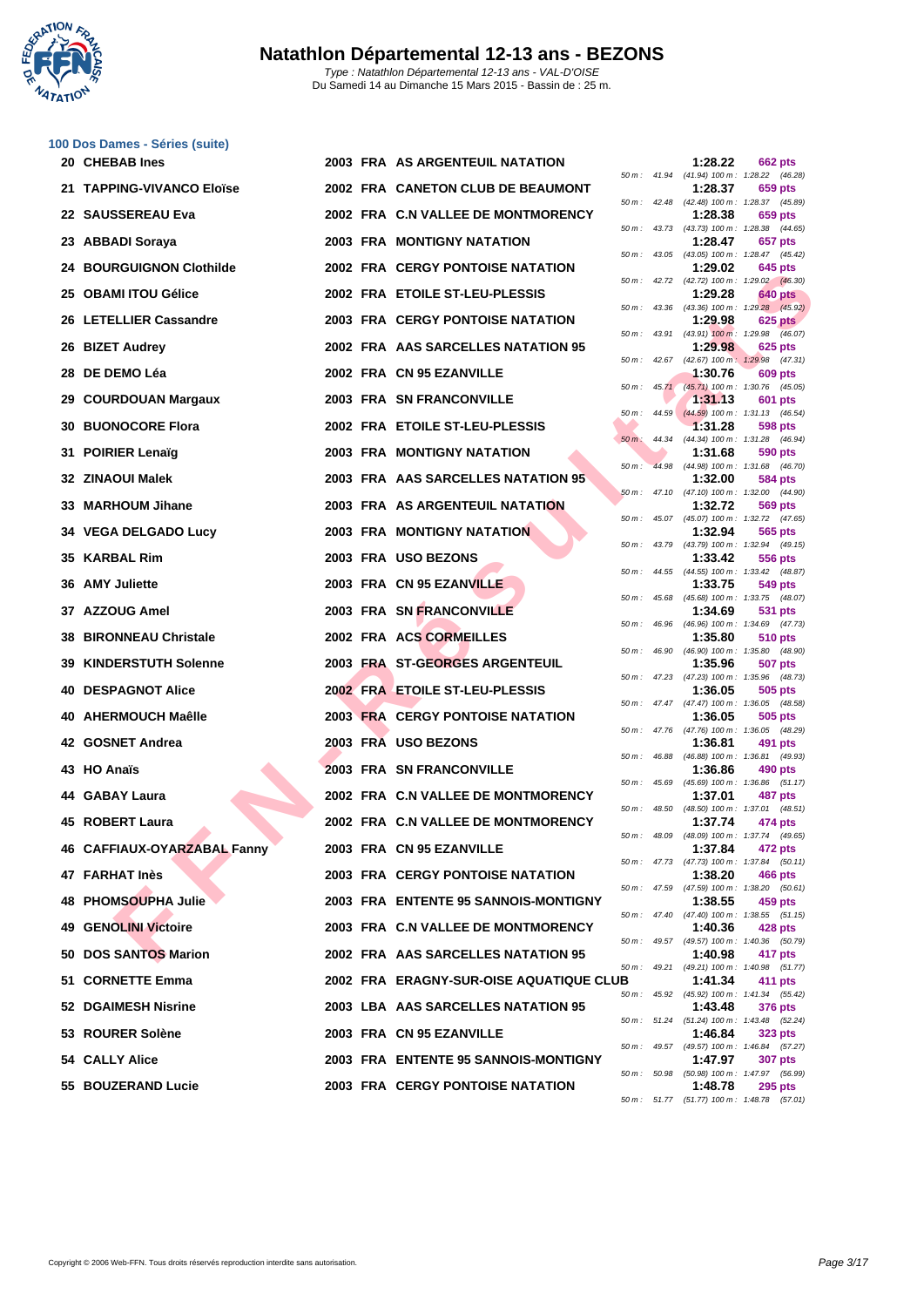

|    | 100 Dos Dames - Séries (suite)  |  |                                         |                  |              |         |                                                              |
|----|---------------------------------|--|-----------------------------------------|------------------|--------------|---------|--------------------------------------------------------------|
|    | 20 CHEBAB Ines                  |  | 2003 FRA AS ARGENTEUIL NATATION         |                  |              | 1:28.22 | 662 pts<br>50 m: 41.94 (41.94) 100 m: 1:28.22 (46.28)        |
|    | 21 TAPPING-VIVANCO Eloïse       |  | 2002 FRA CANETON CLUB DE BEAUMONT       |                  |              | 1:28.37 | 659 pts<br>50 m: 42.48 (42.48) 100 m: 1:28.37 (45.89)        |
|    | 22 SAUSSEREAU Eva               |  | 2002 FRA C.N VALLEE DE MONTMORENCY      |                  |              | 1:28.38 | 659 pts<br>50 m: 43.73 (43.73) 100 m: 1:28.38 (44.65)        |
|    | 23 ABBADI Soraya                |  | <b>2003 FRA MONTIGNY NATATION</b>       |                  |              | 1:28.47 | 657 pts<br>50 m: 43.05 (43.05) 100 m: 1:28.47 (45.42)        |
|    | <b>24 BOURGUIGNON Clothilde</b> |  | <b>2002 FRA CERGY PONTOISE NATATION</b> | 50 m :           |              | 1:29.02 | 645 pts<br>42.72 (42.72) 100 m : 1:29.02 (46.30)             |
|    | 25 OBAMI ITOU Gélice            |  | 2002 FRA ETOILE ST-LEU-PLESSIS          |                  |              | 1:29.28 | <b>640 pts</b>                                               |
|    | 26 LETELLIER Cassandre          |  | <b>2003 FRA CERGY PONTOISE NATATION</b> |                  |              | 1:29.98 | 50 m: 43.36 (43.36) 100 m: 1:29.28 (45.92)<br>625 pts        |
|    | 26 BIZET Audrey                 |  | 2002 FRA AAS SARCELLES NATATION 95      | 50 m :           | 43.91        | 1:29.98 | $(43.91)$ 100 m : 1.29.98 $(46.07)$<br>625 pts               |
|    | 28 DE DEMO Léa                  |  | 2002 FRA CN 95 EZANVILLE                |                  | 50 m: 42.67  | 1:30.76 | (42.67) 100 m: 1:29.98 (47.31)<br>609 pts                    |
|    | 29 COURDOUAN Margaux            |  | <b>2003 FRA SN FRANCONVILLE</b>         |                  |              | 1:31.13 | 50 m: 45.71 (45.71) 100 m: 1:30.76 (45.05)<br>601 pts        |
| 30 | <b>BUONOCORE Flora</b>          |  | 2002 FRA ETOILE ST-LEU-PLESSIS          | $50 m$ :         | 44.59        | 1:31.28 | $(44.59)$ 100 m : 1:31.13 $(46.54)$<br>598 pts               |
| 31 | <b>POIRIER Lenaïg</b>           |  | <b>2003 FRA MONTIGNY NATATION</b>       | $50 m$ :         |              | 1:31.68 | 44.34 (44.34) 100 m: 1:31.28 (46.94)<br>590 pts              |
|    | 32 ZINAOUI Malek                |  | 2003 FRA AAS SARCELLES NATATION 95      | $50 m$ :         | 44.98        | 1:32.00 | $(44.98)$ 100 m : 1:31.68 $(46.70)$<br>584 pts               |
|    | 33 MARHOUM Jihane               |  | 2003 FRA AS ARGENTEUIL NATATION         |                  |              | 1:32.72 | 50 m: 47.10 (47.10) 100 m: 1:32.00 (44.90)<br>569 pts        |
|    | 34 VEGA DELGADO Lucy            |  | 2003 FRA MONTIGNY NATATION              | 50 m :           |              | 1:32.94 | 45.07 (45.07) 100 m : 1:32.72 (47.65)<br>565 pts             |
| 35 | <b>KARBAL Rim</b>               |  | 2003 FRA USO BEZONS                     |                  |              | 1:33.42 | 50 m: 43.79 (43.79) 100 m: 1:32.94 (49.15)<br>556 pts        |
|    | 36 AMY Juliette                 |  | 2003 FRA CN 95 EZANVILLE                |                  |              | 1:33.75 | 50 m: 44.55 (44.55) 100 m: 1:33.42 (48.87)<br>549 pts        |
|    | 37 AZZOUG Amel                  |  | 2003 FRA SN FRANCONVILLE                | 50 m :           | 45.68        | 1:34.69 | $(45.68)$ 100 m : 1:33.75 $(48.07)$<br>531 pts               |
| 38 | <b>BIRONNEAU Christale</b>      |  | 2002 FRA ACS CORMEILLES                 |                  |              | 1:35.80 | 50 m: 46.96 (46.96) 100 m: 1:34.69 (47.73)<br>510 pts        |
|    | <b>39 KINDERSTUTH Solenne</b>   |  | 2003 FRA ST-GEORGES ARGENTEUIL          | 50 m :           | 46.90        | 1:35.96 | (46.90) 100 m: 1:35.80 (48.90)<br>507 pts                    |
|    | <b>40 DESPAGNOT Alice</b>       |  | 2002 FRA ETOILE ST-LEU-PLESSIS          |                  |              | 1:36.05 | 50 m: 47.23 (47.23) 100 m: 1:35.96 (48.73)<br>505 pts        |
| 40 | <b>AHERMOUCH Maêlle</b>         |  | <b>2003 FRA CERGY PONTOISE NATATION</b> |                  |              | 1:36.05 | 50 m: 47.47 (47.47) 100 m: 1:36.05 (48.58)<br>505 pts        |
|    | 42 GOSNET Andrea                |  | 2003 FRA USO BEZONS                     |                  |              | 1:36.81 | 50 m: 47.76 (47.76) 100 m: 1:36.05 (48.29)<br>491 pts        |
|    | 43 HO Anaïs                     |  | <b>2003 FRA SN FRANCONVILLE</b>         |                  |              | 1:36.86 | 50 m: 46.88 (46.88) 100 m: 1:36.81 (49.93)<br>490 pts        |
|    |                                 |  |                                         | 50 m :           | 45.69        |         | (45.69) 100 m: 1:36.86 (51.17)                               |
|    | 44 GABAY Laura                  |  | 2002 FRA C.N VALLEE DE MONTMORENCY      | $50 m$ : $48.50$ |              | 1:37.01 | 487 pts<br>$(48.50)$ 100 m : 1:37.01 $(48.51)$               |
|    | 45 ROBERT Laura                 |  | 2002 FRA C.N VALLEE DE MONTMORENCY      | 50 m: 48.09      |              | 1:37.74 | 474 pts<br>(48.09) 100 m: 1:37.74 (49.65)                    |
|    | 46 CAFFIAUX-OYARZABAL Fanny     |  | 2003 FRA CN 95 EZANVILLE                |                  |              | 1:37.84 | 472 pts<br>50 m: 47.73 (47.73) 100 m: 1:37.84 (50.11)        |
|    | 47 FARHAT Inès                  |  | <b>2003 FRA CERGY PONTOISE NATATION</b> |                  |              | 1:38.20 | 466 pts<br>50 m: 47.59 (47.59) 100 m: 1:38.20 (50.61)        |
|    | 48 PHOMSOUPHA Julie             |  | 2003 FRA ENTENTE 95 SANNOIS-MONTIGNY    |                  |              | 1:38.55 | 459 pts<br>50 m: 47.40 (47.40) 100 m: 1:38.55 (51.15)        |
|    | <b>49 GENOLINI Victoire</b>     |  | 2003 FRA C.N VALLEE DE MONTMORENCY      |                  |              | 1:40.36 | 428 pts<br>50 m: 49.57 (49.57) 100 m: 1:40.36 (50.79)        |
|    | 50 DOS SANTOS Marion            |  | 2002 FRA AAS SARCELLES NATATION 95      |                  | 50 m : 49.21 | 1:40.98 | 417 pts<br>(49.21) 100 m: 1:40.98 (51.77)                    |
|    | 51 CORNETTE Emma                |  | 2002 FRA ERAGNY-SUR-OISE AQUATIQUE CLUB |                  |              | 1:41.34 | 411 pts<br>50 m: 45.92 (45.92) 100 m: 1:41.34 (55.42)        |
|    | 52 DGAIMESH Nisrine             |  | 2003 LBA AAS SARCELLES NATATION 95      |                  |              | 1:43.48 | <b>376 pts</b>                                               |
|    | 53 ROURER Solène                |  | 2003 FRA CN 95 EZANVILLE                |                  |              | 1:46.84 | 50 m: 51.24 (51.24) 100 m: 1:43.48 (52.24)<br>323 pts        |
|    | 54 CALLY Alice                  |  | 2003 FRA ENTENTE 95 SANNOIS-MONTIGNY    |                  |              | 1:47.97 | 50 m: 49.57 (49.57) 100 m: 1:46.84 (57.27)<br>307 pts        |
|    | 55 BOUZERAND Lucie              |  | <b>2003 FRA CERGY PONTOISE NATATION</b> |                  |              | 1:48.78 | 50 m: 50.98 (50.98) 100 m: 1:47.97 (56.99)<br><b>295 pts</b> |

|          |       | 1:28.22                      | <b>662 pts</b>                   |
|----------|-------|------------------------------|----------------------------------|
| 50 m :   | 41.94 | $(41.94) 100 m$ :            | 1:28.22<br>(46.28)               |
| 50 m :   | 42.48 | 1:28.37<br>(42.48) 100 m :   | 659 pts<br>1:28.37<br>(45.89)    |
|          |       | 1:28.38                      | 659 pts                          |
| 50 m :   | 43.73 | (43.73) 100 m :              | 1:28.38<br>(44.65)               |
|          |       | 1:28.47                      | 657 pts                          |
| $50 m$ : | 43.05 | (43.05) 100 m :              | 1:28.47<br>(45.42)               |
|          |       | 1:29.02                      | 645 pts                          |
| 50 m :   | 42.72 | $(42.72) 100 m$ :            | 1:29.02<br>(46.30)               |
| 50 m :   | 43.36 | 1:29.28<br>$(43.36) 100 m$ : | 640 pts<br>1:29.28<br>(45.92)    |
|          |       | 1:29.98                      | <b>625 pts</b>                   |
| 50 m:    | 43.91 | $(43.91)$ 100 m :            | 1:29.98<br>(46.07)               |
|          |       | 1:29.98                      | <b>625 pts</b>                   |
| 50 m :   | 42.67 | $(42.67)$ 100 m;             | 1:29.98<br>(47.31)               |
|          |       | 1:30.76                      | 609 pts                          |
| 50 m :   | 45.71 | $(45.71)$ 100 m :            | 1:30.76<br>(45.05)               |
| 50 m :   | 44.59 | 1:31.13<br>$(44.59) 100 m$ : | 601 pts<br>1:31.13<br>(46.54)    |
|          |       | 1:31.28                      | 598 pts                          |
| 50 m :   | 44.34 | (44.34) 100 m :              | 1:31.28<br>(46.94)               |
|          |       | 1:31.68                      | 590<br>pts                       |
| 50 m :   | 44.98 | (44.98) 100 m :              | 1:31.68<br>(46.70)               |
|          |       | 1:32.00                      | 584<br>pts                       |
| $50 m$ : | 47.10 | $(47.10) 100 m$ :            | 1:32.00<br>(44.90)               |
| $50 m$ : | 45.07 | 1:32.72<br>$(45.07) 100 m$ : | 569 pts<br>1:32.72<br>(47.65)    |
|          |       | 1:32.94                      | 565 pts                          |
| 50 m :   | 43.79 | (43.79) 100 m :              | 1:32.94<br>(49.15)               |
|          |       | 1:33.42                      | <b>556 pts</b>                   |
| $50 m$ : | 44.55 | (44.55) 100 m :              | 1:33.42<br>(48.87)               |
|          |       | 1:33.75                      | 549 pts                          |
| 50 m :   | 45.68 | $(45.68) 100 m$ :            | 1:33.75<br>(48.07)               |
| 50 m :   | 46.96 | 1:34.69<br>$(46.96) 100 m$ : | 531<br>pts<br>1:34.69<br>(47.73) |
|          |       | 1:35.80                      | 510 pts                          |
| 50 m :   | 46.90 | (46.90) 100 m :              | 1:35.80<br>(48.90)               |
|          |       | 1:35.96                      | 507<br>pts                       |
| 50 m :   | 47.23 | (47.23) 100 m :              | 1:35.96<br>(48.73)               |
|          |       | 1:36.05                      | 505<br>pts                       |
| 50 m :   | 47.47 | $(47.47) 100 m$ :<br>1:36.05 | 1:36.05<br>(48.58)<br>505<br>pts |
| 50 m :   | 47.76 | (47.76) 100 m :              | 1:36.05<br>(48.29)               |
|          |       | 1:36.81                      | 491<br>pts                       |
| 50 m :   | 46.88 | (46.88) 100 m :              | 1:36.81<br>(49.93)               |
|          |       | 1:36.86                      | 490 pts                          |
| 50 m :   | 45.69 | $(45.69) 100 m$ :            | 1:36.86<br>(51.17)               |
| 50 m :   | 48.50 | 1:37.01<br>(48.50) 100 m :   | 487<br>pts<br>1:37.01<br>(48.51) |
|          |       | 1:37.74                      | 474 pts                          |
| $50 m$ : | 48.09 | $(48.09) 100 m$ :            | 1:37.74 (49.65)                  |
|          |       | 1:37.84                      | 472 pts                          |
| $50 m$ : | 47.73 | $(47.73) 100 m$ :            | 1:37.84<br>(50.11)               |
|          |       | 1:38.20                      | <b>466 pts</b>                   |
| $50 m$ : | 47.59 | (47.59) 100 m:<br>1:38.55    | 1:38.20<br>(50.61)               |
| $50 m$ : | 47.40 | $(47.40)$ 100 m :            | 459 pts<br>1:38.55<br>(51.15)    |
|          |       | 1:40.36                      | 428 pts                          |
| $50 m$ : | 49.57 | (49.57) 100 m:               | 1:40.36<br>(50.79)               |
|          |       | 1:40.98                      | 417 pts                          |
| $50 m$ : | 49.21 | $(49.21)$ 100 m :            | 1:40.98<br>(51.77)               |
| в        |       | 1:41.34                      | 411 pts                          |
| $50 m$ : | 45.92 | $(45.92) 100 m$ :            | 1:41.34<br>(55.42)               |
| $50 m$ : | 51.24 | 1:43.48<br>$(51.24) 100 m$ : | 376 pts<br>1:43.48<br>(52.24)    |
|          |       | 1:46.84                      | 323 pts                          |
| $50 m$ : | 49.57 | (49.57) 100 m :              | 1:46.84<br>(57.27)               |
|          |       | 1:47.97                      | <b>307 pts</b>                   |
| $50 m$ : | 50.98 | $(50.98)$ 100 m :            | 1:47.97<br>(56.99)               |
|          |       | 1:48.78                      | 295 pts                          |
| $50 m$ : | 51.77 | $(51.77)$ 100 m :            | 1:48.78<br>(57.01)               |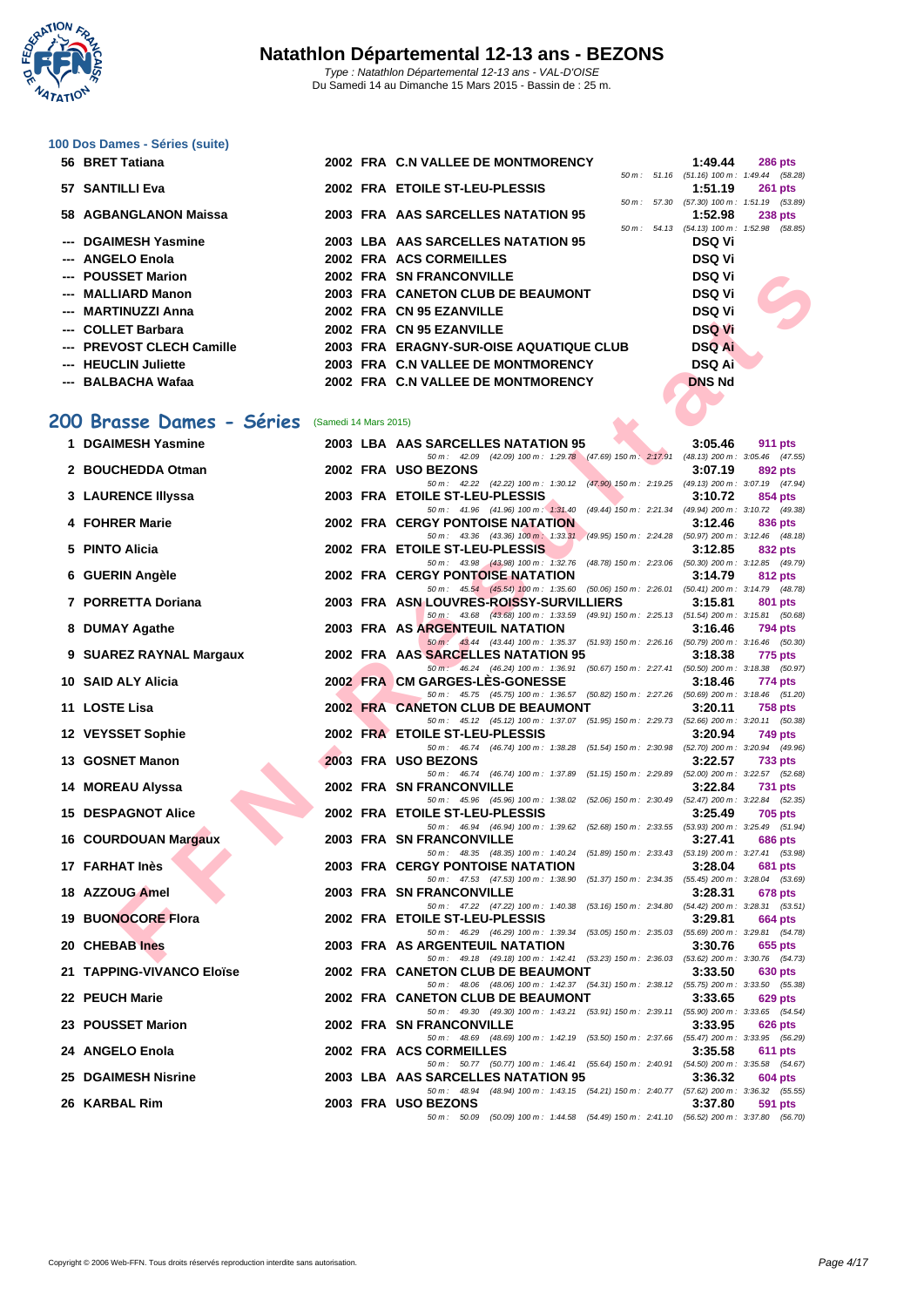

# **[100 Dos D](http://www.ffnatation.fr/webffn/index.php)ames - Séries (suite)**

| 56 BRET Tatiana           |                       | 2002 FRA C.N VALLEE DE MONTMORENCY      |                          | 1:49.44                                        | <b>286 pts</b> |
|---------------------------|-----------------------|-----------------------------------------|--------------------------|------------------------------------------------|----------------|
|                           |                       |                                         | $50 m$ : $51.16$         | $(51.16)$ 100 m : 1:49.44 $(58.28)$            |                |
| 57 SANTILLI Eva           |                       | 2002 FRA ETOILE ST-LEU-PLESSIS          | 50 m : 57.30             | 1:51.19<br>$(57.30)$ 100 m : 1:51.19 $(53.89)$ | <b>261 pts</b> |
| 58 AGBANGLANON Maissa     |                       | 2003 FRA AAS SARCELLES NATATION 95      |                          | 1:52.98                                        | <b>238 pts</b> |
|                           |                       |                                         | $50 \text{ m}$ : $54.13$ | $(54.13)$ 100 m : 1:52.98 $(58.85)$            |                |
| --- DGAIMESH Yasmine      |                       | 2003 LBA AAS SARCELLES NATATION 95      |                          | <b>DSQ Vi</b>                                  |                |
| --- ANGELO Enola          |                       | 2002 FRA ACS CORMEILLES                 |                          | <b>DSQ Vi</b>                                  |                |
| --- POUSSET Marion        |                       | 2002 FRA SN FRANCONVILLE                |                          | <b>DSQ Vi</b>                                  |                |
| --- MALLIARD Manon        |                       | 2003 FRA CANETON CLUB DE BEAUMONT       |                          | <b>DSQ Vi</b>                                  |                |
| --- MARTINUZZI Anna       |                       | 2002 FRA CN 95 EZANVILLE                |                          | <b>DSQ Vi</b>                                  |                |
| --- COLLET Barbara        |                       | 2002 FRA CN 95 EZANVILLE                |                          | <b>DSQ Vi</b>                                  |                |
| --- PREVOST CLECH Camille |                       | 2003 FRA ERAGNY-SUR-OISE AQUATIQUE CLUB |                          | <b>DSQ Ai</b>                                  |                |
| --- HEUCLIN Juliette      |                       | 2003 FRA C.N VALLEE DE MONTMORENCY      |                          | <b>DSQ Ai</b>                                  |                |
| --- BALBACHA Wafaa        |                       | 2002 FRA C.N VALLEE DE MONTMORENCY      |                          | <b>DNS Nd</b>                                  |                |
| 200 Brasse Dames - Séries | (Samedi 14 Mars 2015) |                                         |                          |                                                |                |
| 1 DGAIMESH Yasmine        |                       | 2003 IRA AAS SARCELLES NATATION 95      |                          | 3.05.46                                        | $911$ nts      |

## **200 Brasse Dames - Séries** (Samedi 14 Mars 2015)

| --- POUSSET Marion                             |  | 2002 FRA SN FRANCONVILLE                                                                                                            | <b>DSQ Vi</b> |                |
|------------------------------------------------|--|-------------------------------------------------------------------------------------------------------------------------------------|---------------|----------------|
| --- MALLIARD Manon                             |  | 2003 FRA CANETON CLUB DE BEAUMONT                                                                                                   | <b>DSQ Vi</b> |                |
| --- MARTINUZZI Anna                            |  | 2002 FRA CN 95 EZANVILLE                                                                                                            | <b>DSQ Vi</b> |                |
| --- COLLET Barbara                             |  | 2002 FRA CN 95 EZANVILLE                                                                                                            | <b>DSQ Vi</b> |                |
| --- PREVOST CLECH Camille                      |  | 2003 FRA ERAGNY-SUR-OISE AQUATIQUE CLUB                                                                                             | <b>DSQ Ai</b> |                |
| --- HEUCLIN Juliette                           |  | 2003 FRA C.N VALLEE DE MONTMORENCY                                                                                                  | <b>DSQ Ai</b> |                |
| --- BALBACHA Wafaa                             |  | 2002 FRA C.N VALLEE DE MONTMORENCY                                                                                                  | <b>DNS Nd</b> |                |
|                                                |  |                                                                                                                                     |               |                |
| 00 Brasse Dames - Séries (Samedi 14 Mars 2015) |  |                                                                                                                                     |               |                |
| 1 DGAIMESH Yasmine                             |  | 2003 LBA AAS SARCELLES NATATION 95                                                                                                  | 3:05.46       | 911 pts        |
|                                                |  | 50 m : 42.09 (42.09) 100 m : 1:29.78 (47.69) 150 m : 2:17.91 (48.13) 200 m : 3:05.46 (47.55)                                        |               |                |
| 2 BOUCHEDDA Otman                              |  | 2002 FRA USO BEZONS                                                                                                                 | 3:07.19       | 892 pts        |
| 3 LAURENCE Illyssa                             |  | 50 m: 42.22 (42.22) 100 m: 1:30.12 (47.90) 150 m: 2:19.25 (49.13) 200 m: 3:07.19 (47.94)<br>2003 FRA ETOILE ST-LEU-PLESSIS          | 3:10.72       | 854 pts        |
|                                                |  | 50 m: 41.96 (41.96) 100 m: 1:31.40 (49.44) 150 m: 2:21.34 (49.94) 200 m: 3:10.72 (49.38)                                            |               |                |
| 4 FOHRER Marie                                 |  | <b>2002 FRA CERGY PONTOISE NATATION</b>                                                                                             | 3:12.46       | 836 pts        |
| 5 PINTO Alicia                                 |  | 50 m: 43.36 (43.36) 100 m: 1:33.31 (49.95) 150 m: 2:24.28 (50.97) 200 m: 3:12.46 (48.18)<br>2002 FRA ETOILE ST-LEU-PLESSIS          | 3:12.85       | 832 pts        |
|                                                |  | 50 m: 43.98 (43.98) 100 m: 1:32.76 (48.78) 150 m: 2:23.06 (50.30) 200 m: 3:12.85 (49.79)                                            |               |                |
| 6 GUERIN Angèle                                |  | <b>2002 FRA CERGY PONTOISE NATATION</b>                                                                                             | 3:14.79       | 812 pts        |
| 7 PORRETTA Doriana                             |  | 50 m: 45.54 (45.54) 100 m: 1:35.60 (50.06) 150 m: 2:26.01 (50.41) 200 m: 3:14.79 (48.78)<br>2003 FRA ASN LOUVRES-ROISSY-SURVILLIERS | 3:15.81       | 801 pts        |
|                                                |  | 50 m: 43.68 (43.68) 100 m: 1:33.59 (49.91) 150 m: 2:25.13 (51.54) 200 m: 3:15.81 (50.68)                                            |               |                |
| 8 DUMAY Agathe                                 |  | 2003 FRA AS ARGENTEUIL NATATION                                                                                                     | 3:16.46       | 794 pts        |
| 9 SUAREZ RAYNAL Margaux                        |  | 50 m : 43.44 (43.44) 100 m : 1:35.37 (51.93) 150 m : 2:26.16 (50.79) 200 m : 3:16.46 (50.30)<br>2002 FRA AAS SARCELLES NATATION 95  | 3:18.38       | 775 pts        |
|                                                |  | 50 m: 46.24 (46.24) 100 m: 1:36.91 (50.67) 150 m: 2:27.41 (50.50) 200 m: 3:18.38 (50.97)                                            |               |                |
| 10 SAID ALY Alicia                             |  | 2002 FRA CM GARGES-LES-GONESSE<br>50 m: 45.75 (45.75) 100 m: 1:36.57 (50.82) 150 m: 2:27.26 (50.69) 200 m: 3:18.46 (51.20)          | 3:18.46       | 774 pts        |
| 11 LOSTE Lisa                                  |  | 2002 FRA CANETON CLUB DE BEAUMONT                                                                                                   | 3:20.11       | <b>758 pts</b> |
|                                                |  | 50 m: 45.12 (45.12) 100 m: 1:37.07 (51.95) 150 m: 2:29.73 (52.66) 200 m: 3:20.11 (50.38)                                            |               |                |
| 12 VEYSSET Sophie                              |  | 2002 FRA ETOILE ST-LEU-PLESSIS<br>50 m: 46.74 (46.74) 100 m: 1:38.28 (51.54) 150 m: 2:30.98 (52.70) 200 m: 3:20.94 (49.96)          | 3:20.94       | 749 pts        |
| 13 GOSNET Manon                                |  | 2003 FRA USO BEZONS                                                                                                                 | 3:22.57       | 733 pts        |
|                                                |  | 50 m: 46.74 (46.74) 100 m: 1:37.89 (51.15) 150 m: 2:29.89 (52.00) 200 m: 3:22.57 (52.68)                                            |               |                |
| 14 MOREAU Alyssa                               |  | <b>2002 FRA SN FRANCONVILLE</b><br>50 m : 45.96 (45.96) 100 m : 1:38.02<br>(52.06) 150 m: 2:30.49 (52.47) 200 m: 3:22.84 (52.35)    | 3:22.84       | <b>731 pts</b> |
| <b>15 DESPAGNOT Alice</b>                      |  | 2002 FRA ETOILE ST-LEU-PLESSIS                                                                                                      | 3:25.49       | 705 pts        |
|                                                |  | 50 m: 46.94 (46.94) 100 m: 1:39.62 (52.68) 150 m: 2:33.55 (53.93) 200 m: 3:25.49 (51.94)<br>2003 FRA SN FRANCONVILLE                |               |                |
| 16 COURDOUAN Margaux                           |  | 50 m: 48.35 (48.35) 100 m: 1:40.24 (51.89) 150 m: 2:33.43 (53.19) 200 m: 3:27.41 (53.98)                                            | 3:27.41       | <b>686 pts</b> |
| 17 FARHAT Inès                                 |  | <b>2003 FRA CERGY PONTOISE NATATION</b>                                                                                             | 3:28.04       | <b>681 pts</b> |
| 18 AZZOUG Amel                                 |  | 50 m: 47.53 (47.53) 100 m: 1:38.90 (51.37) 150 m: 2:34.35 (55.45) 200 m: 3:28.04 (53.69)<br>2003 FRA SN FRANCONVILLE                | 3:28.31       | 678 pts        |
|                                                |  | 50 m: 47.22 (47.22) 100 m: 1:40.38<br>(53.16) 150 m: 2:34.80 (54.42) 200 m: 3:28.31 (53.51)                                         |               |                |
| <b>19 BUONOCORE Flora</b>                      |  | 2002 FRA ETOILE ST-LEU-PLESSIS                                                                                                      | 3:29.81       | <b>664 pts</b> |
| 20 CHEBAB Ines                                 |  | 50 m: 46.29 (46.29) 100 m: 1:39.34 (53.05) 150 m: 2:35.03 (55.69) 200 m: 3:29.81 (54.78)<br>2003 FRA AS ARGENTEUIL NATATION         | 3:30.76       | 655 pts        |
|                                                |  | 50 m: 49.18 (49.18) 100 m: 1:42.41 (53.23) 150 m: 2:36.03 (53.62) 200 m: 3:30.76 (54.73)                                            |               |                |
| 21   TAPPING-VIVANCO Eloïse                    |  | 2002 FRA CANETON CLUB DE BEAUMONT                                                                                                   | 3:33.50       | 630 pts        |
| 22 PEUCH Marie                                 |  | 50 m : 48.06 (48.06) 100 m : 1:42.37 (54.31) 150 m : 2:38.12 (55.75) 200 m : 3:33.50 (55.38)<br>2002 FRA CANETON CLUB DE BEAUMONT   | 3:33.65       | 629 pts        |
|                                                |  | 50 m : 49.30 (49.30) 100 m : 1:43.21 (53.91) 150 m : 2:39.11 (55.90) 200 m : 3:33.65 (54.54)                                        |               |                |
| 23 POUSSET Marion                              |  | <b>2002 FRA SN FRANCONVILLE</b>                                                                                                     | 3:33.95       | 626 pts        |
| 24 ANGELO Enola                                |  | 50 m: 48.69 (48.69) 100 m: 1:42.19 (53.50) 150 m: 2:37.66 (55.47) 200 m: 3:33.95 (56.29)<br>2002 FRA ACS CORMEILLES                 | 3:35.58       | <b>611 pts</b> |
|                                                |  | 50 m : 50.77 (50.77) 100 m : 1:46.41 (55.64) 150 m : 2:40.91 (54.50) 200 m : 3:35.58 (54.67)                                        |               |                |
| 25 DGAIMESH Nisrine                            |  | 2003 LBA AAS SARCELLES NATATION 95<br>50 m: 48.94 (48.94) 100 m: 1:43.15 (54.21) 150 m: 2:40.77 (57.62) 200 m: 3:36.32 (55.55)      | 3:36.32       | 604 pts        |
| 26 KARBAL Rim                                  |  | 2003 FRA USO BEZONS                                                                                                                 | 3:37.80       | 591 pts        |
|                                                |  | 50 m: 50.09 (50.09) 100 m: 1:44.58 (54.49) 150 m: 2:41.10 (56.52) 200 m: 3:37.80 (56.70)                                            |               |                |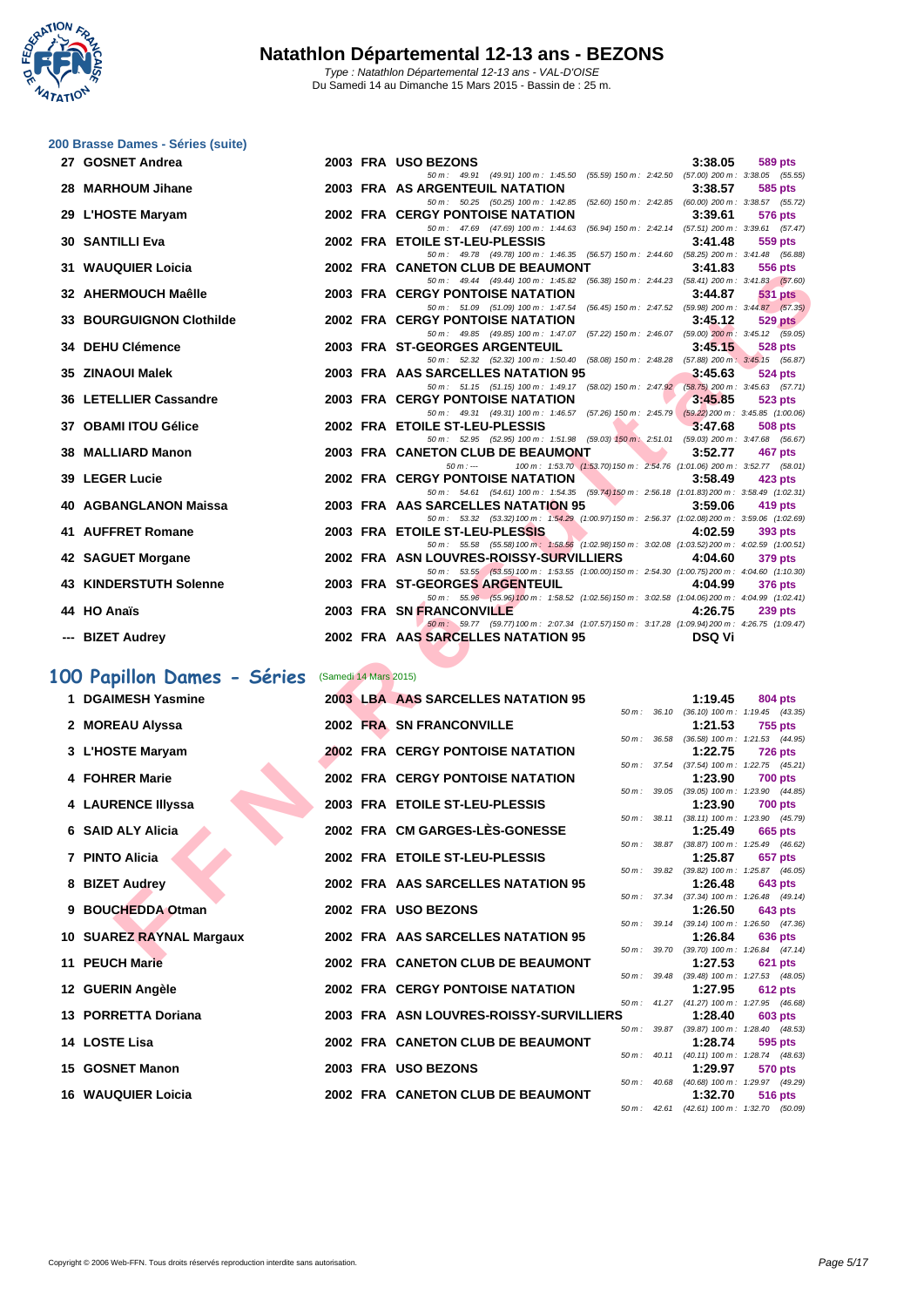**WATATION**  $\cdot$ 

| 27 GOSNET Andrea                |                       | 2003 FRA USO BEZONS                                                                                                                       |                 | 3:38.05                                                            | <b>589 pts</b>                                                           |
|---------------------------------|-----------------------|-------------------------------------------------------------------------------------------------------------------------------------------|-----------------|--------------------------------------------------------------------|--------------------------------------------------------------------------|
| 28 MARHOUM Jihane               |                       | 50 m: 49.91 (49.91) 100 m: 1:45.50 (55.59) 150 m: 2:42.50 (57.00) 200 m: 3:38.05 (55.55)<br>2003 FRA AS ARGENTEUIL NATATION               |                 | 3:38.57                                                            | 585 pts                                                                  |
| 29 L'HOSTE Maryam               |                       | 50 m: 50.25 (50.25) 100 m: 1:42.85 (52.60) 150 m: 2:42.85 (60.00) 200 m: 3:38.57 (55.72)<br><b>2002 FRA CERGY PONTOISE NATATION</b>       |                 | 3:39.61                                                            | <b>576 pts</b>                                                           |
| 30   SANTILLI Eva               |                       | 50 m: 47.69 (47.69) 100 m: 1:44.63<br>2002 FRA ETOILE ST-LEU-PLESSIS                                                                      |                 | (56.94) 150 m: 2:42.14 (57.51) 200 m: 3:39.61 (57.47)<br>3:41.48   | 559 pts                                                                  |
| 31 WAUQUIER Loicia              |                       | 50 m : 49.78 (49.78) 100 m : 1:46.35<br>2002 FRA CANETON CLUB DE BEAUMONT                                                                 |                 | (56.57) 150 m: 2:44.60 (58.25) 200 m: 3:41.48 (56.88)<br>3:41.83   | 556 pts                                                                  |
| 32 AHERMOUCH Maêlle             |                       | 50 m: 49.44 (49.44) 100 m: 1:45.82<br><b>2003 FRA CERGY PONTOISE NATATION</b>                                                             |                 | (56.38) 150 m : 2:44.23 (58.41) 200 m : 3:41.83 (57.60)<br>3:44.87 | <b>531 pts</b>                                                           |
| <b>33 BOURGUIGNON Clothilde</b> |                       | 50 m: 51.09 (51.09) 100 m: 1:47.54<br>2002 FRA CERGY PONTOISE NATATION                                                                    |                 | 3:45.12                                                            | $(56.45)$ 150 m : 2:47.52 $(59.98)$ 200 m : 3:44.87 $(57.35)$<br>529 pts |
| <b>34 DEHU Clémence</b>         |                       | 50 m: 49.85 (49.85) 100 m: 1:47.07<br>2003 FRA ST-GEORGES ARGENTEUIL                                                                      |                 | (57.22) 150 m : 2:46.07 (59.00) 200 m : 3:45.12 (59.05)<br>3:45.15 | <b>528 pts</b>                                                           |
|                                 |                       | 50 m: 52.32 (52.32) 100 m: 1:50.40 (58.08) 150 m: 2:48.28 (57.88) 200 m: 3:45.15 (56.87)                                                  |                 |                                                                    |                                                                          |
| 35 ZINAOUI Malek                |                       | 2003 FRA AAS SARCELLES NATATION 95<br>50 m: 51.15 (51.15) 100 m: 1:49.17 (58.02) 150 m: 2:47.92 (58.75) 200 m: 3:45.63 (57.71)            |                 | 3:45.63                                                            | 524 pts                                                                  |
| 36 LETELLIER Cassandre          |                       | <b>2003 FRA CERGY PONTOISE NATATION</b>                                                                                                   |                 | 3:45.85                                                            | 523 pts                                                                  |
| 37 OBAMI ITOU Gélice            |                       | 50 m: 49.31 (49.31) 100 m: 1:46.57 (57.26) 150 m: 2:45.79 (59.22) 200 m: 3:45.85 (1:00.06)<br>2002 FRA ETOILE ST-LEU-PLESSIS              |                 | 3:47.68                                                            | <b>508 pts</b>                                                           |
|                                 |                       | 50 m: 52.95 (52.95) 100 m: 1:51.98 (59.03) 150 m: 2:51.01 (59.03) 200 m: 3:47.68 (56.67)                                                  |                 |                                                                    |                                                                          |
| 38 MALLIARD Manon               |                       | 2003 FRA CANETON CLUB DE BEAUMONT                                                                                                         |                 | 3:52.77                                                            | 467 pts                                                                  |
| 39   LEGER Lucie                |                       | $50 m : -$<br>100 m: 1:53.70 (1:53.70) 150 m: 2:54.76 (1:01.06) 200 m: 3:52.77 (58.01)<br>2002 FRA CERGY PONTOISE NATATION                |                 | 3:58.49                                                            | 423 pts                                                                  |
|                                 |                       | 50 m: 54.61 (54.61) 100 m: 1:54.35 (59.74) 150 m: 2:56.18 (1:01.83) 200 m: 3:58.49 (1:02.31)                                              |                 |                                                                    |                                                                          |
| 40 AGBANGLANON Maissa           |                       | 2003 FRA AAS SARCELLES NATATION 95                                                                                                        |                 | 3:59.06                                                            | 419 pts                                                                  |
| 41 AUFFRET Romane               |                       | 50 m : 53.32 (53.32) 100 m : 1:54.29 (1:00.97) 150 m : 2:56.37 (1:02.08) 200 m : 3:59.06 (1:02.69)<br>2003 FRA ETOILE ST-LEU-PLESSIS      |                 | 4:02.59                                                            | 393 pts                                                                  |
| 42 SAGUET Morgane               |                       | 50 m: 55.58 (55.58) 100 m: 1:58.56 (1:02.98) 150 m: 3:02.08 (1:03.52) 200 m: 4:02.59 (1:00.51)<br>2002 FRA ASN LOUVRES-ROISSY-SURVILLIERS |                 | 4:04.60                                                            | <b>379 pts</b>                                                           |
| 43 KINDERSTUTH Solenne          |                       | 50 m: 53.55 (53.55) 100 m: 1:53.55 (1:00.00) 150 m: 2:54.30 (1:00.75) 200 m: 4:04.60 (1:10.30)<br>2003 FRA ST-GEORGES ARGENTEUIL          |                 | 4:04.99                                                            | 376 pts                                                                  |
| 44 HO Anaïs                     |                       | 50 m : 55.96 (55.96) 100 m : 1:58.52 (1:02.56) 150 m : 3:02.58 (1:04.06) 200 m : 4:04.99 (1:02.41)<br>2003 FRA SN FRANCONVILLE            |                 |                                                                    |                                                                          |
|                                 |                       | 50 m: 59.77 (59.77) 100 m: 2:07.34 (1:07.57) 150 m: 3:17.28 (1:09.94) 200 m: 4:26.75 (1:09.47)                                            |                 | 4:26.75                                                            | <b>239 pts</b>                                                           |
| --- BIZET Audrey                |                       | 2002 FRA AAS SARCELLES NATATION 95                                                                                                        |                 | <b>DSQ Vi</b>                                                      |                                                                          |
| 00 Papillon Dames - Séries      | (Samedi 14 Mars 2015) |                                                                                                                                           |                 |                                                                    |                                                                          |
| 1 DGAIMESH Yasmine              |                       | 2003 LBA AAS SARCELLES NATATION 95                                                                                                        |                 | 1:19.45                                                            | 804 pts                                                                  |
|                                 |                       |                                                                                                                                           |                 | 50 m: 36.10 (36.10) 100 m: 1:19.45 (43.35)                         |                                                                          |
| 2 MOREAU Alyssa                 |                       | 2002 FRA SN FRANCONVILLE                                                                                                                  |                 | 1:21.53                                                            | <b>755 pts</b>                                                           |
| 3 L'HOSTE Maryam                |                       | <b>2002 FRA CERGY PONTOISE NATATION</b>                                                                                                   | $50 m$ :        | 36.58 (36.58) 100 m: 1:21.53 (44.95)<br>1:22.75                    | <b>726 pts</b>                                                           |
|                                 |                       |                                                                                                                                           |                 | 50 m: 37.54 (37.54) 100 m: 1:22.75 (45.21)                         |                                                                          |
| 4 FOHRER Marie                  |                       | <b>2002 FRA CERGY PONTOISE NATATION</b>                                                                                                   |                 | 1:23.90                                                            | <b>700 pts</b>                                                           |
| 4 LAURENCE Illyssa              |                       | 2003 FRA ETOILE ST-LEU-PLESSIS                                                                                                            |                 | 50 m: 39.05 (39.05) 100 m: 1:23.90 (44.85)<br>1:23.90              | <b>700 pts</b>                                                           |
|                                 |                       |                                                                                                                                           |                 | 50 m: 38.11 (38.11) 100 m: 1:23.90 (45.79)                         |                                                                          |
| 6 SAID ALY Alicia               |                       | 2002 FRA CM GARGES-LES-GONESSE                                                                                                            |                 | 1:25.49                                                            | 665 pts                                                                  |
| 7 PINTO Alicia                  |                       | 2002 FRA ETOILE ST-LEU-PLESSIS                                                                                                            | 50 m :<br>38.87 | 1:25.87                                                            | $(38.87)$ 100 m : 1:25.49 $(46.62)$<br>657 pts                           |
|                                 |                       |                                                                                                                                           | 50 m :          | 39.82 (39.82) 100 m: 1:25.87 (46.05)                               |                                                                          |
| 8 BIZET Audrey                  |                       | 2002 FRA AAS SARCELLES NATATION 95                                                                                                        |                 | 1:26.48                                                            | 643 pts                                                                  |
| 9 BOUCHEDDA Otman               |                       | 2002 FRA USO BEZONS                                                                                                                       | $50 m$ : 37.34  | 1:26.50                                                            | $(37.34)$ 100 m : 1:26.48 $(49.14)$<br>643 pts                           |
|                                 |                       |                                                                                                                                           |                 | 50 m: 39.14 (39.14) 100 m: 1:26.50 (47.36)                         |                                                                          |
| 10 SUAREZ RAYNAL Margaux        |                       | 2002 FRA AAS SARCELLES NATATION 95                                                                                                        |                 | 1:26.84                                                            | <b>636 pts</b>                                                           |
| <b>AA DEUQUAL-A</b>             |                       | 2000 FBA CANFTON OLUB BE BEAUMONT                                                                                                         |                 | 50 m: 39.70 (39.70) 100 m: 1:26.84 (47.14)<br>4.07E2               | - 604 -                                                                  |

## **100 Papillon Dames - Séries** (Samedi 14 Mars 2015)

| 1 DGAIMESH Yasmine        |  | 2003 LBA AAS SARCELLES NATATION 95      |                | 1:19.45                                               | 804 pts        |                |
|---------------------------|--|-----------------------------------------|----------------|-------------------------------------------------------|----------------|----------------|
|                           |  |                                         |                | 50 m: 36.10 (36.10) 100 m: 1:19.45 (43.35)            |                |                |
| 2 MOREAU Alyssa           |  | 2002 FRA SN FRANCONVILLE                |                | 1:21.53                                               | 755 pts        |                |
| 3 L'HOSTE Maryam          |  | <b>2002 FRA CERGY PONTOISE NATATION</b> | $50 m$ : 36.58 | $(36.58)$ 100 m : 1:21.53 $(44.95)$<br>1:22.75        | <b>726 pts</b> |                |
|                           |  |                                         |                | 50 m: 37.54 (37.54) 100 m: 1:22.75 (45.21)            |                |                |
| 4 FOHRER Marie            |  | <b>2002 FRA CERGY PONTOISE NATATION</b> |                | 1:23.90                                               | <b>700 pts</b> |                |
|                           |  |                                         |                | 50 m: 39.05 (39.05) 100 m: 1:23.90 (44.85)            |                |                |
| 4 LAURENCE IIIyssa        |  | 2003 FRA ETOILE ST-LEU-PLESSIS          |                | 1:23.90                                               | <b>700 pts</b> |                |
|                           |  |                                         |                | 50 m: 38.11 (38.11) 100 m: 1:23.90 (45.79)            |                |                |
| 6 SAID ALY Alicia         |  | 2002 FRA CM GARGES-LÈS-GONESSE          |                | 1:25.49                                               | 665 pts        |                |
|                           |  |                                         |                | 50 m: 38.87 (38.87) 100 m: 1:25.49 (46.62)            |                |                |
| 7 PINTO Alicia            |  | 2002 FRA ETOILE ST-LEU-PLESSIS          |                | 1:25.87                                               | 657 pts        |                |
|                           |  |                                         |                | 50 m: 39.82 (39.82) 100 m: 1:25.87 (46.05)            |                |                |
| 8 BIZET Audrey            |  | 2002 FRA AAS SARCELLES NATATION 95      |                | 1:26.48                                               | 643 pts        |                |
|                           |  |                                         |                | 50 m: 37.34 (37.34) 100 m: 1:26.48 (49.14)            |                |                |
| 9 BOUCHEDDA Otman         |  | 2002 FRA USO BEZONS                     |                | 1:26.50                                               | <b>643 pts</b> |                |
|                           |  |                                         |                | 50 m: 39.14 (39.14) 100 m: 1:26.50 (47.36)            |                |                |
| 10 SUAREZ RAYNAL Margaux  |  | 2002 FRA AAS SARCELLES NATATION 95      |                | 1:26.84                                               | 636 pts        |                |
| 11 PEUCH Marie            |  | 2002 FRA CANETON CLUB DE BEAUMONT       |                | 50 m: 39.70 (39.70) 100 m: 1:26.84 (47.14)            |                |                |
|                           |  |                                         |                | 1:27.53<br>50 m: 39.48 (39.48) 100 m: 1:27.53 (48.05) | <b>621 pts</b> |                |
| 12 GUERIN Angèle          |  | <b>2002 FRA CERGY PONTOISE NATATION</b> |                | 1:27.95                                               | <b>612 pts</b> |                |
|                           |  |                                         |                | 50 m: 41.27 (41.27) 100 m: 1:27.95 (46.68)            |                |                |
| 13 PORRETTA Doriana       |  | 2003 FRA ASN LOUVRES-ROISSY-SURVILLIERS |                | 1:28.40                                               | <b>603 pts</b> |                |
|                           |  |                                         |                | 50 m: 39.87 (39.87) 100 m: 1:28.40 (48.53)            |                |                |
| 14 LOSTE Lisa             |  | 2002 FRA CANETON CLUB DE BEAUMONT       |                | 1:28.74                                               | 595 pts        |                |
|                           |  |                                         |                | 50 m: 40.11 (40.11) 100 m: 1:28.74 (48.63)            |                |                |
| 15 GOSNET Manon           |  | 2003 FRA USO BEZONS                     |                | 1:29.97                                               | 570 pts        |                |
|                           |  |                                         |                | 50 m: 40.68 (40.68) 100 m: 1:29.97 (49.29)            |                |                |
| <b>16 WAUQUIER Loicia</b> |  | 2002 FRA CANETON CLUB DE BEAUMONT       |                | 1:32.70                                               |                | <b>516 pts</b> |
|                           |  |                                         |                | 50 m: 42.61 (42.61) 100 m: 1:32.70 (50.09)            |                |                |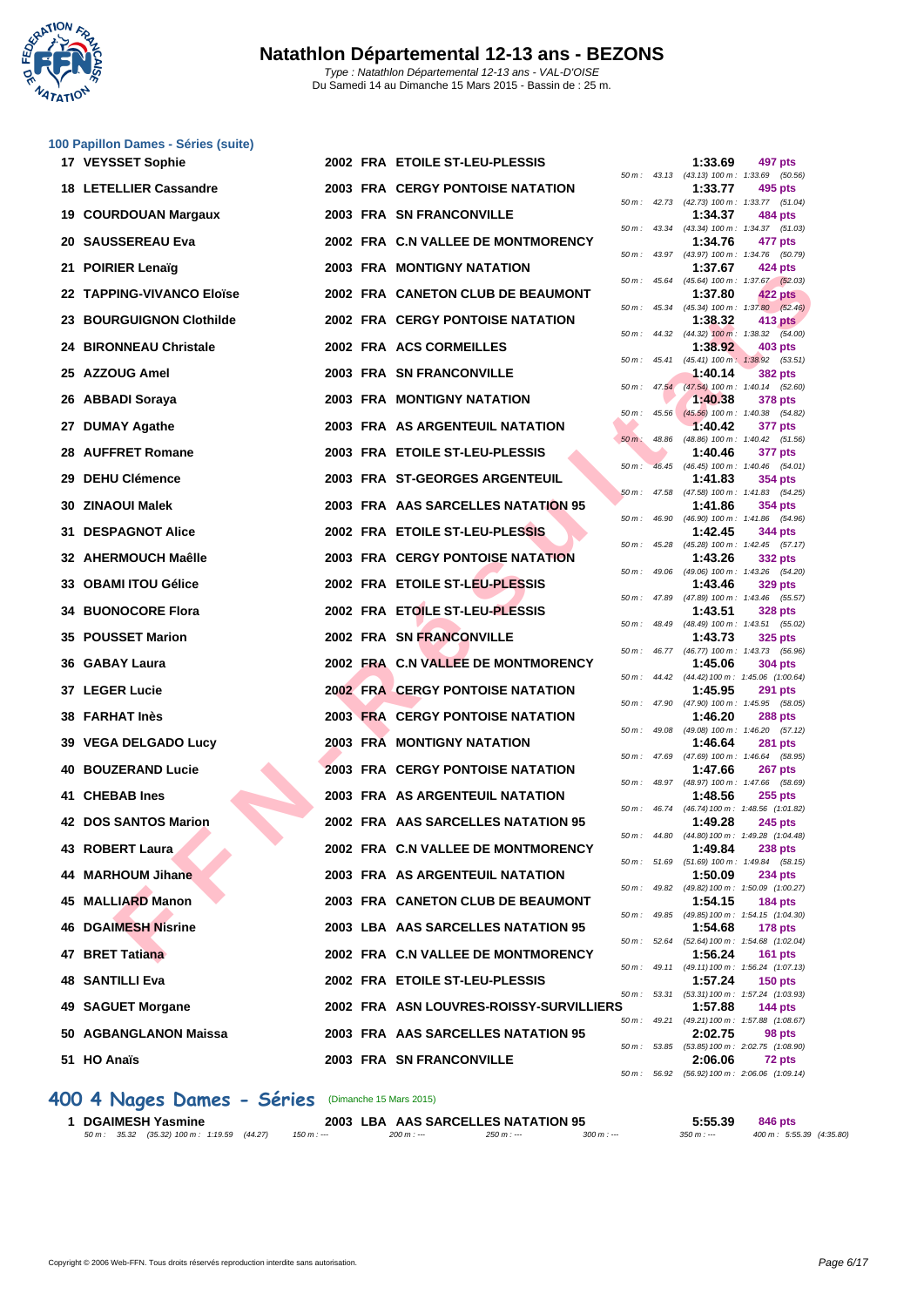

|     | 100 Papillon Dames - Séries (suite) |  |                                         |          |                  |         |                                                                |
|-----|-------------------------------------|--|-----------------------------------------|----------|------------------|---------|----------------------------------------------------------------|
|     | 17 VEYSSET Sophie                   |  | 2002 FRA ETOILE ST-LEU-PLESSIS          |          |                  | 1:33.69 | 497 pts<br>50 m: 43.13 (43.13) 100 m: 1:33.69 (50.56)          |
|     | <b>18 LETELLIER Cassandre</b>       |  | 2003 FRA CERGY PONTOISE NATATION        |          |                  | 1:33.77 | 495 pts                                                        |
| 19  | <b>COURDOUAN Margaux</b>            |  | 2003 FRA SN FRANCONVILLE                |          |                  | 1:34.37 | 50 m: 42.73 (42.73) 100 m: 1:33.77 (51.04)<br>484 pts          |
|     | 20 SAUSSEREAU Eva                   |  | 2002 FRA C.N VALLEE DE MONTMORENCY      |          |                  | 1:34.76 | 50 m: 43.34 (43.34) 100 m: 1:34.37 (51.03)<br>477 pts          |
| 21. | <b>POIRIER Lenaïg</b>               |  | 2003 FRA MONTIGNY NATATION              |          |                  | 1:37.67 | 50 m: 43.97 (43.97) 100 m: 1:34.76 (50.79)<br>424 pts          |
|     | 22 TAPPING-VIVANCO Eloïse           |  | 2002 FRA CANETON CLUB DE BEAUMONT       |          |                  | 1:37.80 | 50 m: 45.64 (45.64) 100 m: 1:37.67 (52.03)<br>422 pts          |
|     | 23 BOURGUIGNON Clothilde            |  | <b>2002 FRA CERGY PONTOISE NATATION</b> | 50 m :   |                  |         | 45.34 (45.34) 100 m : 1:37.80 (52.46)                          |
|     |                                     |  |                                         |          |                  | 1:38.32 | 413 pts<br>50 m : 44.32 (44.32) 100 m : 1:38.32 (54.00)        |
|     | <b>24 BIRONNEAU Christale</b>       |  | 2002 FRA ACS CORMEILLES                 | 50 m :   | 45.41            | 1:38.92 | 403 pts<br>$(45.41)$ 100 m : 1:38.92 $(53.51)$                 |
|     | 25 AZZOUG Amel                      |  | 2003 FRA SN FRANCONVILLE                |          | $50 m$ : $47.54$ | 1:40.14 | 382 pts<br>(47.54) 100 m: 1:40.14 (52.60)                      |
| 26  | ABBADI Soraya                       |  | 2003 FRA MONTIGNY NATATION              | 50 m :   |                  | 1:40.38 | 378 pts<br>45.56 (45.56) 100 m: 1:40.38 (54.82)                |
|     | 27 DUMAY Agathe                     |  | 2003 FRA AS ARGENTEUIL NATATION         | $50 m$ : | 48.86            | 1:40.42 | 377 pts<br>(48.86) 100 m: 1:40.42 (51.56)                      |
| 28  | <b>AUFFRET Romane</b>               |  | 2003 FRA ETOILE ST-LEU-PLESSIS          |          |                  | 1:40.46 | 377 pts                                                        |
| 29  | <b>DEHU Clémence</b>                |  | 2003 FRA ST-GEORGES ARGENTEUIL          | $50 m$ : |                  | 1:41.83 | 46.45 (46.45) 100 m: 1:40.46 (54.01)<br>354 pts                |
|     | 30 ZINAOUI Malek                    |  | 2003 FRA AAS SARCELLES NATATION 95      |          | $50 m$ : 47.58   | 1:41.86 | (47.58) 100 m: 1:41.83 (54.25)<br>354 pts                      |
| 31  | <b>DESPAGNOT Alice</b>              |  | 2002 FRA ETOILE ST-LEU-PLESSIS          |          | 50 m: 46.90      | 1:42.45 | (46.90) 100 m: 1:41.86 (54.96)<br>344 pts                      |
|     | 32 AHERMOUCH Maêlle                 |  | <b>2003 FRA CERGY PONTOISE NATATION</b> |          |                  | 1:43.26 | 50 m: 45.28 (45.28) 100 m: 1:42.45 (57.17)<br>332 pts          |
|     | <b>OBAMI ITOU Gélice</b>            |  | 2002 FRA ETOILE ST-LEU-PLESSIS          |          |                  |         | 50 m: 49.06 (49.06) 100 m: 1:43.26 (54.20)<br>329 pts          |
| 33  |                                     |  |                                         |          |                  | 1:43.46 | 50 m: 47.89 (47.89) 100 m: 1:43.46 (55.57)                     |
| 34. | <b>BUONOCORE Flora</b>              |  | 2002 FRA ETOILE ST-LEU-PLESSIS          |          | 50 m : 48.49     | 1:43.51 | <b>328 pts</b><br>(48.49) 100 m: 1:43.51 (55.02)               |
|     | <b>35 POUSSET Marion</b>            |  | 2002 FRA SN FRANCONVILLE                |          |                  | 1:43.73 | 325 pts<br>50 m: 46.77 (46.77) 100 m: 1:43.73 (56.96)          |
|     | 36 GABAY Laura                      |  | 2002 FRA C.N VALLEE DE MONTMORENCY      | 50 m :   |                  | 1:45.06 | <b>304 pts</b><br>44.42 (44.42) 100 m: 1:45.06 (1:00.64)       |
|     | 37 LEGER Lucie                      |  | <b>2002 FRA CERGY PONTOISE NATATION</b> |          |                  | 1:45.95 | <b>291 pts</b><br>50 m: 47.90 (47.90) 100 m: 1:45.95 (58.05)   |
|     | <b>38 FARHAT Inès</b>               |  | 2003 FRA CERGY PONTOISE NATATION        |          |                  | 1:46.20 | <b>288 pts</b>                                                 |
|     | 39 VEGA DELGADO Lucy                |  | <b>2003 FRA MONTIGNY NATATION</b>       |          |                  | 1:46.64 | 50 m: 49.08 (49.08) 100 m: 1:46.20 (57.12)<br><b>281 pts</b>   |
| 40  | <b>BOUZERAND Lucie</b>              |  | <b>2003 FRA CERGY PONTOISE NATATION</b> |          |                  | 1:47.66 | 50 m: 47.69 (47.69) 100 m: 1:46.64 (58.95)<br><b>267 pts</b>   |
|     | 41 CHEBAB Ines                      |  | 2003 FRA AS ARGENTEUIL NATATION         |          |                  | 1:48.56 | 50 m: 48.97 (48.97) 100 m: 1:47.66 (58.69)<br><b>255 pts</b>   |
|     | 42 DOS SANTOS Marion                |  | 2002 FRA AAS SARCELLES NATATION 95      |          |                  | 1:49.28 | 50 m: 46.74 (46.74) 100 m: 1:48.56 (1:01.82)<br><b>245 pts</b> |
|     | 43 ROBERT Laura                     |  | 2002 FRA C.N VALLEE DE MONTMORENCY      |          |                  |         | 50 m: 44.80 (44.80) 100 m: 1:49.28 (1:04.48)                   |
|     |                                     |  |                                         |          |                  | 1:49.84 | <b>238 pts</b><br>50 m: 51.69 (51.69) 100 m: 1:49.84 (58.15)   |
| 44  | <b>MARHOUM Jihane</b>               |  | 2003 FRA AS ARGENTEUIL NATATION         |          |                  | 1:50.09 | <b>234 pts</b><br>50 m: 49.82 (49.82) 100 m: 1:50.09 (1:00.27) |
|     | 45 MALLIARD Manon                   |  | 2003 FRA CANETON CLUB DE BEAUMONT       |          |                  | 1:54.15 | <b>184 pts</b><br>50 m: 49.85 (49.85) 100 m: 1:54.15 (1:04.30) |
| 46  | <b>DGAIMESH Nisrine</b>             |  | 2003 LBA AAS SARCELLES NATATION 95      |          |                  | 1:54.68 | <b>178 pts</b><br>50 m: 52.64 (52.64) 100 m: 1:54.68 (1:02.04) |
|     | 47 BRET Tatiana                     |  | 2002 FRA C.N VALLEE DE MONTMORENCY      |          |                  | 1:56.24 | <b>161 pts</b>                                                 |
|     | <b>48 SANTILLI Eva</b>              |  | 2002 FRA ETOILE ST-LEU-PLESSIS          |          |                  | 1:57.24 | 50 m: 49.11 (49.11) 100 m: 1:56.24 (1:07.13)<br><b>150 pts</b> |
|     | 49 SAGUET Morgane                   |  | 2002 FRA ASN LOUVRES-ROISSY-SURVILLIERS |          | 50 m: 53.31      | 1:57.88 | (53.31) 100 m: 1:57.24 (1:03.93)<br><b>144 pts</b>             |
|     | 50 AGBANGLANON Maissa               |  | 2003 FRA AAS SARCELLES NATATION 95      |          |                  | 2:02.75 | 50 m: 49.21 (49.21) 100 m: 1:57.88 (1:08.67)<br>98 pts         |
|     | 51 HO Anaïs                         |  | 2003 FRA SN FRANCONVILLE                |          |                  | 2:06.06 | 50 m: 53.85 (53.85) 100 m: 2:02.75 (1:08.90)<br>72 pts         |
|     |                                     |  |                                         |          |                  |         | 50 m : 56.92 (56.92) 100 m : 2:06.06 (1:09.14)                 |

| 50 m :   | 43.34 | $(43.34) 100 m$ :            | 1:34.37<br>(51.03)           |
|----------|-------|------------------------------|------------------------------|
|          |       | 1:34.76                      | 477 pts                      |
| $50 m$ : | 43.97 | $(43.97) 100 m$ :            | 1:34.76<br>(50.79)           |
|          |       | 1:37.67                      | 424 pts                      |
| 50 m :   | 45.64 | $(45.64) 100 m$ :            | 1:37.67 (52.03)              |
|          |       | 1:37.80                      | <b>422 pts</b>               |
| $50 m$ : | 45.34 | $(45.34) 100 m$ :            | 1:37.80<br>(52.46)           |
|          |       | 1:38.32                      | 413 pts                      |
| $50 m$ : | 44.32 | $(44.32)$ 100 m :            | 1:38.32<br>(54.00)           |
|          |       | 1:38.92                      | <b>403 pts</b>               |
| 50 m :   | 45.41 | $(45.41)$ 100 m:             | 1:38.92<br>(53.51)           |
|          |       | 1:40.14                      | <b>382 pts</b>               |
| $50 m$ : | 47.54 | $(47.54) 100 m$ :            | 1:40.14<br>(52.60)           |
|          |       | 1:40.38                      | <b>378 pts</b>               |
| 50 m :   | 45.56 | $(45.56) 100 m$ :            | 1:40.38<br>(54.82)           |
|          |       | 1:40.42                      | <b>377 pts</b>               |
| $50 m$ : | 48.86 | $(48.86) 100 m$ :            | 1:40.42<br>(51.56)           |
|          |       | 1:40.46                      | 377 pts                      |
| 50 m :   | 46.45 | $(46.45) 100 m$ :            | 1:40.46<br>(54.01)           |
|          |       | 1:41.83                      | 354 pts                      |
| 50 m :   | 47.58 | $(47.58) 100 m$ :            | 1:41.83<br>(54.25)           |
|          |       | 1:41.86                      | <b>354 pts</b>               |
| $50 m$ : | 46.90 | $(46.90)$ 100 m :            | 1:41.86<br>(54.96)           |
|          | 45.28 | 1:42.45                      | 344 pts                      |
| $50 m$ : |       | $(45.28) 100 m$ :            | 1:42.45<br>(57.17)           |
|          |       | 1:43.26                      | 332 pts                      |
| 50 m :   | 49.06 | $(49.06) 100 m$ :            | 1:43.26<br>(54.20)           |
|          |       | 1:43.46                      | <b>329 pts</b>               |
| $50 m$ : | 47.89 | (47.89) 100 m :<br>1:43.51   | 1:43.46<br>(55.57)           |
|          | 48.49 |                              | 328 pts                      |
| 50 m :   |       | $(48.49) 100 m$ :            | 1:43.51<br>(55.02)           |
|          | 46.77 | 1:43.73<br>$(46.77) 100 m$ : | 325 pts<br>1:43.73           |
| 50 m :   |       | 1:45.06                      | (56.96)                      |
| 50 m :   | 44.42 | (44.42) 100 m :              | 304 pts<br>1:45.06 (1:00.64) |
|          |       | 1:45.95                      | 291 pts                      |
| 50 m :   | 47.90 | (47.90) 100 m :              | 1:45.95<br>(58.05)           |
|          |       | 1:46.20                      | 288 pts                      |
| 50 m :   | 49.08 | $(49.08) 100 m$ :            | 1:46.20<br>(57.12)           |
|          |       | 1:46.64                      | <b>281 pts</b>               |
| 50 m :   | 47.69 | (47.69) 100 m :              | 1:46.64<br>(58.95)           |
|          |       | 1:47.66                      | 267 pts                      |
| 50 m:    | 48.97 | (48.97) 100 m :              | 1:47.66<br>(58.69)           |
|          |       | 1:48.56                      | $255$ pts                    |
| 50 m :   | 46.74 | (46.74) 100 m :              | 1:48.56 (1:01.82)            |
|          |       | 1:49.28                      | 245 pts                      |
| 50 m :   | 44.80 | (44.80) 100 m :              | 1:49.28 (1:04.48)            |
|          |       | 1:49.84                      | 238 pts                      |
| $50 m$ : | 51.69 | $(51.69) 100 m$ :            | (58.15)<br>1:49.84           |
|          |       | 1:50.09                      | <b>234 pts</b>               |
| $50 m$ : | 49.82 | $(49.82) 100 m$ :            | 1:50.09 (1:00.27)            |
|          |       | 1:54.15                      | <b>184 pts</b>               |
| 50 m:    | 49.85 | (49.85) 100 m :              | 1:54.15 (1:04.30)            |
|          |       | 1:54.68                      | 178 pts                      |
| $50 m$ : | 52.64 | $(52.64) 100 m$ :            | 1:54.68 (1:02.04)            |
|          |       | 1:56.24                      | 161 pts                      |
| $50 m$ : | 49.11 | $(49.11) 100 m$ :            | 1:56.24 (1:07.13)            |
|          |       | 1:57.24                      | 150 pts                      |
| $50 m$ : | 53.31 | $(53.31) 100 m$ :            | 1:57.24 (1:03.93)            |
| ۱S       |       | 1:57.88                      | 144 pts                      |
| $50 m$ : | 49.21 | $(49.21) 100 m$ :            | 1:57.88 (1:08.67)            |
|          |       | 2:02.75                      | 98 pts                       |
| $50 m$ : | 53.85 | $(53.85) 100 m$ :            | 2:02.75 (1:08.90)            |
|          |       | 2:06.06                      | 72 pts                       |
| $50 m$ : | 56.92 | $(56.92) 100 m$ :            | 2:06.06 (1:09.14)            |

# **400 4 Nages Dames - Séries** (Dimanche 15 Mars 2015)

| <b>DGAIMESH Yasmine</b>                      |               | 2003 LBA AAS SARCELLES NATATION 95 |             |            | 5:55.39     | 846 pts                   |
|----------------------------------------------|---------------|------------------------------------|-------------|------------|-------------|---------------------------|
| 50 m : 35.32 (35.32) 100 m : 1:19.59 (44.27) | $150 m$ : --- | $200 m: -$                         | $250 m : -$ | $300 m: -$ | $350 m : -$ | 400 m : 5:55.39 (4:35.80) |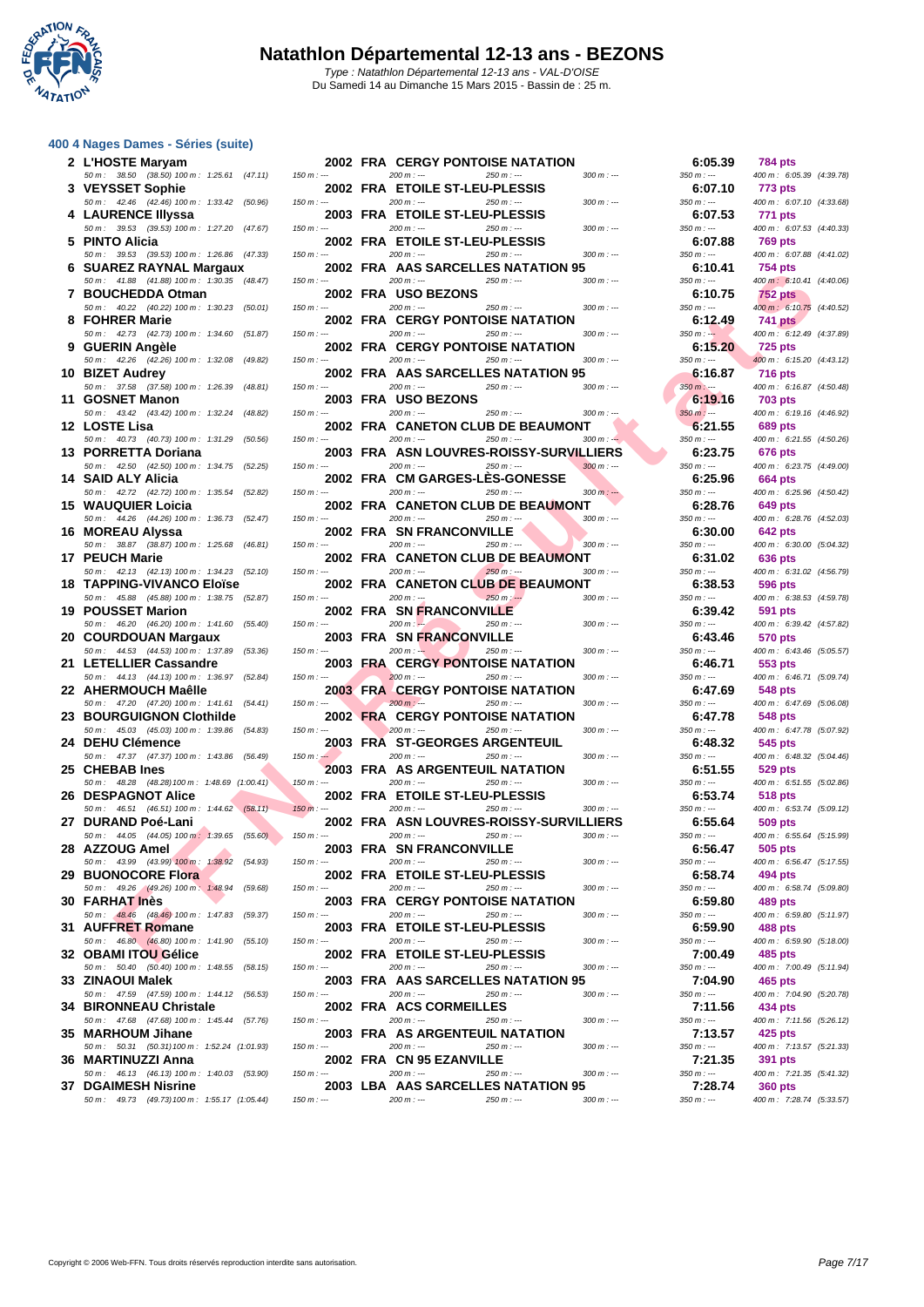

#### **[400 4 Nag](http://www.ffnatation.fr/webffn/index.php)es Dames - Séries (suite)**

| 2 L'HOSTE Maryam                                                            |               | <b>2002 FRA CERGY PONTOISE NATATION</b>                                                | 6:05.39                | <b>784 pts</b>                             |
|-----------------------------------------------------------------------------|---------------|----------------------------------------------------------------------------------------|------------------------|--------------------------------------------|
| 50 m: 38.50 (38.50) 100 m: 1:25.61 (47.11)                                  | $150 m : -$   | $200 m: -$<br>$250 m : -$<br>$300 m : -$                                               | $350 m: -$             | 400 m: 6:05.39 (4:39.78)                   |
| 3 VEYSSET Sophie                                                            |               | 2002 FRA ETOILE ST-LEU-PLESSIS                                                         | 6:07.10                | 773 pts                                    |
| 50 m : 42.46 (42.46) 100 m : 1:33.42 (50.96)                                | $150 m: -$    | $200 m : -$<br>250 m : ---<br>$300 m: -$                                               | $350 m : -$            | 400 m: 6:07.10 (4:33.68)                   |
| 4 LAURENCE IIIyssa                                                          |               | 2003 FRA ETOILE ST-LEU-PLESSIS                                                         | 6:07.53                | 771 pts                                    |
| 50 m: 39.53 (39.53) 100 m: 1:27.20 (47.67)                                  | $150 m: -$    | $200 m: -$<br>$250 m: -$<br>$300 m : -$                                                | $350 m: -$             | 400 m: 6:07.53 (4:40.33)                   |
| 5 PINTO Alicia<br>50 m: 39.53 (39.53) 100 m: 1:26.86 (47.33)                | $150 m : -$   | 2002 FRA ETOILE ST-LEU-PLESSIS<br>$200 m: -$<br>$250 m: -$<br>$300 m : -$              | 6:07.88<br>$350 m : -$ | 769 pts<br>400 m: 6:07.88 (4:41.02)        |
| 6 SUAREZ RAYNAL Margaux                                                     |               | 2002 FRA AAS SARCELLES NATATION 95                                                     | 6:10.41                | <b>754 pts</b>                             |
| 50 m: 41.88 (41.88) 100 m: 1:30.35 (48.47)                                  | $150 m: -$    | $200 m: -$<br>$250 m: -$<br>$300 m : -$                                                | $350 m : -$            | 400 m: 6:10.41 (4:40.06)                   |
| 7 BOUCHEDDA Otman                                                           |               | 2002 FRA USO BEZONS                                                                    | 6:10.75                | 752 pts                                    |
| 50 m: 40.22 (40.22) 100 m: 1:30.23 (50.01)                                  | $150 m: -$    | $200 m: -$<br>$250 m: -$<br>$300 m: -$                                                 | $350 m : -$            | 400 m : 6:10.75 (4:40.52)                  |
| 8 FOHRER Marie                                                              |               | <b>2002 FRA CERGY PONTOISE NATATION</b>                                                | 6:12.49                | <b>741 pts</b>                             |
| 50 m: 42.73 (42.73) 100 m: 1:34.60 (51.87)<br>9 GUERIN Angèle               | $150 m : -$   | $200 m: -$<br>$250 m : -$<br>$300 m : -$<br><b>2002 FRA CERGY PONTOISE NATATION</b>    | $350 m: -$<br>6:15.20  | 400 m: 6:12.49 (4:37.89)<br><b>725 pts</b> |
| 50 m : 42.26 (42.26) 100 m : 1:32.08 (49.82)                                | $150 m : -$   | $300 m : -$<br>$200 m: -$<br>$250 m: -$                                                | $350 m : -$            | 400 m: 6:15.20 (4:43.12)                   |
| 10 BIZET Audrey                                                             |               | 2002 FRA AAS SARCELLES NATATION 95                                                     | 6:16.87                | <b>716 pts</b>                             |
| 50 m: 37.58 (37.58) 100 m: 1:26.39 (48.81)                                  | $150 m: -$    | $200 m : -$<br>250 m : ---<br>$300 m : -$                                              | $350 m$ : ---          | 400 m: 6:16.87 (4:50.48)                   |
| 11 GOSNET Manon                                                             |               | 2003 FRA USO BEZONS                                                                    | 6:19.16                | <b>703 pts</b>                             |
| 50 m: 43.42 (43.42) 100 m: 1:32.24 (48.82)                                  | $150 m: -$    | $200 m: -$<br>$250 m : -$<br>$300 m : -$                                               | $350 m : -$            | 400 m: 6:19.16 (4:46.92)                   |
| 12 LOSTE Lisa<br>50 m: 40.73 (40.73) 100 m: 1:31.29 (50.56)                 | $150 m: -$    | 2002 FRA CANETON CLUB DE BEAUMONT<br>$200 m: -$<br>$250 m : -$<br>$300 m: -$           | 6:21.55<br>$350 m : -$ | 689 pts<br>400 m: 6:21.55 (4:50.26)        |
| 13 PORRETTA Doriana                                                         |               | 2003 FRA ASN LOUVRES-ROISSY-SURVILLIERS                                                | 6:23.75                | <b>676 pts</b>                             |
| 50 m: 42.50 (42.50) 100 m: 1:34.75 (52.25)                                  | $150 m : -$   | $200 m: -$<br>$250 m: -$<br>$300 m : -$                                                | $350 m : -$            | 400 m: 6:23.75 (4:49.00)                   |
| 14 SAID ALY Alicia                                                          |               | 2002 FRA CM GARGES-LES-GONESSE                                                         | 6:25.96                | 664 pts                                    |
| 50 m: 42.72 (42.72) 100 m: 1:35.54 (52.82)                                  | $150 m$ : --- | $200 m: -$<br>$250 m: -$<br>$300 m$ : ---                                              | $350 m : -$            | 400 m: 6:25.96 (4:50.42)                   |
| <b>15 WAUQUIER Loicia</b>                                                   |               | 2002 FRA CANETON CLUB DE BEAUMONT                                                      | 6:28.76                | 649 pts                                    |
| 50 m: 44.26 (44.26) 100 m: 1:36.73 (52.47)<br>16 MOREAU Alyssa              | $150 m: -$    | $200 m: -$<br>250 m : ---<br>$300 m: -$<br>2002 FRA SN FRANCONVILLE                    | $350 m : -$<br>6:30.00 | 400 m: 6:28.76 (4:52.03)<br><b>642 pts</b> |
| 50 m: 38.87 (38.87) 100 m: 1:25.68 (46.81)                                  | $150 m: -$    | $200 m: -$<br>$250 m: -$<br>$300 m: -$                                                 | $350 m : -$            | 400 m: 6:30.00 (5:04.32)                   |
| 17 PEUCH Marie                                                              |               | <b>2002 FRA CANETON CLUB DE BEAUMONT</b>                                               | 6:31.02                | 636 pts                                    |
| 50 m: 42.13 (42.13) 100 m: 1:34.23 (52.10)                                  | $150 m : -$   | $200 m: -$<br>$250 m: -$<br>$300 m: -$                                                 | $350 m : -$            | 400 m: 6:31.02 (4:56.79)                   |
| <b>18 TAPPING-VIVANCO Eloïse</b>                                            |               | 2002 FRA CANETON CLUB DE BEAUMONT                                                      | 6:38.53                | 596 pts                                    |
| 50 m: 45.88 (45.88) 100 m: 1:38.75 (52.87)                                  | $150 m: -$    | $200 m: -$<br>$250 m: -$<br>$300 m : -$                                                | $350 m : -$            | 400 m: 6:38.53 (4:59.78)                   |
| 19 POUSSET Marion<br>50 m : 46.20 (46.20) 100 m : 1:41.60 (55.40)           | $150 m: -$    | 2002 FRA SNFRANCONVILLE<br>$200 m: -$<br>$250 m : -$<br>$300 m : -$                    | 6:39.42<br>$350 m : -$ | 591 pts<br>400 m: 6:39.42 (4:57.82)        |
|                                                                             |               |                                                                                        |                        |                                            |
|                                                                             |               |                                                                                        |                        |                                            |
| 20 COURDOUAN Margaux<br>50 m: 44.53 (44.53) 100 m: 1:37.89 (53.36)          | $150 m : -$   | 2003 FRA SN FRANCONVILLE<br>$200 m: -$<br>$250 m : -$<br>$300 m$ : ---                 | 6:43.46<br>$350 m : -$ | <b>570 pts</b><br>400 m: 6:43.46 (5:05.57) |
| 21 LETELLIER Cassandre                                                      |               | <b>2003 FRA CERGY PONTOISE NATATION</b>                                                | 6:46.71                | 553 pts                                    |
| 50 m: 44.13 (44.13) 100 m: 1:36.97 (52.84)                                  | $150 m: -$    | $200 m: -$<br>$250 m: -$<br>$300 m : -$                                                | $350 m : -$            | 400 m: 6:46.71 (5:09.74)                   |
| 22 AHERMOUCH Maêlle                                                         |               | <b>2003 FRA CERGY PONTOISE NATATION</b>                                                | 6:47.69                | 548 pts                                    |
| 50 m: 47.20 (47.20) 100 m: 1:41.61 (54.41)                                  | $150 m: -$    | $200 m : -$<br>$300 m : -$<br>$250 m : -$                                              | $350 m : -$            | 400 m: 6:47.69 (5:06.08)                   |
| 23 BOURGUIGNON Clothilde                                                    | $150 m: -$    | <b>2002 FRA CERGY PONTOISE NATATION</b><br>$200 m$ : ---<br>$250 m : -$<br>$300 m : -$ | 6:47.78<br>$350 m : -$ | <b>548 pts</b>                             |
| 50 m: 45.03 (45.03) 100 m: 1:39.86 (54.83)<br>24 DEHU Clémence              |               | 2003 FRA ST-GEORGES ARGENTEUIL                                                         | 6:48.32                | 400 m: 6:47.78 (5:07.92)<br>545 pts        |
| 50 m: 47.37 (47.37) 100 m: 1:43.86 (56.49)                                  | $150 m: -$    | $200 m: -$<br>$250 m : -$<br>$300 m: -$                                                | $350 m : -$            | 400 m : 6:48.32 (5:04.46)                  |
| 25 CHEBAB Ines                                                              |               | 2003 FRA AS ARGENTEUIL NATATION                                                        | 6:51.55                | 529 pts                                    |
| 50 m : 48.28 (48.28) 100 m : 1:48.69 (1:00.41)                              | $150 m : -$   | $200 m: -$<br>$250 m : -$<br>$300 m: -$                                                | $350 m : -$            | 400 m: 6:51.55 (5:02.86)                   |
| <b>26 DESPAGNOT Alice</b>                                                   |               | 2002 FRA ETOILE ST-LEU-PLESSIS<br>$250 m: -$                                           | 6:53.74                | 518 pts                                    |
| 50 m: 46.51 (46.51) 100 m: 1:44.62 (58.11)<br>27 DURAND Poé-Lani            | $150 m : -$   | $200 m: -$<br>$300 m : -$<br>2002 FRA ASN LOUVRES-ROISSY-SURVILLIERS                   | $350 m : -$<br>6:55.64 | 400 m : 6:53.74 (5:09.12)<br>509 pts       |
| 50 m : 44.05 (44.05) 100 m : 1:39.65 (55.60)                                | $150 m : -$   | $200 m : -$<br>$250 m : -$<br>$300 m : -$                                              | $350 m : -$            | 400 m: 6:55.64 (5:15.99)                   |
| 28 AZZOUG Amel                                                              |               | 2003 FRA SN FRANCONVILLE                                                               | 6:56.47                | 505 pts                                    |
| 50 m : 43.99 (43.99) 100 m : 1:38.92 (54.93)                                | $150 m : -$   | $200 m : -$<br>$300 m : -$<br>$250 m : -$                                              | $350 m : -$            | 400 m: 6:56.47 (5:17.55)                   |
| <b>29 BUONOCORE Flora</b>                                                   |               | 2002 FRA ETOILE ST-LEU-PLESSIS                                                         | 6:58.74                | 494 pts                                    |
| 50 m : 49.26 (49.26) 100 m : 1:48.94 (59.68)                                | $150 m: -$    | $200 m: -$<br>$250 m : -$<br>$300 m : -$                                               | $350 m : -$            | 400 m: 6:58.74 (5:09.80)                   |
| <b>30 FARHAT Inès</b><br>50 m : 48.46 (48.46) 100 m : 1:47.83 (59.37)       | $150 m$ : --- | 2003 FRA CERGY PONTOISE NATATION<br>$200 m: -$<br>$250 m : -$<br>$300 m$ : ---         | 6:59.80<br>$350 m : -$ | 489 pts<br>400 m: 6:59.80 (5:11.97)        |
| 31 AUFFRET Romane                                                           |               | 2003 FRA ETOILE ST-LEU-PLESSIS                                                         | 6:59.90                | 488 pts                                    |
| 50 m : 46.80 (46.80) 100 m : 1:41.90 (55.10)                                | $150 m: -$    | $200 m : -$<br>$250 m: -$<br>$300 m: -$                                                | $350 m: -$             | 400 m: 6:59.90 (5:18.00)                   |
| 32 OBAMI ITOU Gélice                                                        |               | 2002 FRA ETOILE ST-LEU-PLESSIS                                                         | 7:00.49                | 485 pts                                    |
| 50 m : 50.40 (50.40) 100 m : 1:48.55 (58.15)                                | $150 m : -$   | $200 m : -$<br>$250 m : -$<br>$300 m : -$                                              | $350 m : -$            | 400 m: 7:00.49 (5:11.94)                   |
| 33 ZINAOUI Malek                                                            |               | 2003 FRA AAS SARCELLES NATATION 95                                                     | 7:04.90                | 465 pts                                    |
| 50 m: 47.59 (47.59) 100 m: 1:44.12 (56.53)<br><b>34 BIRONNEAU Christale</b> | $150 m : -$   | $200 m: -$<br>$250 m : -$<br>$300 m : -$<br>2002 FRA ACS CORMEILLES                    | $350 m : -$<br>7:11.56 | 400 m: 7:04.90 (5:20.78)<br>434 pts        |
| 50 m : 47.68 (47.68) 100 m : 1:45.44 (57.76)                                | $150 m: -$    | $200 m : -$<br>$250 m : -$<br>$300 m : -$                                              | $350 m : -$            | 400 m: 7:11.56 (5:26.12)                   |
| 35 MARHOUM Jihane                                                           |               | 2003 FRA AS ARGENTEUIL NATATION                                                        | 7:13.57                | 425 pts                                    |
| 50 m: 50.31 (50.31) 100 m: 1:52.24 (1:01.93)                                | $150 m: -$    | $200 m: -$<br>$250 m : -$<br>$300 m : -$                                               | $350 m: -$             | 400 m: 7:13.57 (5:21.33)                   |
| 36 MARTINUZZI Anna                                                          |               | 2002 FRA CN 95 EZANVILLE                                                               | 7:21.35                | 391 pts                                    |
| 50 m : 46.13 (46.13) 100 m : 1:40.03 (53.90)<br><b>37 DGAIMESH Nisrine</b>  | $150 m : -$   | $200 m: -$<br>$250 m : -$<br>$300 m : -$<br>2003 LBA AAS SARCELLES NATATION 95         | $350 m : -$<br>7:28.74 | 400 m: 7:21.35 (5:41.32)<br><b>360 pts</b> |

| 2 L'HOSTE Maryam                                                         |                        | <b>2002 FRA CERGY PONTOISE NATATION</b>                                |               | 6:05.39                  | <b>784 pts</b>                              |
|--------------------------------------------------------------------------|------------------------|------------------------------------------------------------------------|---------------|--------------------------|---------------------------------------------|
| 50 m: 38.50 (38.50) 100 m: 1:25.61 (47.11)<br>3 VEYSSET Sophie           | $150 m : -$            | $200 m: -$<br>$250 m: -$<br>2002 FRA ETOILE ST-LEU-PLESSIS             | $300 m: -$    | $350 m : -$<br>6:07.10   | 400 m: 6:05.39 (4:39.78)<br>773 pts         |
| 50 m : 42.46 (42.46) 100 m : 1:33.42<br>4   LAURENCE Illyssa             | (50.96)<br>$150 m : -$ | $200 m: -$<br>250 m : ---<br>2003 FRA ETOILE ST-LEU-PLESSIS            | $300 m: -$    | $350 m: -$<br>6:07.53    | 400 m: 6:07.10 (4:33.68)<br>771 pts         |
| 50 m : 39.53 (39.53) 100 m : 1:27.20                                     | (47.67)<br>$150 m: -$  | $200 m: -$<br>$250 m: -$                                               | $300 m: -$    | $350 m: -$               | 400 m: 6:07.53 (4:40.33)                    |
| 5  PINTO Alicia<br>50 m: 39.53 (39.53) 100 m: 1:26.86 (47.33)            | $150 m: -$             | 2002 FRA ETOILE ST-LEU-PLESSIS<br>$200 m: -$<br>$250 m : -$            | $300 m$ : --- | 6:07.88<br>$350 m: -$    | <b>769 pts</b><br>400 m: 6:07.88 (4:41.02)  |
| 6 SUAREZ RAYNAL Margaux                                                  |                        | 2002 FRA AAS SARCELLES NATATION 95                                     |               | 6:10.41                  | 754 pts                                     |
| 50 m: 41.88 (41.88) 100 m: 1:30.35 (48.47)<br>7 BOUCHEDDA Otman          | $150 m: -$             | $200 m: -$<br>$250 m : -$<br><b>2002 FRA USO BEZONS</b>                | $300 m$ : --- | 350 m : ---<br>6:10.75   | 400 m : 6:10.41 (4:40.06)<br><b>752 pts</b> |
| 50 m: 40.22 (40.22) 100 m: 1:30.23                                       | (50.01)<br>$150 m: -$  | $200 m: -$<br>$250 m: -$                                               | $300 m: -$    | $350 m : -$              | 400 m: 6:10.75 (4:40.52)                    |
| 8   FOHRER Marie<br>50 m : 42.73 (42.73) 100 m : 1:34.60                 | (51.87)<br>$150 m: -$  | <b>2002 FRA CERGY PONTOISE NATATION</b><br>$200 m: -$<br>$250 m: -$    | $300 m$ : --- | 6:12.49<br>$350 m : -$   | 741 pts<br>400 m: 6:12.49 (4:37.89)         |
| 9 GUERIN Angèle                                                          | $150 m : -$            | <b>2002 FRA CERGY PONTOISE NATATION</b><br>$200 m$ : ---<br>$250 m: -$ | $300 m : -$   | 6:15.20                  | <b>725 pts</b><br>400 m : 6:15.20 (4:43.12) |
| 50 m: 42.26 (42.26) 100 m: 1:32.08<br>0 BIZET Audrey                     | (49.82)                | 2002 FRA AAS SARCELLES NATATION 95                                     |               | $350 m : -$<br>6:16.87   | <b>716 pts</b>                              |
| 50 m: 37.58 (37.58) 100 m: 1:26.39<br>1 GOSNET Manon                     | (48.81)<br>$150 m: -$  | $200 m: -$<br>$250 m: -$<br>2003 FRA USO BEZONS                        | $300 m: -$    | $350 m$ : ---<br>6:19.16 | 400 m: 6:16.87 (4:50.48)<br>703 pts         |
| 50 m: 43.42 (43.42) 100 m: 1:32.24                                       | $150 m: -$<br>(48.82)  | $200 m: -$<br>$250 m: -$                                               | $300 m : -$   | $350 m : -$              | 400 m : 6:19.16 (4:46.92)                   |
| 2   LOSTE Lisa<br>50 m: 40.73 (40.73) 100 m: 1:31.29                     | (50.56)<br>$150 m: -$  | 2002 FRA CANETON CLUB DE BEAUMONT<br>$200 m: -$<br>$250 m : -$         | $300 m: -$    | 6:21.55<br>$350 m : -$   | 689 pts<br>400 m: 6:21.55 (4:50.26)         |
| 3 PORRETTA Doriana                                                       |                        | 2003 FRA ASN LOUVRES-ROISSY-SURVILLIERS                                |               | 6:23.75                  | <b>676 pts</b>                              |
| 50 m: 42.50 (42.50) 100 m: 1:34.75<br>4   SAID ALY Alicia                | (52.25)<br>$150 m: -$  | $200 m: -$<br>$250 m: -$<br>2002 FRA CM GARGES-LES-GONESSE             | $300 m: -$    | $350 m: -$<br>6:25.96    | 400 m: 6:23.75 (4:49.00)<br>664 pts         |
| 50 m : 42.72 (42.72) 100 m : 1:35.54<br>5   WAUQUIER Loicia              | (52.82)<br>$150 m : -$ | $200 m: -$<br>$250 m: -$<br>2002 FRA CANETON CLUB DE BEAUMONT          | $300 m: -$    | $350 m : -$<br>6:28.76   | 400 m: 6:25.96 (4:50.42)                    |
| 50 m: 44.26 (44.26) 100 m: 1:36.73 (52.47)                               | $150 m : -$            | $200 m: -$<br>$250 m : -$                                              | $300 m: -$    | 350 m : ---              | 649 pts<br>400 m : 6:28.76 (4:52.03)        |
| 6  MOREAU Alyssa<br>50 m: 38.87 (38.87) 100 m: 1:25.68                   | (46.81)<br>$150 m: -$  | 2002 FRA SN FRANCONVILLE<br>$200 m: -$<br>$250 m : -$                  | $300 m$ : --- | 6:30.00<br>$350 m: -$    | 642 pts<br>400 m: 6:30.00 (5:04.32)         |
| 7   PEUCH Marie                                                          |                        | 2002 FRA CANETON CLUB DE BEAUMONT                                      |               | 6:31.02                  | 636 pts                                     |
| 50 m: 42.13 (42.13) 100 m: 1:34.23 (52.10)<br>8   TAPPING-VIVANCO Eloïse | $150 m: -$             | $200 m: -$<br>$250 m: -$<br><b>2002 FRA CANETON CLUB DE BEAUMONT</b>   | $300 m : -$   | $350 m : -$<br>6:38.53   | 400 m: 6:31.02 (4:56.79)<br>596 pts         |
| 50 m: 45.88 (45.88) 100 m: 1:38.75                                       | $150 m: -$<br>(52.87)  | $200 m: -$<br>$250 m: -$                                               | $300 m$ : --- | $350 m : -$              | 400 m: 6:38.53 (4:59.78)                    |
| <b>9 POUSSET Marion</b><br>50 m : 46.20 (46.20) 100 m : 1:41.60          | (55.40)<br>$150 m: -$  | 2002 FRA SNFRANCONVILLE<br>$200 m: -$<br>$250 m : -$                   | $300 m: -$    | 6:39.42<br>$350 m : -$   | 591 pts<br>400 m : 6:39.42 (4:57.82)        |
| 0 COURDOUAN Margaux<br>50 m: 44.53 (44.53) 100 m: 1:37.89                | (53.36)<br>$150 m: -$  | 2003 FRA SNFRANCONVILLE<br>$200 m: -$<br>$250 m : -$                   | $300 m$ : --- | 6:43.46<br>$350 m: -$    | <b>570 pts</b><br>400 m: 6:43.46 (5:05.57)  |
| 1   LETELLIER Cassandre                                                  |                        | <b>2003 FRA CERGY PONTOISE NATATION</b>                                |               | 6:46.71                  | 553 pts                                     |
| 50 m: 44.13 (44.13) 100 m: 1:36.97<br>2   AHERMOUCH Maêlle               | (52.84)<br>$150 m: -$  | $200 m: -$<br>$250 m : -$<br><b>2003 FRA CERGY PONTOISE NATATION</b>   | $300 m : -$   | 350 m : ---<br>6:47.69   | 400 m: 6:46.71 (5:09.74)<br>548 pts         |
| 50 m: 47.20 (47.20) 100 m: 1:41.61 (54.41)                               | $150 m: -$             | $200 m : -$<br>$250 m: -$                                              | $300 m : -$   | $350 m : -$              | 400 m: 6:47.69 (5:06.08)                    |
| 3   BOURGUIGNON Clothilde<br>50 m : 45.03 (45.03) 100 m : 1:39.86        | (54.83)<br>$150 m : -$ | <b>2002 FRA CERGY PONTOISE NATATION</b><br>$200 m: -$<br>$250 m : -$   | $300 m$ : --- | 6:47.78<br>$350 m: -$    | 548 pts<br>400 m: 6:47.78 (5:07.92)         |
| 4 DEHU Clémence                                                          |                        | 2003 FRA ST-GEORGES ARGENTEUIL                                         |               | 6:48.32                  | 545 pts                                     |
| 50 m: 47.37 (47.37) 100 m: 1:43.86<br>5 CHEBAB Ines                      | (56.49)<br>$150 m : -$ | $200 m: -$<br>$250 m : -$<br>2003 FRA AS ARGENTEUIL NATATION           | $300 m : -$   | $350 m : -$<br>6:51.55   | 400 m : 6:48.32 (5:04.46)<br>529 pts        |
| 50 m : 48.28 (48.28) 100 m : 1:48.69 (1:00.41)<br>6   DESPAGNOT Alice    | $150 m : -$            | $200 m: -$<br>$250 m: -$<br>2002 FRA ETOILE ST-LEU-PLESSIS             | $300 m: -$    | $350 m : -$<br>6:53.74   | 400 m: 6:51.55 (5:02.86)<br>518 pts         |
| 50 m: 46.51 (46.51) 100 m: 1:44.62 (58.11)                               | $150 m: -$             | $200 m: -$<br>$250 m : -$                                              | $300 m : -$   | $350 m : -$              | 400 m : 6:53.74 (5:09.12)                   |
| 7   DURAND Poé-Lani<br>50 m : 44.05 (44.05) 100 m : 1:39.65 (55.60)      | $150 m: -$             | 2002 FRA ASN LOUVRES-ROISSY-SURVILLIERS<br>$200 m : -$<br>$250 m : -$  | $300 m : -$   | 6:55.64<br>$350 m : -$   | 509 pts<br>400 m: 6:55.64 (5:15.99)         |
| 8 AZZOUG Amel                                                            |                        | 2003 FRA SN FRANCONVILLE                                               |               | 6:56.47                  | <b>505 pts</b>                              |
| 50 m : 43.99 (43.99) 100 m : 1:38.92 (54.93)<br><b>9 BUONOCORE Flora</b> | $150 m : -$            | $200 m: -$<br>$250 m : -$<br>2002 FRA ETOILE ST-LEU-PLESSIS            | $300 m : -$   | $350 m : -$<br>6:58.74   | 400 m: 6:56.47 (5:17.55)<br>494 pts         |
| 50 m : 49.26 (49.26) 100 m : 1:48.94                                     | (59.68)<br>$150 m: -$  | $200 m : -$<br>$250 m : -$                                             | $300 m : -$   | $350 m: -$               | 400 m: 6:58.74 (5:09.80)                    |
| 0 FARHAT Inès<br>50 m : 48.46 (48.46) 100 m : 1:47.83                    | (59.37)<br>$150 m: -$  | <b>2003 FRA CERGY PONTOISE NATATION</b><br>$200 m: -$<br>$250 m: -$    | $300 m : -$   | 6:59.80<br>$350 m : -$   | 489 pts<br>400 m: 6:59.80 (5:11.97)         |
| 1 AUFFRET Romane<br>50 m : 46.80 (46.80) 100 m : 1:41.90                 | (55.10)<br>$150 m: -$  | 2003 FRA ETOILE ST-LEU-PLESSIS<br>$200 m : -$<br>$250 m: -$            | $300 m : -$   | 6:59.90<br>$350 m : -$   | 488 pts<br>400 m: 6:59.90 (5:18.00)         |
| 2   OBAMI ITOU Gélice                                                    |                        | 2002 FRA ETOILE ST-LEU-PLESSIS                                         |               | 7:00.49                  | 485 pts                                     |
| 50 m : 50.40 (50.40) 100 m : 1:48.55<br>3   ZINAOUI Malek                | (58.15)<br>$150 m : -$ | $200 m: -$<br>$250 m : -$<br>2003 FRA AAS SARCELLES NATATION 95        | $300 m : -$   | $350 m : -$<br>7:04.90   | 400 m: 7:00.49 (5:11.94)<br>465 pts         |
| 50 m: 47.59 (47.59) 100 m: 1:44.12 (56.53)                               | $150 m : -$            | $200 m : -$<br>$250 m : -$                                             | $300 m : -$   | $350 m: -$               | 400 m: 7:04.90 (5:20.78)                    |
| 4 BIRONNEAU Christale<br>50 m: 47.68 (47.68) 100 m: 1:45.44 (57.76)      | $150 m : -$            | 2002 FRA ACS CORMEILLES<br>$200 m: -$<br>$250 m: -$                    | $300 m : -$   | 7:11.56<br>$350 m : -$   | 434 pts<br>400 m: 7:11.56 (5:26.12)         |
| 5   MARHOUM Jihane<br>50 m: 50.31 (50.31) 100 m: 1:52.24 (1:01.93)       | $150 m: -$             | <b>2003 FRA AS ARGENTEUIL NATATION</b><br>$200 m: -$<br>$250 m : -$    | $300 m : -$   | 7:13.57<br>$350 m : -$   | 425 pts<br>400 m: 7:13.57 (5:21.33)         |
| 6   MARTINUZZI Anna                                                      |                        | 2002 FRA CN 95 EZANVILLE                                               |               | 7:21.35                  | 391 pts                                     |
| 50 m: 46.13 (46.13) 100 m: 1:40.03 (53.90)                               | $150 m : -$            | $200 m: -$<br>$250 m : -$                                              | $300 m : -$   | $350 m : -$              | 400 m: 7:21.35 (5:41.32)                    |

# **38 AAS SARCELLES NATATION 95 7:28.74 360 pts**<br> **200** m: -- **2003** m: -- **2004 2004 2004 2004 7:28.74 400** m: 7:28.74 (5:3357)

| 773 pts                   |                                                                                                                                                                                                                                                                                                                                                                                                                                                                                                                                                                                                                                                                                                                                                                                                                                                                                                  |
|---------------------------|--------------------------------------------------------------------------------------------------------------------------------------------------------------------------------------------------------------------------------------------------------------------------------------------------------------------------------------------------------------------------------------------------------------------------------------------------------------------------------------------------------------------------------------------------------------------------------------------------------------------------------------------------------------------------------------------------------------------------------------------------------------------------------------------------------------------------------------------------------------------------------------------------|
| 400 m: 6:07.10 (4:33.68)  |                                                                                                                                                                                                                                                                                                                                                                                                                                                                                                                                                                                                                                                                                                                                                                                                                                                                                                  |
|                           |                                                                                                                                                                                                                                                                                                                                                                                                                                                                                                                                                                                                                                                                                                                                                                                                                                                                                                  |
|                           |                                                                                                                                                                                                                                                                                                                                                                                                                                                                                                                                                                                                                                                                                                                                                                                                                                                                                                  |
| 400 m : 6:07.88 (4:41.02) |                                                                                                                                                                                                                                                                                                                                                                                                                                                                                                                                                                                                                                                                                                                                                                                                                                                                                                  |
|                           |                                                                                                                                                                                                                                                                                                                                                                                                                                                                                                                                                                                                                                                                                                                                                                                                                                                                                                  |
|                           |                                                                                                                                                                                                                                                                                                                                                                                                                                                                                                                                                                                                                                                                                                                                                                                                                                                                                                  |
| 400 m : 6:10.75 (4:40.52) |                                                                                                                                                                                                                                                                                                                                                                                                                                                                                                                                                                                                                                                                                                                                                                                                                                                                                                  |
|                           |                                                                                                                                                                                                                                                                                                                                                                                                                                                                                                                                                                                                                                                                                                                                                                                                                                                                                                  |
|                           |                                                                                                                                                                                                                                                                                                                                                                                                                                                                                                                                                                                                                                                                                                                                                                                                                                                                                                  |
| 400 m: 6:15.20 (4:43.12)  |                                                                                                                                                                                                                                                                                                                                                                                                                                                                                                                                                                                                                                                                                                                                                                                                                                                                                                  |
|                           |                                                                                                                                                                                                                                                                                                                                                                                                                                                                                                                                                                                                                                                                                                                                                                                                                                                                                                  |
|                           |                                                                                                                                                                                                                                                                                                                                                                                                                                                                                                                                                                                                                                                                                                                                                                                                                                                                                                  |
| 400 m : 6:19.16 (4:46.92) |                                                                                                                                                                                                                                                                                                                                                                                                                                                                                                                                                                                                                                                                                                                                                                                                                                                                                                  |
|                           |                                                                                                                                                                                                                                                                                                                                                                                                                                                                                                                                                                                                                                                                                                                                                                                                                                                                                                  |
|                           |                                                                                                                                                                                                                                                                                                                                                                                                                                                                                                                                                                                                                                                                                                                                                                                                                                                                                                  |
| 400 m: 6:23.75 (4:49.00)  |                                                                                                                                                                                                                                                                                                                                                                                                                                                                                                                                                                                                                                                                                                                                                                                                                                                                                                  |
|                           |                                                                                                                                                                                                                                                                                                                                                                                                                                                                                                                                                                                                                                                                                                                                                                                                                                                                                                  |
|                           |                                                                                                                                                                                                                                                                                                                                                                                                                                                                                                                                                                                                                                                                                                                                                                                                                                                                                                  |
| 400 m: 6:28.76 (4:52.03)  |                                                                                                                                                                                                                                                                                                                                                                                                                                                                                                                                                                                                                                                                                                                                                                                                                                                                                                  |
| 642 pts                   |                                                                                                                                                                                                                                                                                                                                                                                                                                                                                                                                                                                                                                                                                                                                                                                                                                                                                                  |
|                           |                                                                                                                                                                                                                                                                                                                                                                                                                                                                                                                                                                                                                                                                                                                                                                                                                                                                                                  |
| 400 m : 6:31.02           | (4:56.79)                                                                                                                                                                                                                                                                                                                                                                                                                                                                                                                                                                                                                                                                                                                                                                                                                                                                                        |
|                           |                                                                                                                                                                                                                                                                                                                                                                                                                                                                                                                                                                                                                                                                                                                                                                                                                                                                                                  |
|                           |                                                                                                                                                                                                                                                                                                                                                                                                                                                                                                                                                                                                                                                                                                                                                                                                                                                                                                  |
| 400 m : 6:39.42 (4:57.82) |                                                                                                                                                                                                                                                                                                                                                                                                                                                                                                                                                                                                                                                                                                                                                                                                                                                                                                  |
|                           |                                                                                                                                                                                                                                                                                                                                                                                                                                                                                                                                                                                                                                                                                                                                                                                                                                                                                                  |
|                           | (5:05.57)                                                                                                                                                                                                                                                                                                                                                                                                                                                                                                                                                                                                                                                                                                                                                                                                                                                                                        |
| 400 m : 6:46.71           | (5:09.74)                                                                                                                                                                                                                                                                                                                                                                                                                                                                                                                                                                                                                                                                                                                                                                                                                                                                                        |
|                           | (5:06.08)                                                                                                                                                                                                                                                                                                                                                                                                                                                                                                                                                                                                                                                                                                                                                                                                                                                                                        |
| 548 pts                   |                                                                                                                                                                                                                                                                                                                                                                                                                                                                                                                                                                                                                                                                                                                                                                                                                                                                                                  |
| 400 m : 6:47.78 (5:07.92) |                                                                                                                                                                                                                                                                                                                                                                                                                                                                                                                                                                                                                                                                                                                                                                                                                                                                                                  |
|                           |                                                                                                                                                                                                                                                                                                                                                                                                                                                                                                                                                                                                                                                                                                                                                                                                                                                                                                  |
| 529 pts                   |                                                                                                                                                                                                                                                                                                                                                                                                                                                                                                                                                                                                                                                                                                                                                                                                                                                                                                  |
| 400 m: 6:51.55 (5:02.86)  |                                                                                                                                                                                                                                                                                                                                                                                                                                                                                                                                                                                                                                                                                                                                                                                                                                                                                                  |
|                           |                                                                                                                                                                                                                                                                                                                                                                                                                                                                                                                                                                                                                                                                                                                                                                                                                                                                                                  |
| 509 pts                   |                                                                                                                                                                                                                                                                                                                                                                                                                                                                                                                                                                                                                                                                                                                                                                                                                                                                                                  |
|                           |                                                                                                                                                                                                                                                                                                                                                                                                                                                                                                                                                                                                                                                                                                                                                                                                                                                                                                  |
|                           |                                                                                                                                                                                                                                                                                                                                                                                                                                                                                                                                                                                                                                                                                                                                                                                                                                                                                                  |
| 494 pts                   |                                                                                                                                                                                                                                                                                                                                                                                                                                                                                                                                                                                                                                                                                                                                                                                                                                                                                                  |
| 400 m: 6:58.74 (5:09.80)  |                                                                                                                                                                                                                                                                                                                                                                                                                                                                                                                                                                                                                                                                                                                                                                                                                                                                                                  |
|                           |                                                                                                                                                                                                                                                                                                                                                                                                                                                                                                                                                                                                                                                                                                                                                                                                                                                                                                  |
| 488 pts                   |                                                                                                                                                                                                                                                                                                                                                                                                                                                                                                                                                                                                                                                                                                                                                                                                                                                                                                  |
|                           |                                                                                                                                                                                                                                                                                                                                                                                                                                                                                                                                                                                                                                                                                                                                                                                                                                                                                                  |
| 400 m: 7:00.49 (5:11.94)  |                                                                                                                                                                                                                                                                                                                                                                                                                                                                                                                                                                                                                                                                                                                                                                                                                                                                                                  |
| <b>465 pts</b>            |                                                                                                                                                                                                                                                                                                                                                                                                                                                                                                                                                                                                                                                                                                                                                                                                                                                                                                  |
|                           |                                                                                                                                                                                                                                                                                                                                                                                                                                                                                                                                                                                                                                                                                                                                                                                                                                                                                                  |
| 400 m: 7:11.56 (5:26.12)  |                                                                                                                                                                                                                                                                                                                                                                                                                                                                                                                                                                                                                                                                                                                                                                                                                                                                                                  |
| 425 pts                   |                                                                                                                                                                                                                                                                                                                                                                                                                                                                                                                                                                                                                                                                                                                                                                                                                                                                                                  |
|                           |                                                                                                                                                                                                                                                                                                                                                                                                                                                                                                                                                                                                                                                                                                                                                                                                                                                                                                  |
| 400 m: 7:21.35 (5:41.32)  |                                                                                                                                                                                                                                                                                                                                                                                                                                                                                                                                                                                                                                                                                                                                                                                                                                                                                                  |
| 360 pts                   |                                                                                                                                                                                                                                                                                                                                                                                                                                                                                                                                                                                                                                                                                                                                                                                                                                                                                                  |
|                           | <b>784 pts</b><br>400 m: 6:05.39 (4:39.78)<br>771 pts<br>400 m : 6:07.53 (4:40.33)<br><b>769 pts</b><br>754 pts<br>$400 \text{ m}$ : 6:10.41 (4:40.06)<br><b>752 pts</b><br>741 pts<br>400 m: 6:12.49 (4:37.89)<br><b>725 pts</b><br><b>716 pts</b><br>400 m: 6:16.87 (4:50.48)<br><b>703 pts</b><br>689 pts<br>400 m: 6:21.55 (4:50.26)<br>676 pts<br>664 pts<br>$400 m$ : 6:25.96 (4:50.42)<br>649 pts<br>400 m : 6:30.00 (5:04.32)<br>636 pts<br>596 pts<br>400 m : 6:38.53 (4:59.78)<br>591 pts<br>570 pts<br>400 m : 6:43.46<br>553 pts<br>548 pts<br>400 m : 6:47.69<br>545 pts<br>400 m: 6:48.32 (5:04.46)<br>518 pts<br>400 m : 6:53.74 (5:09.12)<br>400 m : 6:55.64 (5:15.99)<br>505 pts<br>400 m: 6:56.47 (5:17.55)<br>489 pts<br>400 m: 6:59.80 (5:11.97)<br>400 m: 6:59.90 (5:18.00)<br><b>485 pts</b><br>400 m: 7:04.90 (5:20.78)<br>434 pts<br>400 m: 7:13.57 (5:21.33)<br>391 pts |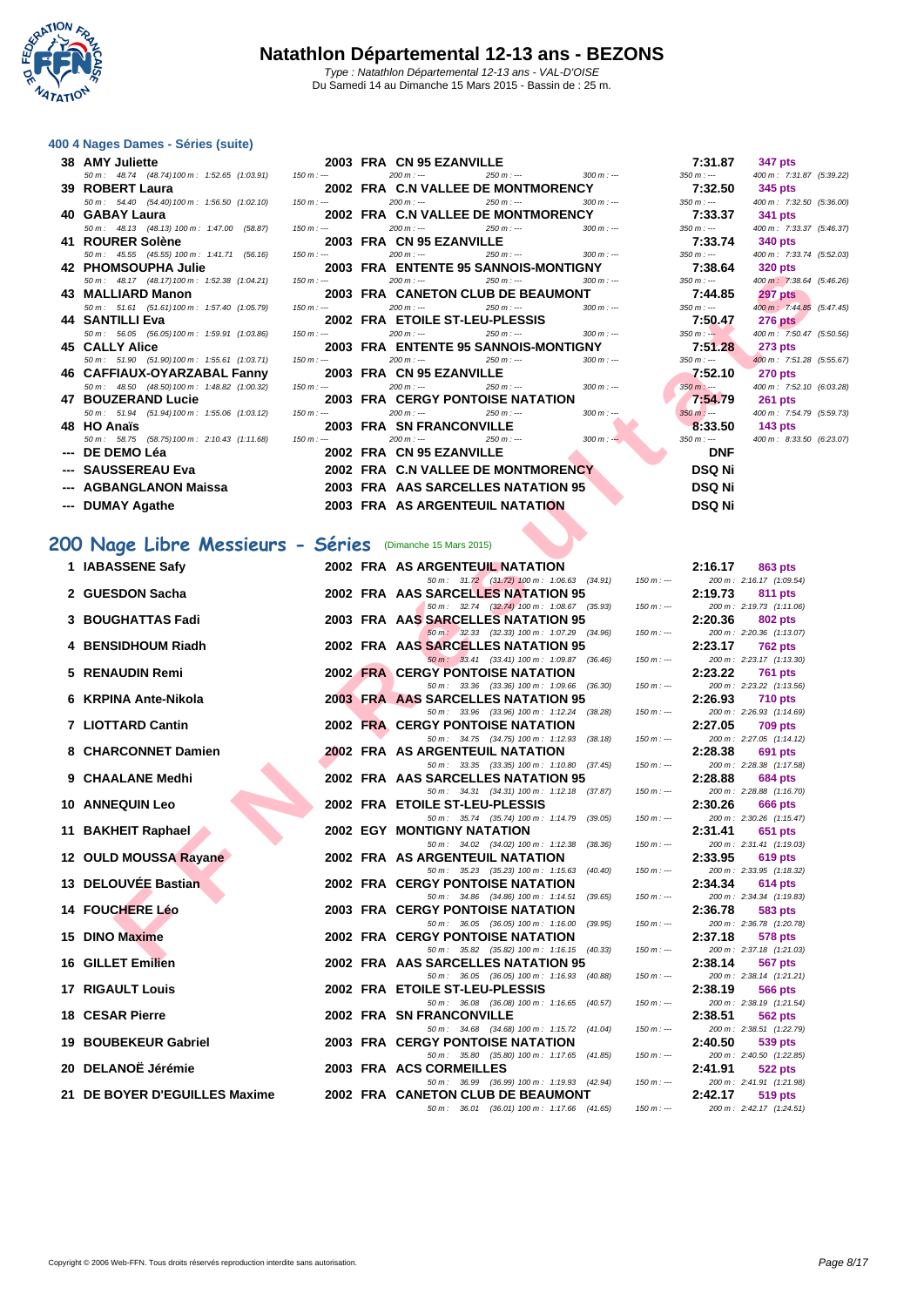

#### **[400 4 Nag](http://www.ffnatation.fr/webffn/index.php)es Dames - Séries (suite)**

| 38 AMY Juliette                                                               | 2003 FRA CN 95 EZANVILLE                                                                                                                                                                                                                                                                                                                    | 7:31.87 347 pts                         |
|-------------------------------------------------------------------------------|---------------------------------------------------------------------------------------------------------------------------------------------------------------------------------------------------------------------------------------------------------------------------------------------------------------------------------------------|-----------------------------------------|
| $50 \text{ m}$ : 48.74 (48.74) 100 m: 1:52.65 (1:03.91) 150 m: --- 200 m: --- | $250 m : -250 m : -250 m : -250 m : -250 m : -250 m : -250 m : -250 m : -250 m : -250 m : -250 m : -250 m : -250 m : -250 m : -250 m : -250 m : -250 m : -250 m : -250 m : -250 m : -250 m : -250 m : -250 m : -250 m : -250 m : -250 m : -250 m : -250 m : -250 m : -250 m : -250 m : -250 m : -250 m : -250 m : -250 m : -250 m : -250 m$ | 400 m: 7:31.87 (5:39.22)                |
| 39 ROBERT Laura                                                               | 2002 FRA C.N VALLEE DE MONTMORENCY 7:32.50 345 pts                                                                                                                                                                                                                                                                                          |                                         |
| 50 m : 54.40 (54.40) 100 m : 1:56.50 (1:02.10) 150 m :---                     | $200 \text{ m}$ : $\frac{1}{250 \text{ m}}$ : $\frac{250 \text{ m}}{250 \text{ m}}$ : $\frac{300 \text{ m}}{250 \text{ m}}$ : $\frac{350 \text{ m}}{250 \text{ m}}$                                                                                                                                                                         | 400 m: 7:32.50 (5:36.00)                |
| 40 GABAY Laura                                                                | 2002 FRA C.N VALLEE DE MONTMORENCY 7:33.37 341 pts                                                                                                                                                                                                                                                                                          |                                         |
| 50 m : 48.13 (48.13) 100 m : 1:47.00 (58.87) 150 m :---                       | $200 \text{ m}$ : $\frac{1}{250 \text{ m}}$ $\frac{250 \text{ m}}{250 \text{ m}}$ $\frac{300 \text{ m}}{250 \text{ m}}$ $\frac{350 \text{ m}}{250 \text{ m}}$                                                                                                                                                                               | 400 m: 7:33.37 (5:46.37)                |
| 41 ROURER Solène                                                              | 2003 FRA CN 95 EZANVILLE 7:33.74 340 pts                                                                                                                                                                                                                                                                                                    |                                         |
| 50 m : 45.55 (45.55) 100 m : 1:41.71 (56.16) 150 m :---                       | $200 \text{ m}$ : $\cdots$ $250 \text{ m}$ : $\cdots$ $300 \text{ m}$ : $\cdots$ $350 \text{ m}$ : $\cdots$                                                                                                                                                                                                                                 | 400 m : 7:33.74 (5:52.03)               |
|                                                                               | 42 PHOMSOUPHA Julie 2003 FRA ENTENTE 95 SANNOIS-MONTIGNY 7:38.64 320 pts                                                                                                                                                                                                                                                                    |                                         |
| 50 m : 48.17 (48.17) 100 m : 1:52.38 (1:04.21) 150 m :---                     | $200 m : -$<br>$300 \text{ m}$ : $- 350 \text{ m}$ : $--$<br>$250 m$ : $-$                                                                                                                                                                                                                                                                  | 400 m : 7:38.64 (5:46.26)               |
| 43 MALLIARD Manon                                                             | 2003 FRA CANETON CLUB DE BEAUMONT 7:44.85 297 pts                                                                                                                                                                                                                                                                                           |                                         |
| 50 m: 51.61 (51.61) 100 m: 1:57.40 (1:05.79) 150 m: ---                       | $250 \text{ m}$ : $\frac{1}{250 \text{ m}}$ : $\frac{300 \text{ m}}{250 \text{ m}}$ : $\frac{350 \text{ m}}{250 \text{ m}}$<br>$200 m$ : ---                                                                                                                                                                                                | 400 m: 7:44.85 (5:47.45)                |
| 44 SANTILLI Eva                                                               | 2002 FRA ETOILE ST-LEU-PLESSIS 7:50.47 276 pts                                                                                                                                                                                                                                                                                              |                                         |
|                                                                               | 50 m : 56.05 (56.05) 100 m : 1:59.91 (1:03.86) 150 m :--- 200 m :--- 200 m :--- 250 m :--- 300 m :--- 350 m :--- 350 m :---                                                                                                                                                                                                                 | 400 m: 7:50.47 (5:50.56)                |
| 45 CALLY Alice                                                                | 2003 FRA ENTENTE 95 SANNOIS-MONTIGNY 7:51.28 273 pts                                                                                                                                                                                                                                                                                        |                                         |
| 50 m : 51.90 (51.90) 100 m : 1:55.61 (1:03.71) 150 m :---                     | $200 \text{ m}$ : $\frac{1}{250 \text{ m}}$ $\frac{250 \text{ m}}{1}$ $\frac{1}{250 \text{ m}}$ $\frac{300 \text{ m}}{1}$ $\frac{1}{250 \text{ m}}$ $\frac{350 \text{ m}}{1}$ $\frac{1}{250 \text{ m}}$                                                                                                                                     | 400 m: 7:51.28 (5:55.67)                |
| 46 CAFFIAUX-OYARZABAL Fanny                                                   | 2003 FRA CN 95 EZANVILLE                                                                                                                                                                                                                                                                                                                    | $7.52.10$ 270 pts                       |
| 50 m : 48.50 (48.50) 100 m : 1:48.82 (1:00.32) 150 m :---                     | $200 \text{ m}$ : $\frac{1}{250 \text{ m}}$ $\frac{250 \text{ m}}{250 \text{ m}}$ $\frac{300 \text{ m}}{250 \text{ m}}$ .                                                                                                                                                                                                                   | 400 m: 7:52.10 (6:03.28)                |
|                                                                               |                                                                                                                                                                                                                                                                                                                                             | $7:54.79$ 261 pts                       |
| 50 m : 51.94 (51.94) 100 m : 1:55.06 (1:03.12) 150 m :---                     | $200 \text{ m}$ : $-250 \text{ m}$ : $-250 \text{ m}$ : $-250 \text{ m}$ : $-250 \text{ m}$ : $-250 \text{ m}$ : $-250 \text{ m}$ : $-250 \text{ m}$                                                                                                                                                                                        | $350 m : -$<br>400 m: 7:54.79 (5:59.73) |
| 48 HO Anaïs                                                                   | <b>2003 FRA SN FRANCONVILLE</b><br>75) 100 m : 2:10.43 (1:11.68) 150 m : --- 2000 m : --- 200 m : -- 250 m : -- 300 m : --                                                                                                                                                                                                                  | 8.33.50 143 pts                         |
| 50 m : 58.75 (58.75) 100 m : 2:10.43 (1:11.68) 150 m :---                     |                                                                                                                                                                                                                                                                                                                                             | 400 m: 8:33.50 (6:23.07)<br>$350 m : -$ |
|                                                                               |                                                                                                                                                                                                                                                                                                                                             | <b>DNF</b>                              |
|                                                                               |                                                                                                                                                                                                                                                                                                                                             | <b>DSQ Ni</b>                           |
| --- AGBANGLANON Maissa                                                        | <b>2003 FRA AAS SARCELLES NATATION 95</b>                                                                                                                                                                                                                                                                                                   | <b>DSQ Ni</b>                           |
| --- DUMAY Agathe                                                              | 2003 FRA AS ARGENTEUIL NATATION                                                                                                                                                                                                                                                                                                             | <b>DSQ Ni</b>                           |
|                                                                               | $\mathcal{L}$                                                                                                                                                                                                                                                                                                                               |                                         |

## **200 Nage Libre Messieurs - Séries** (Dimanche 15 Mars 2015)

|                  |                                                                                                                                                                                                                                | $350$ $III$ $. - -$<br>400 III: 7:31.67 (5:39.22) |
|------------------|--------------------------------------------------------------------------------------------------------------------------------------------------------------------------------------------------------------------------------|---------------------------------------------------|
|                  |                                                                                                                                                                                                                                |                                                   |
|                  | 50 m: 54.40 (54.40) 100 m: 1:56.50 (1:02.10) 150 m: --- 200 m: --- 250 m: --- 250 m: --- 300 m: --- 350 m: ---                                                                                                                 | 400 m: 7:32.50 (5:36.00)                          |
|                  |                                                                                                                                                                                                                                |                                                   |
|                  | 50 m : 48.13 (48.13) 100 m : 1:47.00 (58.87) 150 m :--- 200 m :--- 200 m :--- 250 m :--- 300 m :--- 350 m :---                                                                                                                 | 400 m: 7:33.37 (5:46.37)                          |
|                  |                                                                                                                                                                                                                                |                                                   |
|                  | 50 m : 45.55 (45.55) 100 m : 1:41.71 (56.16) 150 m :--- 200 m :--- 250 m :--- 300 m :--- 350 m :--- 350 m :---                                                                                                                 | 400 m: 7:33.74 (5:52.03)                          |
|                  |                                                                                                                                                                                                                                |                                                   |
|                  | 50 m : 48.17 (48.17) 100 m : 1:52.38 (1:04.21) 150 m :--- 200 m :--- 250 m :--- 250 m :--- 300 m :--- 350 m :---                                                                                                               | 400 m : 7:38.64 (5:46.26)                         |
|                  | 43 MALLIARD Manon           2003 FRA CANETON CLUB DE BEAUMONT        7:44.85 <mark>297 pts</mark>                                                                                                                              |                                                   |
|                  | 50 m : 51.61 (51.61) 100 m : 1:57.40 (1:05.79) 150 m :--- 200 m :--- 250 m :--- 250 m :--- 300 m :--- 350 m :---                                                                                                               | 400 m : 7:44.85 (5:47.45)                         |
|                  | 44 SANTILLI Eva 2009 2002 FRA ETOILE ST-LEU-PLESSIS 7:50.47 276 pts 750.47 276 pts 360 m : 56.05 (56.05) 100 m : 1:59.91 (1:03.86) 150 m : 200 m : 200 m : 200 m : 200 m : 200 m : 200 m : 200 m : 200 m : 200 m : 200 m : 200 |                                                   |
|                  |                                                                                                                                                                                                                                |                                                   |
|                  | 45 CALLY Alice              2003 FRA ENTENTE 95 SANNOIS-MONTIGNY        7:51.28  273 pts                                                                                                                                       |                                                   |
|                  | 50 m : 51.90 (51.90) 100 m : 1:55.61 (1:03.71) 150 m :--- 200 m :--- 250 m :--- 250 m :--- 300 m :--- 350 m :---                                                                                                               | 400 m : 7:51.28 (5:55.67)                         |
|                  | 46 CAFFIAUX-OYARZABAL Fanny      2003 FRA CN 95 EZANVILLE                                                                                                                                                                      | $7:52.10$ 270 pts                                 |
|                  | $50 \, \text{m}$ : 48.50 (48.50) 100 m : 1:48.82 (1:00.32) 150 m : $200 \, \text{m}$ : $\text{m}$ 250 m : $\text{m}$ 300 m : $\text{m}$ 350 m : $\text{m}$ 400 m : 7:52.10 (6:03.28)                                           |                                                   |
|                  |                                                                                                                                                                                                                                | $7:54.79$ 261 pts                                 |
|                  | 50 m : 51.94 (51.94) 100 m : 1:55.06 (1:03.12) 150 m : --- 200 m : --- 250 m : --- 250 m : --- 300 m : ---                                                                                                                     | 350 m : --- 400 m : 7:54.79 (5:59.73)             |
| 48 HO Anaïs      | <b>HO Anaïs</b><br>$50m$ : 58.75 (58.75) 100 m : 2:10.43 (1:11.68) 150 m : -- 2000 <b>FRA SN FRANCONVILLE</b><br>$50m$ : 58.75 (58.75) 100 m : - 2:10.43 (1:11.68) 150 m :- 200 m : - 200 m : - 250 m : - 300 m : - 300 m : -  | 8.33.50 143 pts                                   |
|                  |                                                                                                                                                                                                                                | 350 m :--- 400 m : 8:33.50 (6:23.07)              |
| --- DE DEMO Léa  | 2002 FRA CN 95 EZANVILLE                                                                                                                                                                                                       | <b>DNF</b>                                        |
|                  |                                                                                                                                                                                                                                | DSQ Ni                                            |
|                  |                                                                                                                                                                                                                                | DSQ Ni                                            |
| --- DUMAY Agathe | <b>2003 FRA AS ARGENTEUIL NATATION</b>                                                                                                                                                                                         | <b>DSQ Ni</b>                                     |
|                  |                                                                                                                                                                                                                                |                                                   |

| <b>TA I HUMUUU HAJUK</b>                                                      |             | <b>ZUUJ INA LIVILIVIL 3J JAIVIVJIJ-IWUNII UNI</b>                                       |             | 1.30.07                   | <b>טבע</b> טב                              |  |
|-------------------------------------------------------------------------------|-------------|-----------------------------------------------------------------------------------------|-------------|---------------------------|--------------------------------------------|--|
| 50 m: 48.17 (48.17) 100 m: 1:52.38 (1:04.21)                                  | $150 m : -$ | $200 m : -$<br>$250 m : -$<br>$300 m : -$                                               |             | $350 m: -$                | 400 m : 7:38.64 (5:46                      |  |
| 43 MALLIARD Manon<br>50 m: 51.61 (51.61) 100 m: 1:57.40 (1:05.79)             | $150 m: -$  | 2003 FRA CANETON CLUB DE BEAUMONT<br>$200 m : -$<br>$250 m : -$<br>$300 m: -$           |             | 7:44.85<br>$350 m : -$    | <b>297 pts</b><br>400 m : 7:44.85 (5:47    |  |
| 44 SANTILLI Eva                                                               |             | 2002 FRA ETOILE ST-LEU-PLESSIS                                                          |             | 7:50.47                   | <b>276 pts</b>                             |  |
| 50 m : 56.05 (56.05) 100 m : 1:59.91 (1:03.86)                                | $150 m: -$  | $200 m: -$<br>$250 m: -$<br>$300 m: -$                                                  |             | $350 m : -$               | 400 m: 7:50.47 (5:50                       |  |
| <b>45 CALLY Alice</b>                                                         |             | 2003 FRA ENTENTE 95 SANNOIS-MONTIGNY                                                    |             | 7:51.28                   | <b>273 pts</b>                             |  |
| 50 m: 51.90 (51.90) 100 m: 1:55.61 (1:03.71)                                  | $150 m : -$ | $200 m: -$<br>$250 m: -$<br>$300 m : -$<br>2003 FRA CN 95 EZANVILLE                     |             | $350 m : -$<br>7:52.10    | 400 m : 7:51.28 (5:55<br><b>270 pts</b>    |  |
| 46 CAFFIAUX-OYARZABAL Fanny<br>50 m : 48.50 (48.50) 100 m : 1:48.82 (1:00.32) | $150 m : -$ | $200 m: -$<br>$250 m: -$<br>$300 m : -$                                                 |             | $350 m$ : ---             | 400 m : 7:52.10 (6:03                      |  |
| 47 BOUZERAND Lucie                                                            |             | <b>2003 FRA CERGY PONTOISE NATATION</b>                                                 |             | 7:54.79                   | <b>261 pts</b>                             |  |
| 50 m: 51.94 (51.94) 100 m: 1:55.06 (1:03.12)                                  | $150 m : -$ | $200 m: -$<br>$250 m : -$<br>$300 m : -$                                                |             | $350 m : -$               | 400 m: 7:54.79 (5:59                       |  |
| 48 HO Anaïs                                                                   |             | <b>2003 FRA SN FRANCONVILLE</b><br>$300 m : -$<br>$200 m: -$<br>$250 m : -$             |             | 8:33.50                   | 143 pts<br>400 m : 8:33.50 (6:23           |  |
| 50 m: 58.75 (58.75) 100 m: 2:10.43 (1:11.68)<br>--- DE DEMO Léa               | $150 m : -$ | 2002 FRA CN 95 EZANVILLE                                                                |             | $350 m : -$<br><b>DNF</b> |                                            |  |
| --- SAUSSEREAU Eva                                                            |             | 2002 FRA C.N VALLEE DE MONTMORENCY                                                      |             | <b>DSQ Ni</b>             |                                            |  |
| --- AGBANGLANON Maissa                                                        |             | 2003 FRA AAS SARCELLES NATATION 95                                                      |             | <b>DSQ Ni</b>             |                                            |  |
|                                                                               |             | 2003 FRA AS ARGENTEUIL NATATION                                                         |             |                           |                                            |  |
| --- DUMAY Agathe                                                              |             |                                                                                         |             | <b>DSQ Ni</b>             |                                            |  |
|                                                                               |             |                                                                                         |             |                           |                                            |  |
| 00 Nage Libre Messieurs - Séries (Dimanche 15 Mars 2015)                      |             |                                                                                         |             |                           |                                            |  |
| 1 IABASSENE Safy                                                              |             | <b>2002 FRA AS ARGENTEUIL NATATION</b>                                                  |             | 2:16.17                   | 863 pts                                    |  |
|                                                                               |             | 50 m : 31.72 (31.72) 100 m : 1:06.63 (34.91)                                            | $150 m: -$  |                           | 200 m: 2:16.17 (1:09.54)                   |  |
| 2 GUESDON Sacha                                                               |             | <b>2002 FRA AAS SARCELLES NATATION 95</b>                                               |             | 2:19.73                   | 811 pts                                    |  |
| 3 BOUGHATTAS Fadi                                                             |             | 50 m: 32.74 (32.74) 100 m: 1:08.67 (35.93)<br>2003 FRA AAS SARCELLES NATATION 95        | $150 m : -$ | 2:20.36                   | 200 m: 2:19.73 (1:11.06)<br>802 pts        |  |
|                                                                               |             | 50 m : 32.33 (32.33) 100 m : 1:07.29 (34.96)                                            | $150 m: -$  |                           | 200 m: 2:20.36 (1:13.07)                   |  |
| 4 BENSIDHOUM Riadh                                                            |             | 2002 FRA AAS SARCELLES NATATION 95                                                      |             | 2:23.17                   | <b>762 pts</b>                             |  |
|                                                                               |             | 50 m: 33.41 (33.41) 100 m: 1:09.87 (36.46)                                              | $150 m : -$ |                           | 200 m: 2:23.17 (1:13.30)                   |  |
| 5 RENAUDIN Remi                                                               |             | <b>2002 FRA CERGY PONTOISE NATATION</b><br>50 m : 33.36 (33.36) 100 m : 1:09.66 (36.30) | $150 m: -$  | 2:23.22                   | <b>761 pts</b><br>200 m: 2:23.22 (1:13.56) |  |
| 6 KRPINA Ante-Nikola                                                          |             | 2003 FRA AAS SARCELLES NATATION 95                                                      |             | 2:26.93                   | 710 pts                                    |  |
|                                                                               |             | 50 m: 33.96 (33.96) 100 m: 1:12.24<br>(38.28)                                           | $150 m: -$  |                           | 200 m: 2:26.93 (1:14.69)                   |  |
| 7 LIOTTARD Cantin                                                             |             | <b>2002 FRA CERGY PONTOISE NATATION</b>                                                 |             | 2:27.05                   | <b>709 pts</b>                             |  |
| 8 CHARCONNET Damien                                                           |             | 50 m: 34.75 (34.75) 100 m: 1:12.93 (38.18)<br>2002 FRA AS ARGENTEUIL NATATION           | $150 m: -$  | 2:28.38                   | 200 m: 2:27.05 (1:14.12)<br>691 pts        |  |
|                                                                               |             | 50 m: 33.35 (33.35) 100 m: 1:10.80 (37.45)                                              | $150 m: -$  |                           | 200 m: 2:28.38 (1:17.58)                   |  |
| 9 CHAALANE Medhi                                                              |             | 2002 FRA AAS SARCELLES NATATION 95                                                      |             | 2:28.88                   | <b>684 pts</b>                             |  |
|                                                                               |             | 50 m: 34.31 (34.31) 100 m: 1:12.18 (37.87)                                              | $150 m: -$  |                           | 200 m: 2:28.88 (1:16.70)                   |  |
| <b>10 ANNEQUIN Leo</b>                                                        |             | 2002 FRA ETOILE ST-LEU-PLESSIS<br>50 m: 35.74 (35.74) 100 m: 1:14.79 (39.05)            | $150 m: -$  | 2:30.26                   | 666 pts<br>200 m: 2:30.26 (1:15.47)        |  |
| 11 BAKHEIT Raphael                                                            |             | <b>2002 EGY MONTIGNY NATATION</b>                                                       |             | 2:31.41                   | 651 pts                                    |  |
|                                                                               |             | 50 m: 34.02 (34.02) 100 m: 1:12.38 (38.36)                                              | $150 m: -$  |                           | 200 m: 2:31.41 (1:19.03)                   |  |
| 12 OULD MOUSSA Rayane                                                         |             | 2002 FRA AS ARGENTEUIL NATATION                                                         |             | 2:33.95                   | 619 pts                                    |  |
| 13 DELOUVEE Bastian                                                           |             | 50 m: 35.23 (35.23) 100 m: 1:15.63 (40.40)<br><b>2002 FRA CERGY PONTOISE NATATION</b>   | $150 m: -$  | 2:34.34                   | 200 m: 2:33.95 (1:18.32)<br>614 pts        |  |
|                                                                               |             | 50 m: 34.86 (34.86) 100 m: 1:14.51<br>(39.65)                                           | $150 m: -$  |                           | 200 m: 2:34.34 (1:19.83)                   |  |
| 14 FOUCHERE Léo                                                               |             | <b>2003 FRA CERGY PONTOISE NATATION</b>                                                 |             | 2:36.78                   | 583 pts                                    |  |
|                                                                               |             | 50 m : 36.05 (36.05) 100 m : 1:16.00<br>(39.95)                                         | $150 m : -$ |                           | 200 m: 2:36.78 (1:20.78)                   |  |
| 15 DINO Maxime                                                                |             | 2002 FRA CERGY PONTOISE NATATION<br>50 m: 35.82 (35.82) 100 m: 1:16.15 (40.33)          | $150 m: -$  | 2:37.18                   | 578 pts<br>200 m: 2:37.18 (1:21.03)        |  |
| 16 GILLET Emilien                                                             |             | 2002 FRA AAS SARCELLES NATATION 95                                                      |             | 2:38.14                   | 567 pts                                    |  |
|                                                                               |             | 50 m: 36.05 (36.05) 100 m: 1:16.93 (40.88)                                              | $150 m : -$ |                           | 200 m: 2:38.14 (1:21.21)                   |  |
| <b>17 RIGAULT Louis</b>                                                       |             | 2002 FRA ETOILE ST-LEU-PLESSIS                                                          |             | 2:38.19                   | 566 pts                                    |  |
| 18 CESAR Pierre                                                               |             | 50 m : 36.08 (36.08) 100 m : 1:16.65 (40.57)<br><b>2002 FRA SN FRANCONVILLE</b>         | $150 m: -$  | 2:38.51                   | 200 m: 2:38.19 (1:21.54)<br>562 pts        |  |
|                                                                               |             | 50 m: 34.68 (34.68) 100 m: 1:15.72 (41.04)                                              | $150 m: -$  |                           | 200 m: 2:38.51 (1:22.79)                   |  |
| 19 BOUBEKEUR Gabriel                                                          |             | <b>2003 FRA CERGY PONTOISE NATATION</b>                                                 |             | 2:40.50                   | 539 pts                                    |  |
|                                                                               |             | 50 m: 35.80 (35.80) 100 m: 1:17.65 (41.85)                                              | $150 m: -$  |                           | 200 m: 2:40.50 (1:22.85)                   |  |
| 20 DELANOË Jérémie                                                            |             | 2003 FRA ACS CORMEILLES<br>50 m : 36.99 (36.99) 100 m : 1:19.93 (42.94)                 | $150 m : -$ | 2:41.91                   | 522 pts<br>200 m: 2:41.91 (1:21.98)        |  |
| 21 DE BOYER D'EGUILLES Maxime                                                 |             | 2002 FRA CANETON CLUB DE BEAUMONT                                                       |             | 2:42.17                   | <b>519 pts</b>                             |  |
|                                                                               |             |                                                                                         |             |                           |                                            |  |

 $50 m$  :  $36.01$  (36.01)  $100 m$  : 1:17.66 (41.65) 15

| 7:31.87       | 347 pts                   |
|---------------|---------------------------|
| 350 m : ---   | 400 m: 7:31.87 (5:39.22)  |
| 7:32.50       | 345 pts                   |
| 350 m : ---   | 400 m: 7:32.50 (5:36.00)  |
| 7:33.37       | 341 pts                   |
| 350 m : ---   | 400 m: 7:33.37 (5:46.37)  |
| 7:33.74       | 340 pts                   |
| 350 m : ---   | 400 m: 7:33.74 (5:52.03)  |
| 7:38.64       | <b>320 pts</b>            |
| 350 m : ---   | 400 m: 7:38.64 (5:46.26)  |
| 7:44.85       | <b>297 pts</b>            |
| 350 m : ---   | 400 m : 7:44.85 (5:47.45) |
| 7:50.47       | <b>276 pts</b>            |
| $350 m : -$   | 400 m: 7:50.47 (5:50.56)  |
| 7:51.28       | 273 pts                   |
| $350 m: -$    | 400 m: 7:51.28 (5:55.67)  |
| 7:52.10       | <b>270 pts</b>            |
| $350 m : -$   | 400 m: 7:52.10 (6:03.28)  |
| 7:54.79       | <b>261 pts</b>            |
| $350 m : -$   | 400 m: 7:54.79 (5:59.73)  |
| 8:33.50       | 143 pts                   |
| 350 m : ---   | 400 m: 8:33.50 (6:23.07)  |
| DNF           |                           |
| <b>DSQ Ni</b> |                           |
| DSQ Ni        |                           |
| וו הפח        |                           |

|           | 2:16.17   | 863 pts           |
|-----------|-----------|-------------------|
| $0 m: -$  | 200 m:    | 2:16.17 (1:09.54) |
|           | 2:19.73   | 811 pts           |
| $0 m : -$ | 200 m:    | 2:19.73 (1:11.06) |
|           | 2:20.36   | <b>802 pts</b>    |
| $0 m: -$  | 200 m:    | 2:20.36 (1:13.07) |
|           | 2:23.17   | <b>762 pts</b>    |
| 0 m : --- | 200 m:    | 2:23.17 (1:13.30) |
|           | 2:23.22   | <b>761 pts</b>    |
| $0 m : -$ | 200 m:    | 2:23.22 (1:13.56) |
|           | 2:26.93   | <b>710 pts</b>    |
| 0 m : --- | 200 m:    | 2:26.93 (1:14.69) |
|           | 2:27.05   | <b>709 pts</b>    |
| $0 m: -$  | 200 m:    | 2:27.05 (1:14.12) |
|           | 2:28.38   | <b>691 pts</b>    |
| $0 m : -$ | 200 m:    | 2:28.38 (1:17.58) |
|           | 2:28.88   | <b>684 pts</b>    |
| $0 m : -$ | $200 m$ : | 2:28.88 (1:16.70) |
|           | 2:30.26   | <b>666 pts</b>    |
| 0 m : --- | 200 m:    | 2:30.26 (1:15.47) |
|           | 2:31.41   | <b>651 pts</b>    |
| $0 m: -$  | 200 m:    | 2:31.41 (1:19.03) |
|           | 2:33.95   | 619 pts           |
| $0 m: -$  | 200 m:    | 2:33.95 (1:18.32) |
|           | 2:34.34   | <b>614 pts</b>    |
| 0 m : --- | $200 m$ : | 2:34.34 (1:19.83) |
|           | 2:36.78   | 583 pts           |
| $0 m : -$ | $200 m$ : | 2:36.78 (1:20.78) |
|           | 2:37.18   | <b>578 pts</b>    |
| 0 m : --- | 200 m:    | 2:37.18 (1:21.03) |
|           | 2:38.14   | <b>567 pts</b>    |
| 0 m : --- | 200 m:    | 2:38.14 (1:21.21) |
|           | 2:38.19   | <b>566 pts</b>    |
| $0 m: -$  | 200 m:    | 2:38.19 (1:21.54) |
|           | 2:38.51   | <b>562 pts</b>    |
| $0 m : -$ | 200 m:    | 2:38.51 (1:22.79) |
|           | 2:40.50   | 539 pts           |
| $0 m : -$ | 200 m:    | 2:40.50 (1:22.85) |
|           | 2:41.91   | 522 pts           |
| 0 m:      | 200 m:    | 2:41.91 (1:21.98) |
|           | 2:42.17   | <b>519 pts</b>    |
| 0 m : --- | 200 m:    | 2:42.17 (1:24.51) |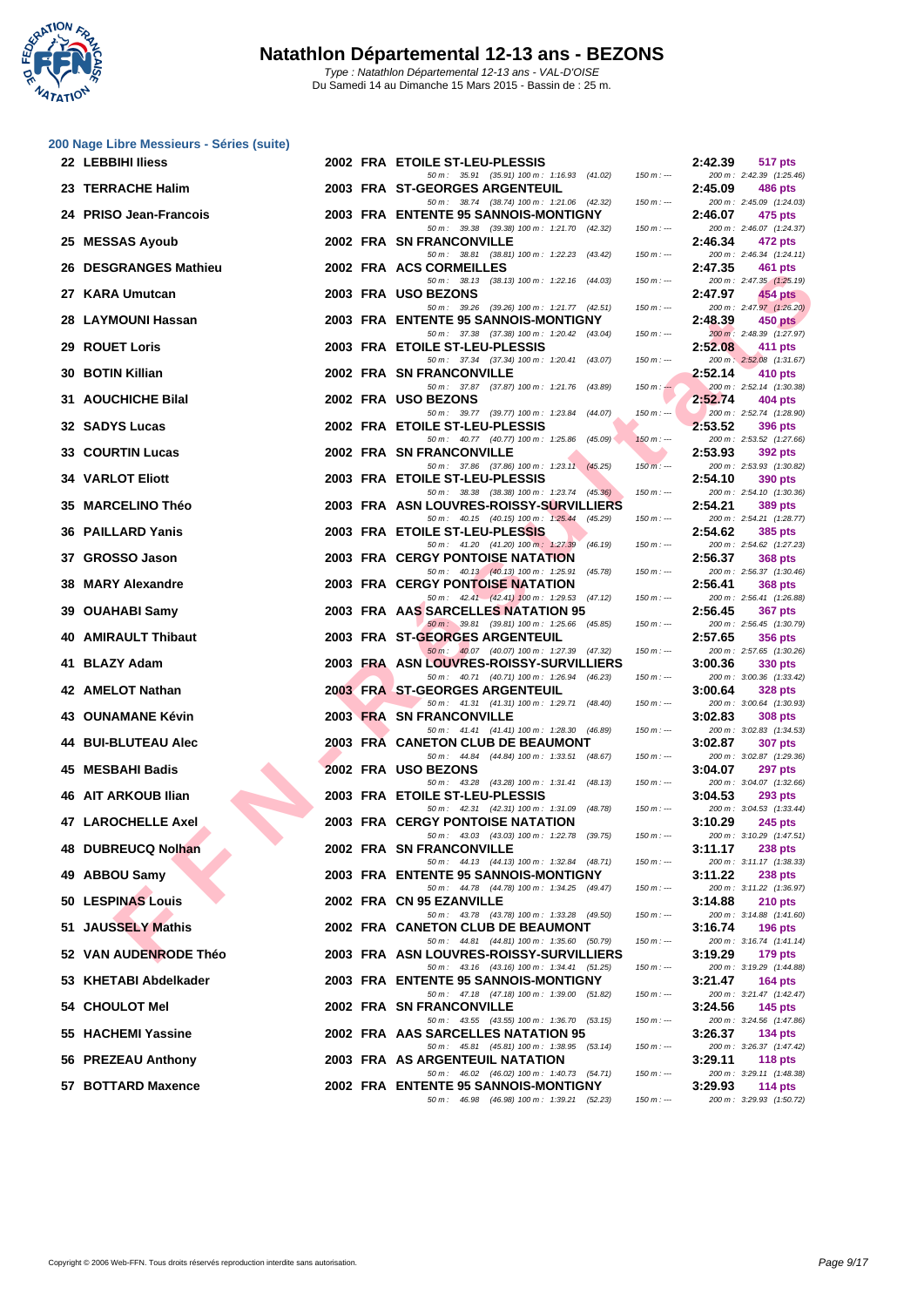

| 22 LEBBIHI Iliess          |  | 2002 FRA ETOILE ST-LEU-PLESSIS                                                             |               | 2:42.39 | <b>517 pts</b>                             |
|----------------------------|--|--------------------------------------------------------------------------------------------|---------------|---------|--------------------------------------------|
| 23 TERRACHE Halim          |  | 50 m: 35.91 (35.91) 100 m: 1:16.93 (41.02)<br>2003 FRA ST-GEORGES ARGENTEUIL               | $150 m: -$    | 2:45.09 | 200 m: 2:42.39 (1:25.46)<br><b>486 pts</b> |
| 24 PRISO Jean-Francois     |  | 50 m: 38.74 (38.74) 100 m: 1:21.06 (42.32)<br>2003 FRA ENTENTE 95 SANNOIS-MONTIGNY         | $150 m: -$    | 2:46.07 | 200 m: 2:45.09 (1:24.03)<br>475 pts        |
| 25 MESSAS Ayoub            |  | 50 m: 39.38 (39.38) 100 m: 1:21.70 (42.32)<br>2002 FRA SN FRANCONVILLE                     | $150 m: -$    | 2:46.34 | 200 m: 2:46.07 (1:24.37)<br>472 pts        |
| 26 DESGRANGES Mathieu      |  | 50 m: 38.81 (38.81) 100 m: 1:22.23 (43.42)<br>2002 FRA ACS CORMEILLES                      | $150 m: -$    | 2:47.35 | 200 m: 2:46.34 (1:24.11)<br>461 pts        |
| 27 KARA Umutcan            |  | 50 m: 38.13 (38.13) 100 m: 1:22.16 (44.03)<br>2003 FRA USO BEZONS                          | $150 m: -$    | 2:47.97 | 200 m: 2:47.35 (1:25.19)<br>454 pts        |
| 28 LAYMOUNI Hassan         |  | 50 m: 39.26 (39.26) 100 m: 1:21.77 (42.51)<br>2003 FRA ENTENTE 95 SANNOIS-MONTIGNY         | $150 m : -$   | 2:48.39 | 200 m: 2:47.97 (1:26.20)<br>$450$ pts      |
| 29 ROUET Loris             |  | 50 m: 37.38 (37.38) 100 m: 1:20.42 (43.04)<br>2003 FRA ETOILE ST-LEU-PLESSIS               | $150 m: -$    | 2:52.08 | 200 m : 2:48.39 (1:27.97)<br>411 pts       |
| 30 BOTIN Killian           |  | 50 m: 37.34 (37.34) 100 m: 1:20.41 (43.07)<br>2002 FRA SN FRANCONVILLE                     | $150 m: -$    | 2:52.14 | 200 m: 2:52.08 (1:31.67)<br>410 pts        |
| 31 AOUCHICHE Bilal         |  | 50 m: 37.87 (37.87) 100 m: 1:21.76 (43.89)<br>2002 FRA USO BEZONS                          | $150 m$ : $-$ | 2:52.74 | 200 m: 2:52.14 (1:30.38)<br>404 pts        |
| 32 SADYS Lucas             |  | 50 m: 39.77 (39.77) 100 m: 1:23.84<br>(44.07)<br>2002 FRA ETOILE ST-LEU-PLESSIS            | $150 m : -$   | 2:53.52 | 200 m: 2:52.74 (1:28.90)<br>396 pts        |
| <b>33 COURTIN Lucas</b>    |  | 50 m : 40.77 (40.77) 100 m : 1:25.86 (45.09)<br>2002 FRA SN FRANCONVILLE                   | $150 m: -$    | 2:53.93 | 200 m: 2:53.52 (1:27.66)<br>392 pts        |
| 34 VARLOT Eliott           |  | 50 m: 37.86 (37.86) 100 m: 1:23.11 (45.25)<br>2003 FRA ETOILE ST-LEU-PLESSIS               | $150 m: -$    | 2:54.10 | 200 m: 2:53.93 (1:30.82)<br>390 pts        |
| 35 MARCELINO Théo          |  | 50 m: 38.38 (38.38) 100 m: 1:23.74 (45.36)<br>2003 FRA ASN LOUVRES-ROISSY-SURVILLIERS      | $150 m: -$    | 2:54.21 | 200 m: 2:54.10 (1:30.36)<br>389 pts        |
| <b>36 PAILLARD Yanis</b>   |  | 50 m: 40.15 (40.15) 100 m: 1:25.44 (45.29)<br>2003 FRA ETOILE ST-LEU-PLESSIS               | $150 m: -$    | 2:54.62 | 200 m: 2:54.21 (1:28.77)<br>385 pts        |
| 37 GROSSO Jason            |  | 50 m: 41.20 (41.20) 100 m: 1:27.39<br>(46.19)<br><b>2003 FRA CERGY PONTOISE NATATION</b>   | $150 m : -$   | 2:56.37 | 200 m: 2:54.62 (1:27.23)<br><b>368 pts</b> |
| 38 MARY Alexandre          |  | 50 m : 40.13 (40.13) 100 m : 1:25.91<br>(45.78)<br><b>2003 FRA CERGY PONTOISE NATATION</b> | $150 m: -$    | 2:56.41 | 200 m: 2:56.37 (1:30.46)<br><b>368 pts</b> |
| 39 OUAHABI Samy            |  | 50 m: 42.41 (42.41) 100 m: 1:29.53 (47.12)<br>2003 FRA AAS SARCELLES NATATION 95           | $150 m : -$   | 2:56.45 | 200 m: 2:56.41 (1:26.88)<br><b>367 pts</b> |
| <b>40 AMIRAULT Thibaut</b> |  | 50 m: 39.81 (39.81) 100 m: 1:25.66 (45.85)<br>2003 FRA ST-GEORGES ARGENTEUIL               | $150 m : -$   | 2:57.65 | 200 m: 2:56.45 (1:30.79)<br>356 pts        |
| 41 BLAZY Adam              |  | 50 m : 40.07 (40.07) 100 m : 1:27.39 (47.32)<br>2003 FRA ASN LOUVRES-ROISSY-SURVILLIERS    | $150 m: -$    | 3:00.36 | 200 m: 2:57.65 (1:30.26)<br>330 pts        |
| 42 AMELOT Nathan           |  | 50 m: 40.71 (40.71) 100 m: 1:26.94 (46.23)<br><b>2003 FRA ST-GEORGES ARGENTEUIL</b>        | $150 m: -$    | 3:00.64 | 200 m: 3:00.36 (1:33.42)<br>328 pts        |
| 43 OUNAMANE Kévin          |  | 50 m: 41.31 (41.31) 100 m: 1:29.71 (48.40)<br><b>2003 FRA SN FRANCONVILLE</b>              | $150 m: -$    | 3:02.83 | 200 m: 3:00.64 (1:30.93)<br><b>308 pts</b> |
| 44 BUI-BLUTEAU Alec        |  | 50 m: 41.41 (41.41) 100 m: 1:28.30 (46.89)<br>2003 FRA CANETON CLUB DE BEAUMONT            | $150 m: -$    | 3:02.87 | 200 m: 3:02.83 (1:34.53)<br>307 pts        |
| 45 MESBAHI Badis           |  | 50 m: 44.84 (44.84) 100 m: 1:33.51 (48.67)<br>2002 FRA USO BEZONS                          | $150 m: -$    | 3:04.07 | 200 m: 3:02.87 (1:29.36)<br>297 pts        |
| 46 AIT ARKOUB Ilian        |  | 50 m: 43.28 (43.28) 100 m: 1:31.41 (48.13)<br>2003 FRA ETOILE ST-LEU-PLESSIS               | $150 m: -$    | 3:04.53 | 200 m: 3:04.07 (1:32.66)<br><b>293 pts</b> |
| 47 LAROCHELLE Axel         |  | 50 m: 42.31 (42.31) 100 m: 1:31.09 (48.78)<br><b>2003 FRA CERGY PONTOISE NATATION</b>      | $150 m: -$    | 3:10.29 | 200 m: 3:04.53 (1:33.44)<br>245 pts        |
| 48 DUBREUCQ Nolhan         |  | 50 m: 43.03 (43.03) 100 m: 1:22.78 (39.75)<br>2002 FRA SN FRANCONVILLE                     | $150 m: -$    | 3:11.17 | 200 m: 3:10.29 (1:47.51)<br><b>238 pts</b> |
| 49 ABBOU Samy              |  | 50 m: 44.13 (44.13) 100 m: 1:32.84 (48.71)<br>2003 FRA ENTENTE 95 SANNOIS-MONTIGNY         | $150 m: -$    | 3:11.22 | 200 m: 3:11.17 (1:38.33)<br><b>238 pts</b> |
| 50 LESPINAS Louis          |  | 50 m: 44.78 (44.78) 100 m: 1:34.25 (49.47)<br>2002 FRA CN 95 EZANVILLE                     | $150 m: -$    | 3:14.88 | 200 m: 3:11.22 (1:36.97)<br><b>210 pts</b> |
| 51 JAUSSELY Mathis         |  | 50 m: 43.78 (43.78) 100 m: 1:33.28 (49.50)<br>2002 FRA CANETON CLUB DE BEAUMONT            | $150 m: -$    | 3:16.74 | 200 m: 3:14.88 (1:41.60)<br><b>196 pts</b> |
| 52 VAN AUDENRODE Théo      |  | 50 m: 44.81 (44.81) 100 m: 1:35.60 (50.79)<br>2003 FRA ASN LOUVRES-ROISSY-SURVILLIERS      | $150 m: -$    | 3:19.29 | 200 m: 3:16.74 (1:41.14)<br><b>179 pts</b> |
| 53 KHETABI Abdelkader      |  | 50 m: 43.16 (43.16) 100 m: 1:34.41 (51.25)<br>2003 FRA ENTENTE 95 SANNOIS-MONTIGNY         | $150 m: -$    | 3:21.47 | 200 m: 3:19.29 (1:44.88)<br><b>164 pts</b> |
| 54 CHOULOT Mel             |  | 50 m: 47.18 (47.18) 100 m: 1:39.00 (51.82)<br>2002 FRA SN FRANCONVILLE                     | $150 m: -$    | 3:24.56 | 200 m: 3:21.47 (1:42.47)<br>$145$ pts      |
| 55 HACHEMI Yassine         |  | 50 m : 43.55 (43.55) 100 m : 1:36.70 (53.15)<br>2002 FRA AAS SARCELLES NATATION 95         | $150 m: -$    | 3:26.37 | 200 m: 3:24.56 (1:47.86)<br>$134$ pts      |
| 56 PREZEAU Anthony         |  | 50 m: 45.81 (45.81) 100 m: 1:38.95 (53.14)<br>2003 FRA AS ARGENTEUIL NATATION              | $150 m : -$   | 3:29.11 | 200 m: 3:26.37 (1:47.42)<br><b>118 pts</b> |
| 57 BOTTARD Maxence         |  | 50 m: 46.02 (46.02) 100 m: 1:40.73 (54.71)<br>2002 FRA ENTENTE 95 SANNOIS-MONTIGNY         | $150 m: -$    | 3:29.93 | 200 m: 3:29.11 (1:48.38)<br>114 $pts$      |
|                            |  | 50 m : 46.98 (46.98) 100 m : 1:39.21 (52.23)                                               | $150 m: -$    |         | 200 m: 3:29.93 (1:50.72)                   |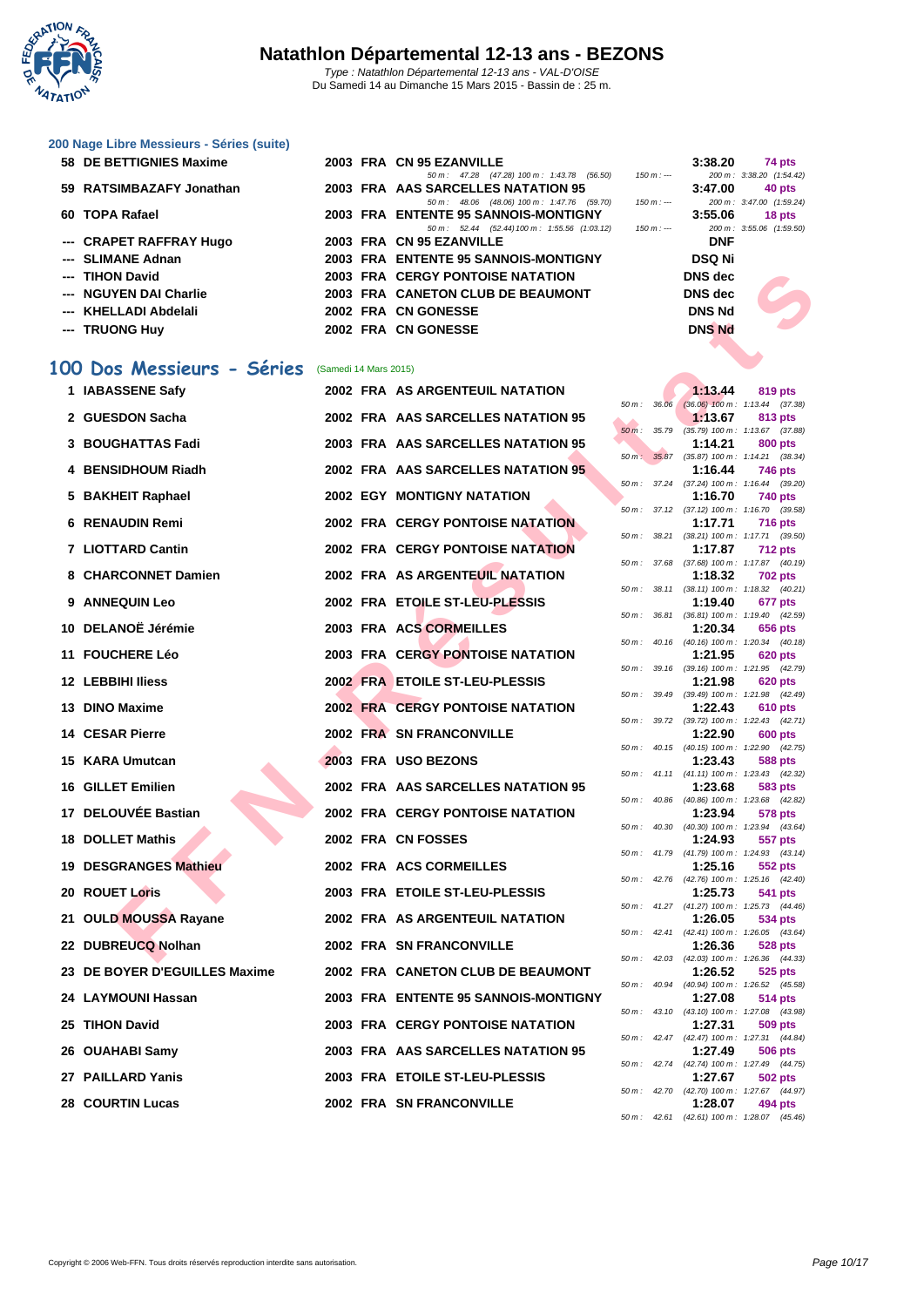

Du Samedi 14 au Dimanche 15 Mars 2015 - Bassin de : 25 m.

**[200 Nage](http://www.ffnatation.fr/webffn/index.php) Libre Messieurs - Séries (suite)**

| 58 DE BETTIGNIES Maxime  |  | 2003 FRA CN 95 EZANVILLE                       |             | 3:38.20        | 74 pts                   |
|--------------------------|--|------------------------------------------------|-------------|----------------|--------------------------|
|                          |  | 50 m : 47.28 (47.28) 100 m : 1:43.78 (56.50)   | 150 m : --- |                | 200 m: 3:38.20 (1:54.42) |
| 59 RATSIMBAZAFY Jonathan |  | 2003 FRA AAS SARCELLES NATATION 95             |             | 3:47.00        | 40 pts                   |
|                          |  | 50 m : 48.06 (48.06) 100 m : 1:47.76 (59.70)   | $150 m : -$ |                | 200 m: 3:47.00 (1:59.24) |
| 60 TOPA Rafael           |  | 2003 FRA ENTENTE 95 SANNOIS-MONTIGNY           |             | 3:55.06        | 18 pts                   |
|                          |  | 50 m : 52.44 (52.44) 100 m : 1:55.56 (1:03.12) | $150 m : -$ |                | 200 m: 3:55.06 (1:59.50) |
| --- CRAPET RAFFRAY Hugo  |  | 2003 FRA CN 95 EZANVILLE                       |             | <b>DNF</b>     |                          |
| --- SLIMANE Adnan        |  | 2003 FRA ENTENTE 95 SANNOIS-MONTIGNY           |             | <b>DSQ Ni</b>  |                          |
| --- TIHON David          |  | <b>2003 FRA CERGY PONTOISE NATATION</b>        |             | <b>DNS</b> dec |                          |
| --- NGUYEN DAI Charlie   |  | 2003 FRA CANETON CLUB DE BEAUMONT              |             | <b>DNS</b> dec |                          |
| --- KHELLADI Abdelali    |  | 2002 FRA CN GONESSE                            |             | <b>DNS Nd</b>  |                          |
| --- TRUONG Huy           |  | 2002 FRA CN GONESSE                            |             | <b>DNS Nd</b>  |                          |
|                          |  |                                                |             |                |                          |

# 100 Dos Messieurs - Séries (Samedi 14 Mars 2015)

|           | --- TIHON David               |                       | <b>2003 FRA CERGY PONTOISE NATATION</b> |                |              | <b>DNS</b> dec |                                                              |
|-----------|-------------------------------|-----------------------|-----------------------------------------|----------------|--------------|----------------|--------------------------------------------------------------|
|           | <b>NGUYEN DAI Charlie</b>     |                       | 2003 FRA CANETON CLUB DE BEAUMONT       |                |              | <b>DNS</b> dec |                                                              |
|           | KHELLADI Abdelali             |                       | 2002 FRA CN GONESSE                     | <b>DNS Nd</b>  |              |                |                                                              |
|           | --- TRUONG Huy                |                       | 2002 FRA CN GONESSE                     |                |              | <b>DNS Nd</b>  |                                                              |
|           |                               |                       |                                         |                |              |                |                                                              |
| <b>OO</b> | Dos Messieurs - Séries        | (Samedi 14 Mars 2015) |                                         |                |              |                |                                                              |
|           | 1 IABASSENE Safy              |                       | 2002 FRA AS ARGENTEUIL NATATION         |                |              | 1:13.44        | 819 pts                                                      |
|           | 2 GUESDON Sacha               |                       | 2002 FRA AAS SARCELLES NATATION 95      |                |              | 1:13.67        | 50 m: 36.06 (36.06) 100 m: 1:13.44 (37.38)<br>813 pts        |
|           |                               |                       |                                         | $50 m$ : 35.79 |              |                | $(35.79)$ 100 m : 1:13.67 $(37.88)$                          |
|           | 3 BOUGHATTAS Fadi             |                       | 2003 FRA AAS SARCELLES NATATION 95      | 50 m: 35.87    |              | 1:14.21        | 800 pts<br>(35.87) 100 m: 1:14.21 (38.34)                    |
|           | 4 BENSIDHOUM Riadh            |                       | 2002 FRA AAS SARCELLES NATATION 95      |                |              | 1:16.44        | <b>746 pts</b>                                               |
|           | 5 BAKHEIT Raphael             |                       | <b>2002 EGY MONTIGNY NATATION</b>       |                |              | 1:16.70        | 50 m: 37.24 (37.24) 100 m: 1:16.44 (39.20)<br>740 pts        |
|           |                               |                       |                                         |                |              |                | 50 m: 37.12 (37.12) 100 m: 1:16.70 (39.58)                   |
|           | 6 RENAUDIN Remi               |                       | <b>2002 FRA CERGY PONTOISE NATATION</b> |                |              | 1:17.71        | <b>716 pts</b>                                               |
|           | 7 LIOTTARD Cantin             |                       | <b>2002 FRA CERGY PONTOISE NATATION</b> |                |              | 1:17.87        | 50 m: 38.21 (38.21) 100 m: 1:17.71 (39.50)<br><b>712 pts</b> |
|           |                               |                       |                                         |                |              |                | 50 m: 37.68 (37.68) 100 m: 1:17.87 (40.19)                   |
|           | 8 CHARCONNET Damien           |                       | 2002 FRA AS ARGENTEUIL NATATION         |                |              | 1:18.32        | <b>702 pts</b><br>50 m: 38.11 (38.11) 100 m: 1:18.32 (40.21) |
|           | 9 ANNEQUIN Leo                |                       | 2002 FRA ETOILE ST-LEU-PLESSIS          |                |              | 1:19.40        | 677 pts                                                      |
|           | 10 DELANOË Jérémie            |                       | 2003 FRA ACS CORMEILLES                 |                |              | 1:20.34        | 50 m: 36.81 (36.81) 100 m: 1:19.40 (42.59)<br>656 pts        |
|           |                               |                       |                                         | $50 m$ :       |              |                | 40.16 (40.16) 100 m: 1:20.34 (40.18)                         |
|           | 11 FOUCHERE Léo               |                       | <b>2003 FRA CERGY PONTOISE NATATION</b> |                |              | 1:21.95        | <b>620 pts</b><br>50 m: 39.16 (39.16) 100 m: 1:21.95 (42.79) |
|           | 12 LEBBIHI Iliess             |                       | 2002 FRA ETOILE ST-LEU-PLESSIS          |                |              | 1:21.98        | <b>620 pts</b>                                               |
|           |                               |                       | <b>2002 FRA CERGY PONTOISE NATATION</b> |                | 50 m : 39.49 |                | $(39.49)$ 100 m : 1:21.98 $(42.49)$                          |
|           | 13 DINO Maxime                |                       |                                         |                |              | 1:22.43        | 610 pts<br>50 m: 39.72 (39.72) 100 m: 1:22.43 (42.71)        |
|           | <b>14 CESAR Pierre</b>        |                       | <b>2002 FRA SN FRANCONVILLE</b>         |                |              | 1:22.90        | <b>600 pts</b>                                               |
|           | 15 KARA Umutcan               |                       | 2003 FRA USO BEZONS                     |                |              | 1:23.43        | 50 m: 40.15 (40.15) 100 m: 1:22.90 (42.75)<br>588 pts        |
|           |                               |                       |                                         |                |              |                | 50 m: 41.11 (41.11) 100 m: 1:23.43 (42.32)                   |
|           | <b>16 GILLET Emilien</b>      |                       | 2002 FRA AAS SARCELLES NATATION 95      |                |              | 1:23.68        | 583 pts<br>50 m: 40.86 (40.86) 100 m: 1:23.68 (42.82)        |
|           | 17 DELOUVÉE Bastian           |                       | <b>2002 FRA CERGY PONTOISE NATATION</b> |                |              | 1:23.94        | 578 pts                                                      |
|           | <b>18 DOLLET Mathis</b>       |                       | <b>2002 FRA CN FOSSES</b>               | 50 m: 40.30    |              | 1:24.93        | $(40.30)$ 100 m : 1:23.94 $(43.64)$<br>557 pts               |
|           |                               |                       |                                         |                |              |                | 50 m: 41.79 (41.79) 100 m: 1:24.93 (43.14)                   |
|           | 19 DESGRANGES Mathieu         |                       | 2002 FRA ACS CORMEILLES                 |                |              | 1:25.16        | 552 pts<br>50 m: 42.76 (42.76) 100 m: 1:25.16 (42.40)        |
|           | 20 ROUET Loris                |                       | 2003 FRA ETOILE ST-LEU-PLESSIS          |                |              | 1:25.73        | <b>541 pts</b>                                               |
|           | 21 OULD MOUSSA Rayane         |                       | <b>2002 FRA AS ARGENTEUIL NATATION</b>  |                |              | 1:26.05        | 50 m: 41.27 (41.27) 100 m: 1:25.73 (44.46)<br>534 pts        |
|           |                               |                       |                                         |                |              |                | 50 m: 42.41 (42.41) 100 m: 1:26.05 (43.64)                   |
|           | 22 DUBREUCQ Nolhan            |                       | <b>2002 FRA SN FRANCONVILLE</b>         |                |              | 1:26.36        | 528 pts<br>50 m: 42.03 (42.03) 100 m: 1:26.36 (44.33)        |
|           | 23 DE BOYER D'EGUILLES Maxime |                       | 2002 FRA CANETON CLUB DE BEAUMONT       |                |              | 1:26.52        | 525 pts                                                      |
|           |                               |                       |                                         |                | 50 m : 40.94 |                | (40.94) 100 m: 1:26.52 (45.58)                               |
|           | 24 LAYMOUNI Hassan            |                       | 2003 FRA ENTENTE 95 SANNOIS-MONTIGNY    |                |              | 1:27.08        | 514 pts<br>50 m: 43.10 (43.10) 100 m: 1:27.08 (43.98)        |
|           | 25 TIHON David                |                       | 2003 FRA CERGY PONTOISE NATATION        |                |              | 1:27.31        | 509 pts                                                      |
|           | 26 OUAHABI Samy               |                       | 2003 FRA AAS SARCELLES NATATION 95      |                |              | 1:27.49        | 50 m: 42.47 (42.47) 100 m: 1:27.31 (44.84)<br>506 pts        |
|           |                               |                       |                                         |                |              |                | 50 m: 42.74 (42.74) 100 m: 1:27.49 (44.75)                   |
|           | 27 PAILLARD Yanis             |                       | 2003 FRA ETOILE ST-LEU-PLESSIS          |                |              | 1:27.67        | 502 pts<br>50 m: 42.70 (42.70) 100 m: 1:27.67 (44.97)        |
|           | <b>28 COURTIN Lucas</b>       |                       | <b>2002 FRA SN FRANCONVILLE</b>         |                |              | 1:28.07        | 494 pts                                                      |

|                  | $150 m: -$     | LUU III .<br>3:55.06<br>DNF<br>DSQ Ni<br>DNS dec<br>DNS dec<br>DNS Nd<br><b>DNS Nd</b> | 5.71.00<br>(1.00.27)<br>18 pts<br>200 m: 3:55.06 (1:59.50) |
|------------------|----------------|----------------------------------------------------------------------------------------|------------------------------------------------------------|
| 50 m :           | 36.06          | 1:13.44<br>$(36.06)$ 100 m :                                                           | 819 pts<br>1:13.44<br>(37.38)                              |
| $50 m$ :         | 35.79          | 1:13.67<br>$(35.79) 100 m$ :                                                           | 813 pts<br>1:13.67<br>(37.88)                              |
| $50 m$ :         | 35.87          | 1:14.21<br>$(35.87) 100 m$ :<br>1:16.44                                                | <b>800 pts</b><br>1:14.21<br>(38.34)<br><b>746 pts</b>     |
| 50 m :           | 37.24          | $(37.24) 100 m$ :<br>1:16.70                                                           | 1:16.44<br>(39.20)<br><b>740 pts</b>                       |
| 50 m :           | 37.12          | $(37.12) 100 m$ :<br>1:17.71                                                           | 1:16.70<br>(39.58)<br><b>716 pts</b>                       |
| 50 m :           | 38.21          | $(38.21)$ 100 m :<br>1:17.87                                                           | 1:17.71<br>(39.50)<br><b>712 pts</b>                       |
| 50 m :           | 37.68          | $(37.68) 100 m$ :<br>1:18.32                                                           | (40.19)<br>1:17.87<br>702 pts                              |
| 50 m :<br>50 m : | 38.11<br>36.81 | (38.11) 100 m :<br>1:19.40                                                             | 1:18.32<br>(40.21)<br>677 pts<br>(42.59)<br>1:19.40        |
| 50 m :           | 40.16          | $(36.81)$ 100 m :<br>1:20.34<br>$(40.16) 100 m$ :                                      | 656 pts<br>1:20.34<br>(40.18)                              |
| 50 m :           | 39.16          | 1:21.95<br>$(39.16) 100 m$ :                                                           | <b>620 pts</b><br>1:21.95<br>(42.79)                       |
| 50 m :           | 39.49          | 1:21.98<br>$(39.49)$ 100 m :                                                           | <b>620 pts</b><br>1:21.98<br>(42.49)                       |
| 50 m :           | 39.72          | 1:22.43<br>$(39.72) 100 m$ :                                                           | 610 pts<br>1:22.43<br>(42.71)                              |
| 50 m :           | 40.15          | 1:22.90<br>$(40.15)$ 100 m :<br>1:23.43                                                | <b>600 pts</b><br>1:22.90<br>(42.75)<br>588 pts            |
| 50 m :           | 41.11          | $(41.11)$ 100 m :<br>1:23.68                                                           | (42.32)<br>1:23.43<br>583 pts                              |
| 50 m :           | 40.86          | $(40.86) 100 m$ :<br>1:23.94                                                           | 1:23.68<br>(42.82)<br>578 pts                              |
| 50 m :           | 40.30          | $(40.30)$ 100 m :<br>1:24.93                                                           | 1:23.94<br>(43.64)<br>557 pts                              |
| 50 m :<br>50 m : | 41.79<br>42.76 | $(41.79) 100 m$ :<br>1:25.16<br>$(42.76)$ 100 m :                                      | 1:24.93<br>(43.14)<br>552 pts<br>1:25.16<br>(42.40)        |
| 50 m :           | 41.27          | 1:25.73<br>$(41.27) 100 m$ :                                                           | 541 pts<br>1:25.73<br>(44.46)                              |
| $50 m$ :         | 42.41          | 1:26.05<br>$(42.41)$ 100 m :                                                           | <b>534 pts</b><br>1:26.05<br>(43.64)                       |
| 50 m :           | 42.03          | 1:26.36<br>$(42.03) 100 m$ :                                                           | 528 pts<br>1:26.36<br>(44.33)                              |
| 50 m :           | 40.94          | 1:26.52<br>$(40.94)$ 100 m :<br>1:27.08                                                | 525 pts<br>1:26.52<br>(45.58)<br>514 pts                   |
| 50 m :           | 43.10          | $(43.10) 100 m$ :<br>1:27.31                                                           | 1:27.08<br>(43.98)<br>509 pts                              |
| 50 m :           | 42.47          | $(42.47)$ 100 m :<br>1:27.49                                                           | 1:27.31<br>(44.84)<br>506 pts                              |
| 50 m :           | 42.74          | $(42.74) 100 m$ :<br>1:27.67                                                           | 1:27.49<br>(44.75)<br><b>502 pts</b>                       |
| 50 m:            | 42.70          | $(42.70)$ 100 m :<br>1:28.07                                                           | 1:27.67<br>(44.97)<br>494 pts                              |
| 50 m :           | 42.61          |                                                                                        | (42.61) 100 m: 1:28.07 (45.46)                             |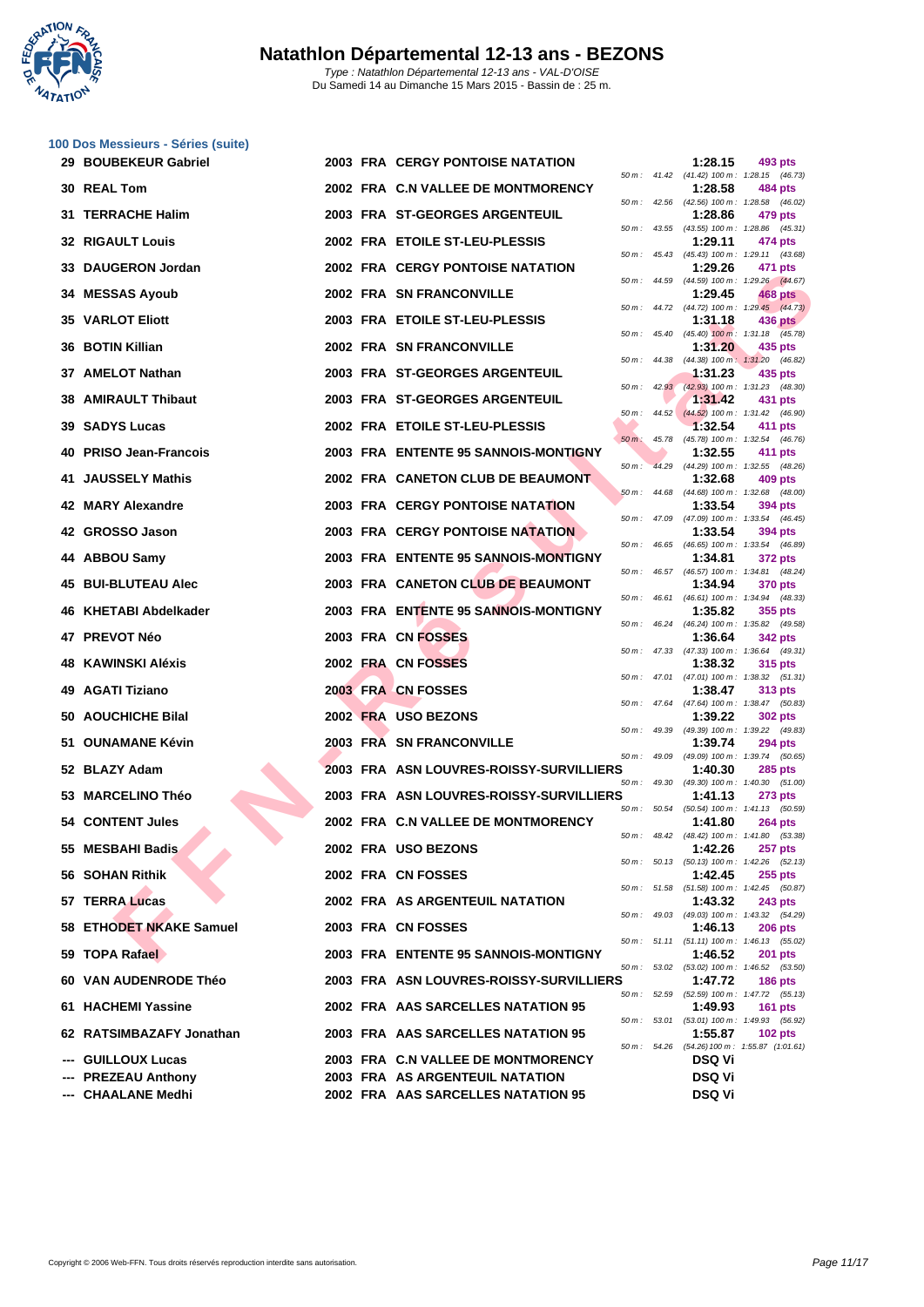

|     | 100 Dos Messieurs - Séries (suite) |  |                                         |                            |       |               |                                                                |
|-----|------------------------------------|--|-----------------------------------------|----------------------------|-------|---------------|----------------------------------------------------------------|
|     | 29 BOUBEKEUR Gabriel               |  | <b>2003 FRA CERGY PONTOISE NATATION</b> |                            |       | 1:28.15       | 493 pts<br>50 m: 41.42 (41.42) 100 m: 1:28.15 (46.73)          |
|     | 30 REAL Tom                        |  | 2002 FRA C.N VALLEE DE MONTMORENCY      |                            |       | 1:28.58       | 484 pts<br>50 m: 42.56 (42.56) 100 m: 1:28.58 (46.02)          |
| 31  | <b>TERRACHE Halim</b>              |  | 2003 FRA ST-GEORGES ARGENTEUIL          | 50 m :                     | 43.55 | 1:28.86       | 479 pts<br>(43.55) 100 m: 1:28.86 (45.31)                      |
|     | <b>32 RIGAULT Louis</b>            |  | 2002 FRA ETOILE ST-LEU-PLESSIS          | 50 m: 45.43                |       | 1:29.11       | 474 pts                                                        |
| 33. | <b>DAUGERON Jordan</b>             |  | 2002 FRA CERGY PONTOISE NATATION        |                            |       | 1:29.26       | (45.43) 100 m: 1:29.11 (43.68)<br>471 pts                      |
|     | <b>34 MESSAS Ayoub</b>             |  | 2002 FRA SN FRANCONVILLE                |                            |       | 1:29.45       | 50 m: 44.59 (44.59) 100 m: 1:29.26 (44.67)<br>468 pts          |
|     | <b>35 VARLOT Eliott</b>            |  | 2003 FRA ETOILE ST-LEU-PLESSIS          | 50 m :                     |       | 1:31.18       | 44.72 (44.72) 100 m: 1:29.45 (44.73)<br><b>436 pts</b>         |
| 36  | <b>BOTIN Killian</b>               |  | 2002 FRA SN FRANCONVILLE                |                            |       | 1:31.20       | 50 m: 45.40 (45.40) 100 m: 1:31.18 (45.78)<br>435 pts          |
|     | 37 AMELOT Nathan                   |  | 2003 FRA ST-GEORGES ARGENTEUIL          | 50 m :                     | 44.38 | 1:31.23       | (44.38) 100 m: 1:31.20 (46.82)<br>435 pts                      |
| 38  | <b>AMIRAULT Thibaut</b>            |  | 2003 FRA ST-GEORGES ARGENTEUIL          | $50 \, \text{m}$ : $42.93$ |       | 1:31.42       | (42.93) 100 m: 1:31.23 (48.30)<br>431 pts                      |
|     | 39 SADYS Lucas                     |  | 2002 FRA ETOILE ST-LEU-PLESSIS          | 50 m :                     | 44.52 | 1:32.54       | $(44.52)$ 100 m : 1:31.42 (46.90)<br>411 pts                   |
| 40  | <b>PRISO Jean-Francois</b>         |  | 2003 FRA ENTENTE 95 SANNOIS-MONTIGNY    | $50 m$ :                   | 45.78 | 1:32.55       | (45.78) 100 m: 1:32.54 (46.76)<br>411 pts                      |
| 41  | <b>JAUSSELY Mathis</b>             |  | 2002 FRA CANETON CLUB DE BEAUMONT       | $50 m$ :                   |       | 1:32.68       | 44.29 (44.29) 100 m: 1:32.55 (48.26)<br>409 pts                |
|     | 42 MARY Alexandre                  |  | <b>2003 FRA CERGY PONTOISE NATATION</b> | $50 m$ :                   | 44.68 | 1:33.54       | (44.68) 100 m: 1:32.68 (48.00)<br>394 pts                      |
|     | 42 GROSSO Jason                    |  | <b>2003 FRA CERGY PONTOISE NATATION</b> |                            |       | 1:33.54       | 50 m: 47.09 (47.09) 100 m: 1:33.54 (46.45)<br>394 pts          |
|     | 44 ABBOU Samy                      |  | 2003 FRA ENTENTE 95 SANNOIS-MONTIGNY    | 50 m :                     | 46.65 | 1:34.81       | (46.65) 100 m: 1:33.54 (46.89)<br><b>372 pts</b>               |
| 45  | <b>BUI-BLUTEAU Alec</b>            |  | 2003 FRA CANETON CLUB DE BEAUMONT       | $50 m$ : 46.57             |       | 1:34.94       | (46.57) 100 m: 1:34.81 (48.24)<br><b>370 pts</b>               |
|     | 46 KHETABI Abdelkader              |  | 2003 FRA ENTENTE 95 SANNOIS-MONTIGNY    | 50 m :                     | 46.61 | 1:35.82       | (46.61) 100 m: 1:34.94 (48.33)<br>355 pts                      |
|     | 47 PREVOT Néo                      |  | 2003 FRA CN FOSSES                      | 50 m :                     |       | 1:36.64       | 46.24 (46.24) 100 m: 1:35.82 (49.58)<br><b>342 pts</b>         |
| 48. | KAWINSKI Aléxis                    |  | 2002 FRA CN FOSSES                      |                            |       | 1:38.32       | 50 m: 47.33 (47.33) 100 m: 1:36.64 (49.31)<br>315 pts          |
|     | 49 AGATI Tiziano                   |  | 2003 FRA CN FOSSES                      |                            |       | 1:38.47       | 50 m: 47.01 (47.01) 100 m: 1:38.32 (51.31)<br>313 pts          |
|     | 50 AOUCHICHE Bilal                 |  | 2002 FRA USO BEZONS                     |                            |       | 1:39.22       | 50 m: 47.64 (47.64) 100 m: 1:38.47 (50.83)<br><b>302 pts</b>   |
|     | 51 OUNAMANE Kévin                  |  | 2003 FRA SN FRANCONVILLE                | 50 m :                     | 49.39 | 1:39.74       | (49.39) 100 m: 1:39.22 (49.83)<br><b>294 pts</b>               |
|     | 52 BLAZY Adam                      |  | 2003 FRA ASN LOUVRES-ROISSY-SURVILLIERS | 50 m :                     | 49.09 | 1:40.30       | (49.09) 100 m: 1:39.74 (50.65)<br><b>285 pts</b>               |
|     | 53 MARCELINO Théo                  |  | 2003 FRA ASN LOUVRES-ROISSY-SURVILLIERS |                            |       | 1:41.13       | 50 m: 49.30 (49.30) 100 m: 1:40.30 (51.00)<br><b>273 pts</b>   |
|     | 54 CONTENT Jules                   |  | 2002 FRA C.N VALLEE DE MONTMORENCY      |                            |       | 1:41.80       | 50 m: 50.54 (50.54) 100 m: 1:41.13 (50.59)<br><b>264 pts</b>   |
|     | 55 MESBAHI Badis                   |  | 2002 FRA USO BEZONS                     |                            |       | 1:42.26       | 50 m : 48.42 (48.42) 100 m : 1:41.80 (53.38)<br><b>257 pts</b> |
|     | 56 SOHAN Rithik                    |  | 2002 FRA CN FOSSES                      |                            |       | 1:42.45       | 50 m: 50.13 (50.13) 100 m: 1:42.26 (52.13)<br>$255$ pts        |
|     | 57 TERRA Lucas                     |  | 2002 FRA AS ARGENTEUIL NATATION         | 50 m: 51.58                |       | 1:43.32       | (51.58) 100 m: 1:42.45 (50.87)<br><b>243 pts</b>               |
|     | 58 ETHODET NKAKE Samuel            |  | 2003 FRA CN FOSSES                      |                            |       | 1:46.13       | 50 m: 49.03 (49.03) 100 m: 1:43.32 (54.29)<br><b>206 pts</b>   |
|     | 59 TOPA Rafael                     |  | 2003 FRA ENTENTE 95 SANNOIS-MONTIGNY    |                            |       | 1:46.52       | 50 m: 51.11 (51.11) 100 m: 1:46.13 (55.02)<br><b>201 pts</b>   |
|     | 60 VAN AUDENRODE Théo              |  | 2003 FRA ASN LOUVRES-ROISSY-SURVILLIERS |                            |       | 1:47.72       | 50 m: 53.02 (53.02) 100 m: 1:46.52 (53.50)<br><b>186 pts</b>   |
|     | 61 HACHEMI Yassine                 |  | 2002 FRA AAS SARCELLES NATATION 95      |                            |       | 1:49.93       | 50 m: 52.59 (52.59) 100 m: 1:47.72 (55.13)<br><b>161 pts</b>   |
|     | 62 RATSIMBAZAFY Jonathan           |  | 2003 FRA AAS SARCELLES NATATION 95      |                            |       | 1:55.87       | 50 m: 53.01 (53.01) 100 m: 1:49.93 (56.92)<br>$102$ pts        |
|     | --- GUILLOUX Lucas                 |  | 2003 FRA C.N VALLEE DE MONTMORENCY      | 50 m : 54.26               |       | <b>DSQ Vi</b> | $(54.26)$ 100 m : 1:55.87 $(1:01.61)$                          |
|     | --- PREZEAU Anthony                |  | 2003 FRA AS ARGENTEUIL NATATION         |                            |       | <b>DSQ Vi</b> |                                                                |
|     | --- CHAALANE Medhi                 |  | 2002 FRA AAS SARCELLES NATATION 95      |                            |       | <b>DSQ Vi</b> |                                                                |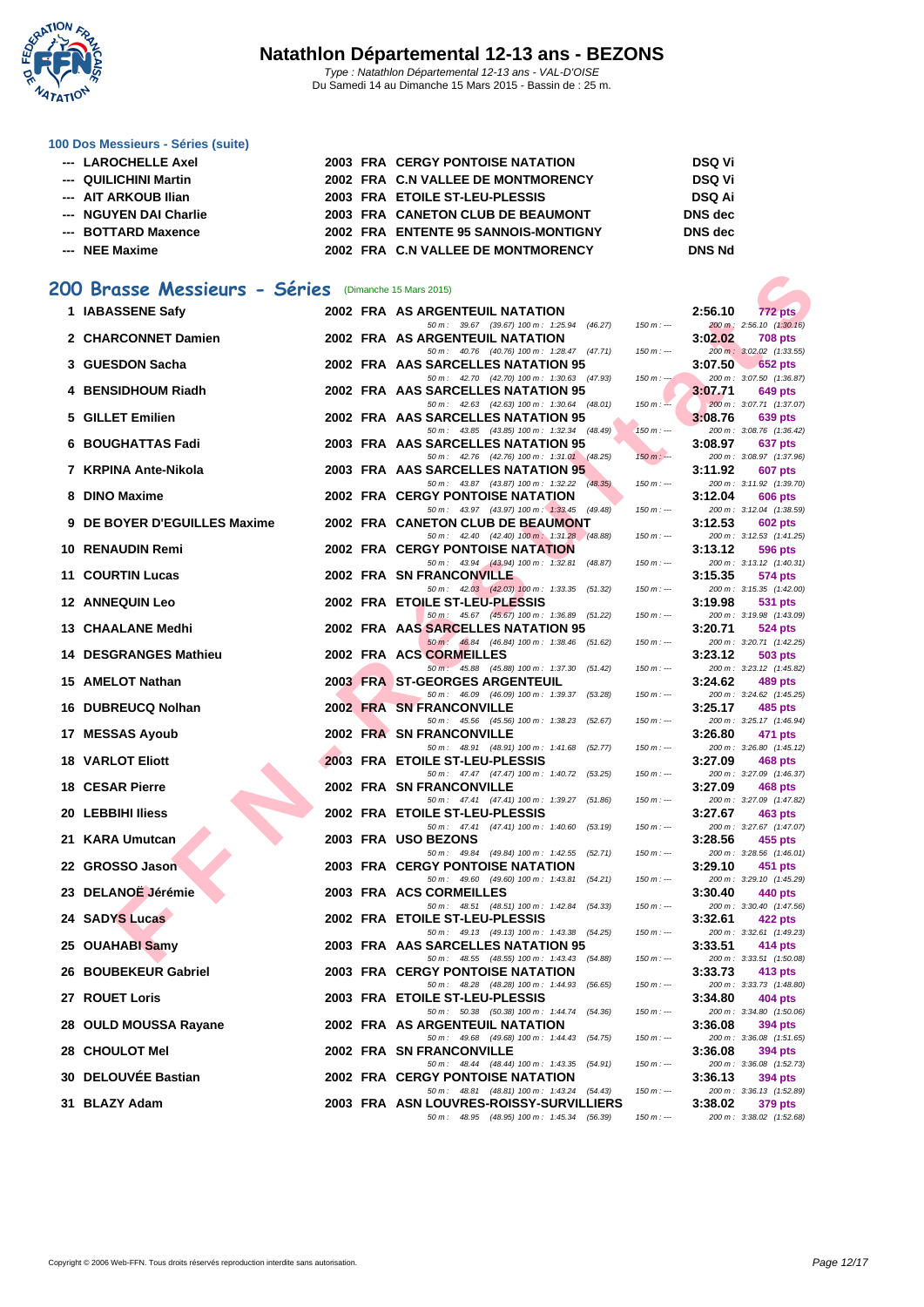

#### **[100 Dos M](http://www.ffnatation.fr/webffn/index.php)essieurs - Séries (suite)**

| --- LAROCHELLE Axel    |  | <b>2003 FRA CERGY PONTOISE NATATION</b> | <b>DSQ Vi</b>  |
|------------------------|--|-----------------------------------------|----------------|
| --- QUILICHINI Martin  |  | 2002 FRA C.N VALLEE DE MONTMORENCY      | <b>DSQ Vi</b>  |
| --- AIT ARKOUB Ilian   |  | 2003 FRA ETOILE ST-LEU-PLESSIS          | <b>DSQ Ai</b>  |
| --- NGUYEN DAI Charlie |  | 2003 FRA CANETON CLUB DE BEAUMONT       | <b>DNS</b> dec |
| --- BOTTARD Maxence    |  | 2002 FRA ENTENTE 95 SANNOIS-MONTIGNY    | <b>DNS</b> dec |
| --- NEE Maxime         |  | 2002 FRA C.N VALLEE DE MONTMORENCY      | <b>DNS Nd</b>  |

## **200 Brasse Messieurs - Séries** (Dimanche 15 Mars 2015)

| 00 Brasse Messieurs - Séries (Dimanche 15 Mars 2015) |  |                                                                                                    |                        |                                                 |
|------------------------------------------------------|--|----------------------------------------------------------------------------------------------------|------------------------|-------------------------------------------------|
| 1 IABASSENE Safy                                     |  | 2002 FRA AS ARGENTEUIL NATATION                                                                    | 2:56.10                | 772 pts                                         |
| 2 CHARCONNET Damien                                  |  | 50 m: 39.67 (39.67) 100 m: 1:25.94 (46.27)<br>2002 FRA AS ARGENTEUIL NATATION                      | $150 m: -$<br>3:02.02  | $200 m$ : 2:56.10 $(1:30.16)$<br><b>708 pts</b> |
| 3 GUESDON Sacha                                      |  | 50 m: 40.76 (40.76) 100 m: 1:28.47 (47.71)<br>2002 FRA AAS SARCELLES NATATION 95                   | $150 m: -$             | 200 m: 3:02.02 (1:33.55)                        |
|                                                      |  | 50 m: 42.70 (42.70) 100 m: 1:30.63 (47.93)                                                         | 3:07.50<br>$150 m: -$  | <b>652 pts</b><br>200 m: 3:07.50 (1:36.87)      |
| 4 BENSIDHOUM Riadh                                   |  | 2002 FRA AAS SARCELLES NATATION 95<br>50 m: 42.63 (42.63) 100 m: 1:30.64 (48.01)                   | 3:07.71<br>$150 m: -$  | 649 pts<br>200 m: 3:07.71 (1:37.07)             |
| 5 GILLET Emilien                                     |  | 2002 FRA AAS SARCELLES NATATION 95                                                                 | 3:08.76                | 639 pts                                         |
| 6 BOUGHATTAS Fadi                                    |  | 50 m: 43.85 (43.85) 100 m: 1:32.34 (48.49)<br>2003 FRA AAS SARCELLES NATATION 95                   | $150 m: -$<br>3:08.97  | 200 m: 3:08.76 (1:36.42)<br>637 pts             |
|                                                      |  | 50 m: 42.76 (42.76) 100 m: 1:31.01 (48.25)                                                         | $150 m : -$            | 200 m: 3:08.97 (1:37.96)                        |
| 7 KRPINA Ante-Nikola                                 |  | 2003 FRA AAS SARCELLES NATATION 95<br>50 m: 43.87 (43.87) 100 m: 1:32.22 (48.35)                   | 3:11.92<br>$150 m: -$  | 607 pts<br>200 m: 3:11.92 (1:39.70)             |
| 8 DINO Maxime                                        |  | <b>2002 FRA CERGY PONTOISE NATATION</b>                                                            | 3:12.04                | 606 pts                                         |
| 9 DE BOYER D'EGUILLES Maxime                         |  | 50 m: 43.97 (43.97) 100 m: 1:33.45 (49.48)<br><b>2002 FRA CANETON CLUB DE BEAUMONT</b>             | $150 m: -$<br>3:12.53  | 200 m: 3:12.04 (1:38.59)<br>602 pts             |
| 10 RENAUDIN Remi                                     |  | 50 m: 42.40 (42.40) 100 m: 1:31.28 (48.88)<br><b>2002 FRA CERGY PONTOISE NATATION</b>              | $150 m: -$<br>3:13.12  | 200 m: 3:12.53 (1:41.25)<br>596 pts             |
|                                                      |  | 50 m: 43.94 (43.94) 100 m: 1:32.81 (48.87)                                                         | $150 m : -$            | 200 m: 3:13.12 (1:40.31)                        |
| <b>11 COURTIN Lucas</b>                              |  | 2002 FRA SN FRANCONVILLE<br>50 m : 42.03 (42.03) 100 m : 1:33.35 (51.32)                           | 3:15.35<br>$150 m: -$  | 574 pts<br>200 m: 3:15.35 (1:42.00)             |
| <b>12 ANNEQUIN Leo</b>                               |  | 2002 FRA ETOILE ST-LEU-PLESSIS                                                                     | 3:19.98                | 531 pts                                         |
| 13 CHAALANE Medhi                                    |  | 50 m: 45.67 (45.67) 100 m: 1:36.89 (51.22)<br>2002 FRA AAS SARCELLES NATATION 95                   | $150 m: -$<br>3:20.71  | 200 m: 3:19.98 (1:43.09)<br>524 pts             |
|                                                      |  | 50 m : 46.84 (46.84) 100 m : 1:38.46<br>(51.62)                                                    | $150 m: -$             | 200 m: 3:20.71 (1:42.25)                        |
| 14 DESGRANGES Mathieu                                |  | 2002 FRA ACS CORMEILLES<br>$50 \text{ m}$ : $45.88$ $(45.88)$ $100 \text{ m}$ : 1:37.30<br>(51.42) | 3:23.12<br>$150 m: -$  | 503 pts<br>200 m: 3:23.12 (1:45.82)             |
| 15 AMELOT Nathan                                     |  | <b>2003 FRA ST-GEORGES ARGENTEUIL</b><br>50 m: 46.09 (46.09) 100 m: 1:39.37<br>(53.28)             | 3:24.62<br>$150 m: -$  | 489 pts                                         |
| 16 DUBREUCQ Nolhan                                   |  | <b>2002 FRA SN FRANCONVILLE</b>                                                                    | 3:25.17                | 200 m: 3:24.62 (1:45.25)<br>485 pts             |
| 17 MESSAS Ayoub                                      |  | 50 m: 45.56 (45.56) 100 m: 1:38.23 (52.67)<br>2002 FRA SN FRANCONVILLE                             | $150 m : -$<br>3:26.80 | 200 m: 3:25.17 (1:46.94)<br>471 pts             |
|                                                      |  | 50 m: 48.91 (48.91) 100 m: 1:41.68<br>(52.77)                                                      | $150 m: -$             | 200 m: 3:26.80 (1:45.12)                        |
| <b>18 VARLOT Eliott</b>                              |  | 2003 FRA ETOILE ST-LEU-PLESSIS<br>50 m: 47.47 (47.47) 100 m: 1:40.72<br>(53.25)                    | 3:27.09<br>$150 m: -$  | 468 pts<br>200 m: 3:27.09 (1:46.37)             |
| <b>18 CESAR Pierre</b>                               |  | <b>2002 FRA SN FRANCONVILLE</b>                                                                    | 3:27.09                | 468 pts                                         |
| 20 LEBBIHI Iliess                                    |  | 50 m: 47.41 (47.41) 100 m: 1:39.27<br>(51.86)<br>2002 FRA ETOILE ST-LEU-PLESSIS                    | $150 m: -$<br>3:27.67  | 200 m: 3:27.09 (1:47.82)<br>463 pts             |
| 21 KARA Umutcan                                      |  | 50 m: 47.41 (47.41) 100 m: 1:40.60<br>(53.19)<br>2003 FRA USO BEZONS                               | $150 m: -$<br>3:28.56  | 200 m: 3:27.67 (1:47.07)<br>455 pts             |
|                                                      |  | 50 m : 49.84 (49.84) 100 m : 1:42.55<br>(52.71)                                                    | $150 m: -$             | 200 m: 3:28.56 (1:46.01)                        |
| 22 GROSSO Jason                                      |  | <b>2003 FRA CERGY PONTOISE NATATION</b><br>50 m: 49.60 (49.60) 100 m: 1:43.81<br>(54.21)           | 3:29.10<br>$150 m : -$ | 451 pts<br>200 m: 3:29.10 (1:45.29)             |
| 23 DELANOË Jérémie                                   |  | 2003 FRA ACS CORMEILLES                                                                            | 3:30.40                | 440 pts                                         |
| 24 SADYS Lucas                                       |  | 50 m: 48.51 (48.51) 100 m: 1:42.84<br>(54.33)<br>2002 FRA ETOILE ST-LEU-PLESSIS                    | $150 m : -$<br>3:32.61 | 200 m: 3:30.40 (1:47.56)<br>422 pts             |
|                                                      |  | 50 m: 49.13 (49.13) 100 m: 1:43.38 (54.25)                                                         | $150 m: -$             | 200 m: 3:32.61 (1:49.23)                        |
| 25 OUAHABI Samy                                      |  | 2003 FRA AAS SARCELLES NATATION 95<br>50 m: 48.55 (48.55) 100 m: 1:43.43 (54.88)                   | 3:33.51<br>$150 m: -$  | 414 pts<br>200 m: 3:33.51 (1:50.08)             |
| 26 BOUBEKEUR Gabriel                                 |  | 2003 FRA CERGY PONTOISE NATATION                                                                   | 3:33.73                | 413 pts                                         |
| 27 ROUET Loris                                       |  | 50 m: 48.28 (48.28) 100 m: 1:44.93<br>(56.65)<br>2003 FRA ETOILE ST-LEU-PLESSIS                    | $150 m: -$<br>3:34.80  | 200 m: 3:33.73 (1:48.80)<br>404 pts             |
| 28 OULD MOUSSA Rayane                                |  | 50 m: 50.38 (50.38) 100 m: 1:44.74 (54.36)<br>2002 FRA AS ARGENTEUIL NATATION                      | $150 m : -$<br>3:36.08 | 200 m: 3:34.80 (1:50.06)<br>394 pts             |
|                                                      |  | 50 m: 49.68 (49.68) 100 m: 1:44.43 (54.75)                                                         | $150 m : -$            | 200 m: 3:36.08 (1:51.65)                        |
| 28 CHOULOT Mel                                       |  | <b>2002 FRA SN FRANCONVILLE</b><br>50 m: 48.44 (48.44) 100 m: 1:43.35<br>(54.91)                   | 3:36.08<br>$150 m: -$  | 394 pts<br>200 m: 3:36.08 (1:52.73)             |
| 30 DELOUVÉE Bastian                                  |  | <b>2002 FRA CERGY PONTOISE NATATION</b>                                                            | 3:36.13                | 394 pts                                         |
| 31 BLAZY Adam                                        |  | 50 m: 48.81 (48.81) 100 m: 1:43.24 (54.43)<br>2003 FRA ASN LOUVRES-ROISSY-SURVILLIERS              | $150 m : -$<br>3:38.02 | 200 m: 3:36.13 (1:52.89)<br>379 pts             |
|                                                      |  | 50 m: 48.95 (48.95) 100 m: 1:45.34 (56.39)                                                         | $150 m : -$            | 200 m: 3:38.02 (1:52.68)                        |

| $m$ : $\hbox{-}$ | 2:56.10<br>$200 m$ : | 772 pts<br>2:56.10 (1:30.16)        |
|------------------|----------------------|-------------------------------------|
|                  | 3:02.02              | <b>708 pts</b>                      |
| $m: -$           | $200 m$ :            | 3:02.02 (1:33.55)                   |
| $m:$ $-$         | 3:07.50<br>200 m:    | <b>652 pts</b><br>3:07.50 (1:36.87) |
|                  | 3:07.71              | <b>649 pts</b>                      |
| m:               | $200 m$ :<br>3:08.76 | 3:07.71 (1:37.07)                   |
| $m: -$           | 200 m:               | <b>639 pts</b><br>3:08.76 (1:36.42) |
|                  | 3:08.97              | 637 pts                             |
| $m: -$           | 200 m:<br>3:11.92    | 3:08.97 (1:37.96)<br>607 pts        |
| m : ---          | 200 m:               | 3:11.92 (1:39.70)                   |
|                  | 3:12.04              | <b>606 pts</b>                      |
| $m:$ $-$         | $200 m$ :<br>3:12.53 | 3:12.04 (1:38.59)<br><b>602 pts</b> |
| m : ---          | 200 m:               | 3:12.53 (1:41.25)                   |
|                  | 3:13.12              | <b>596 pts</b>                      |
| $m:$ $-$         | 200 m :<br>3:15.35   | 3:13.12 (1:40.31)<br><b>574 pts</b> |
| $m: -$           | 200 m:               | 3:15.35 (1:42.00)                   |
|                  | 3:19.98              | 531 pts                             |
| m : ---          | 200 m :<br>3:20.71   | 3:19.98 (1:43.09)<br>524 pts        |
| $m:$ $-$         | 200 m:               | 3:20.71 (1:42.25)                   |
|                  | 3:23.12<br>200 m:    | 503 pts                             |
| $m:$ $-$         | 3:24.62              | 3:23.12 (1:45.82)<br>489 pts        |
| m : ---          | 200 m:               | 3:24.62 (1:45.25)                   |
| $m:$ $-$         | 3:25.17<br>200 m:    | 485 pts<br>3:25.17 (1:46.94)        |
|                  | 3:26.80              | 471 pts                             |
| $m:$ $-$         | 200 m:               | 3:26.80 (1:45.12)                   |
| m : ---          | 3:27.09<br>200 m :   | 468 pts<br>3:27.09 (1:46.37)        |
|                  | 3:27.09              | 468 pts                             |
| $m:$ $-$         | 200 m :              | 3:27.09 (1:47.82)                   |
| $m:$ $-$         | 3:27.67<br>200 m :   | <b>463 pts</b><br>3:27.67 (1:47.07) |
|                  | 3:28.56              | 455 pts                             |
| $m: -$           | 200 m:               | 3:28.56 (1:46.01)                   |
| $m:$ $-$         | 3:29.10<br>200 m:    | 451 pts<br>3:29.10 (1:45.29)        |
|                  | 3:30.40              | 440 pts                             |
| m : ---          | 200 m:<br>3:32.61    | 3:30.40 (1:47.56)<br>422 pts        |
| m : ---          | 200 m :              | 3:32.61 (1:49.23)                   |
|                  | 3:33.51              | 414 pts                             |
| m:               | 200 m .<br>3:33.73   | 3:33.51 (1:50.08)<br>413 pts        |
| $m: -$           | 200 m:               | 3:33.73 (1:48.80)                   |
|                  | 3:34.80              | <b>404 pts</b>                      |
| $m: -$           | 200 m:<br>3:36.08    | 3:34.80 (1:50.06)<br>394 pts        |
| $m: -$           | 200 m:               | 3:36.08 (1:51.65)                   |
|                  | 3:36.08              | 394 pts                             |
| $m: -$           | 200 m:<br>3:36.13    | 3:36.08 (1:52.73)<br>394 pts        |
| $m: -$           | 200 m:               | 3:36.13 (1:52.89)                   |
|                  | 3.38.02              | 379 pts                             |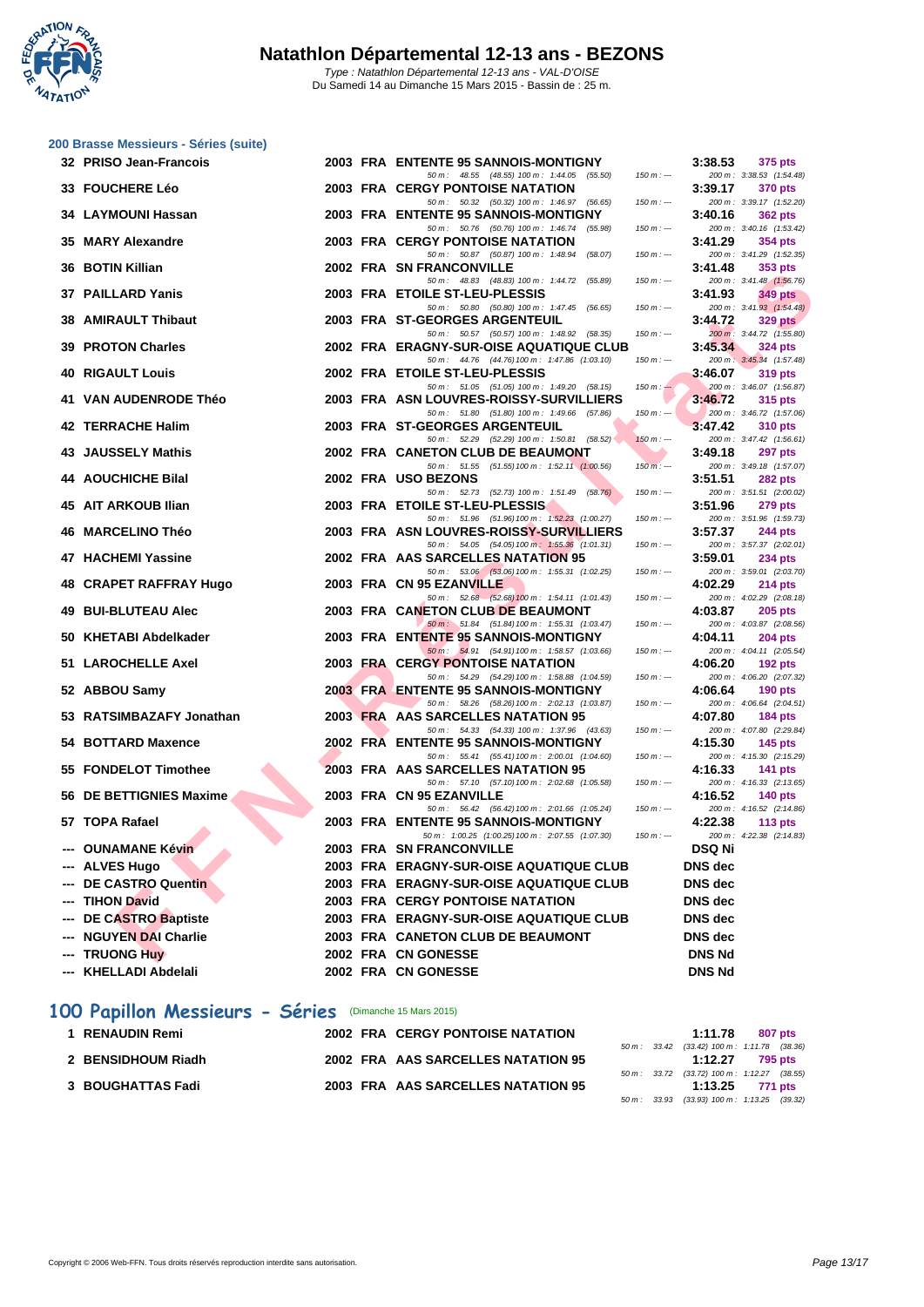ø Y - 7 **NATATION** 

|     | 200 Brasse Messieurs - Séries (suite)<br>32 PRISO Jean-Francois |  | 2003 FRA ENTENTE 95 SANNOIS-MONTIGNY                                                     |             | 3:38.53        | 375 pts                                    |
|-----|-----------------------------------------------------------------|--|------------------------------------------------------------------------------------------|-------------|----------------|--------------------------------------------|
|     |                                                                 |  | 50 m : 48.55 (48.55) 100 m : 1:44.05 (55.50)                                             | $150 m : -$ |                | 200 m: 3:38.53 (1:54.48)                   |
|     | <b>33 FOUCHERE Léo</b>                                          |  | <b>2003 FRA CERGY PONTOISE NATATION</b>                                                  |             | 3:39.17        | 370 pts                                    |
|     | 34 LAYMOUNI Hassan                                              |  | 50 m: 50.32 (50.32) 100 m: 1:46.97 (56.65)<br>2003 FRA ENTENTE 95 SANNOIS-MONTIGNY       | $150 m: -$  | 3:40.16        | 200 m: 3:39.17 (1:52.20)<br>362 pts        |
|     |                                                                 |  | 50 m: 50.76 (50.76) 100 m: 1:46.74 (55.98)                                               | $150 m: -$  |                | 200 m: 3:40.16 (1:53.42)                   |
|     | 35 MARY Alexandre                                               |  | <b>2003 FRA CERGY PONTOISE NATATION</b>                                                  |             | 3:41.29        | 354 pts                                    |
|     | 36 BOTIN Killian                                                |  | 50 m : 50.87 (50.87) 100 m : 1:48.94<br>(58.07)<br>2002 FRA SN FRANCONVILLE              | $150 m: -$  | 3:41.48        | 200 m: 3:41.29 (1:52.35)<br>353 pts        |
|     |                                                                 |  | 50 m: 48.83 (48.83) 100 m: 1:44.72 (55.89)                                               | $150 m: -$  |                | 200 m: 3:41.48 (1:56.76)                   |
|     | <b>37 PAILLARD Yanis</b>                                        |  | 2003 FRA ETOILE ST-LEU-PLESSIS<br>50 m : 50.80 (50.80) 100 m : 1:47.45 (56.65)           | $150 m: -$  | 3:41.93        | 349 pts<br>200 m: 3:41.93 (1:54.48)        |
|     | <b>38 AMIRAULT Thibaut</b>                                      |  | 2003 FRA ST-GEORGES ARGENTEUIL                                                           |             | 3:44.72        | 329 pts                                    |
|     |                                                                 |  | 50 m : 50.57 (50.57) 100 m : 1:48.92 (58.35)                                             | $150 m: -$  |                | 200 m : 3:44.72 (1:55.80)                  |
|     | <b>39 PROTON Charles</b>                                        |  | 2002 FRA ERAGNY-SUR-OISE AQUATIQUE CLUB<br>50 m: 44.76 (44.76) 100 m: 1:47.86 (1:03.10)  | $150 m: -$  | 3:45.34        | 324 pts<br>200 m: 3:45.34 (1:57.48)        |
|     | <b>40 RIGAULT Louis</b>                                         |  | 2002 FRA ETOILE ST-LEU-PLESSIS                                                           |             | 3:46.07        | 319 pts                                    |
|     | <b>VAN AUDENRODE Théo</b>                                       |  | 50 m: 51.05 (51.05) 100 m: 1:49.20 (58.15)<br>2003 FRA ASN LOUVRES-ROISSY-SURVILLIERS    | $150 m: -$  |                | 200 m: 3:46.07 (1:56.87)                   |
| 41  |                                                                 |  | 50 m: 51.80 (51.80) 100 m: 1:49.66 (57.86)                                               | $150 m: -$  | 3:46.72        | 315 pts<br>200 m: 3:46.72 (1:57.06)        |
|     | 42 TERRACHE Halim                                               |  | 2003 FRA ST-GEORGES ARGENTEUIL                                                           |             | 3:47.42        | <b>310 pts</b>                             |
|     | 43 JAUSSELY Mathis                                              |  | 50 m: 52.29 (52.29) 100 m: 1:50.81 (58.52)<br>2002 FRA CANETON CLUB DE BEAUMONT          | $150 m: -$  | 3:49.18        | 200 m: 3:47.42 (1:56.61)<br>297 pts        |
|     |                                                                 |  | 50 m: 51.55 (51.55) 100 m: 1:52.11 (1:00.56)                                             | $150 m: -$  |                | 200 m: 3:49.18 (1:57.07)                   |
|     | <b>44 AOUCHICHE Bilal</b>                                       |  | 2002 FRA USO BEZONS                                                                      |             | 3:51.51        | <b>282 pts</b>                             |
|     | 45 AIT ARKOUB Ilian                                             |  | 50 m: 52.73 (52.73) 100 m: 1:51.49 (58.76)<br>2003 FRA ETOILE ST-LEU-PLESSIS             | $150 m: -$  | 3:51.96        | 200 m: 3:51.51 (2:00.02)<br>279 pts        |
|     |                                                                 |  | 50 m: 51.96 (51.96) 100 m: 1:52.23 (1:00.27)                                             | $150 m: -$  |                | 200 m: 3:51.96 (1:59.73)                   |
| 46  | <b>MARCELINO Théo</b>                                           |  | 2003 FRA ASN LOUVRES-ROISSY-SURVILLIERS<br>50 m: 54.05 (54.05) 100 m: 1:55.36 (1:01.31)  | $150 m: -$  | 3:57.37        | 244 pts                                    |
| 47  | <b>HACHEMI Yassine</b>                                          |  | 2002 FRA AAS SARCELLES NATATION 95                                                       |             | 3:59.01        | 200 m: 3:57.37 (2:02.01)<br>234 pts        |
|     |                                                                 |  | 50 m : 53.06 (53.06) 100 m : 1:55.31 (1:02.25)                                           | $150 m : -$ |                | 200 m: 3:59.01 (2:03.70)                   |
| 48  | <b>CRAPET RAFFRAY Hugo</b>                                      |  | 2003 FRA CN 95 EZANVILLE<br>50 m: 52.68 (52.68) 100 m: 1:54.11 (1:01.43)                 | $150 m: -$  | 4:02.29        | $214$ pts<br>200 m: 4:02.29 (2:08.18)      |
| 49. | <b>BUI-BLUTEAU Alec</b>                                         |  | 2003 FRA CANETON CLUB DE BEAUMONT                                                        |             | 4:03.87        | $205$ pts                                  |
|     |                                                                 |  | 50 m: 51.84 (51.84) 100 m: 1:55.31 (1:03.47)                                             | $150 m: -$  |                | 200 m: 4:03.87 (2:08.56)                   |
|     | 50 KHETABI Abdelkader                                           |  | 2003 FRA ENTENTE 95 SANNOIS-MONTIGNY<br>50 m: 54.91 (54.91) 100 m: 1:58.57 (1:03.66)     | $150 m: -$  | 4:04.11        | $204$ pts<br>200 m: 4:04.11 (2:05.54)      |
|     | 51 LAROCHELLE Axel                                              |  | <b>2003 FRA CERGY PONTOISE NATATION</b>                                                  |             | 4:06.20        | $192$ pts                                  |
|     | 52 ABBOU Samy                                                   |  | 50 m: 54.29 (54.29) 100 m: 1:58.88 (1:04.59)<br>2003 FRA ENTENTE 95 SANNOIS-MONTIGNY     | $150 m: -$  | 4:06.64        | 200 m: 4:06.20 (2:07.32)<br>$190$ pts      |
|     |                                                                 |  | 50 m: 58.26 (58.26) 100 m: 2:02.13 (1:03.87)                                             | $150 m: -$  |                | 200 m: 4:06.64 (2:04.51)                   |
| 53. | <b>RATSIMBAZAFY Jonathan</b>                                    |  | 2003 FRA AAS SARCELLES NATATION 95                                                       |             | 4:07.80        | <b>184 pts</b>                             |
|     | 54 BOTTARD Maxence                                              |  | 50 m: 54.33 (54.33) 100 m: 1:37.96 (43.63)<br>2002 FRA ENTENTE 95 SANNOIS-MONTIGNY       | $150 m: -$  | 4:15.30        | 200 m: 4:07.80 (2:29.84)<br>145 $pts$      |
|     |                                                                 |  | 50 m: 55.41 (55.41) 100 m: 2:00.01 (1:04.60)                                             | $150 m: -$  |                | 200 m: 4:15.30 (2:15.29)                   |
|     | 55 FONDELOT Timothee                                            |  | 2003 FRA AAS SARCELLES NATATION 95<br>50 m: 57.10 (57.10) 100 m: 2:02.68 (1:05.58)       | $150 m: -$  | 4:16.33        | <b>141 pts</b><br>200 m: 4:16.33 (2:13.65) |
|     | 56 DE BETTIGNIES Maxime                                         |  | 2003 FRA CN 95 EZANVILLE                                                                 |             | 4:16.52        | $140$ pts                                  |
|     |                                                                 |  | 50 m: 56.42 (56.42) 100 m: 2:01.66 (1:05.24)                                             | $150 m : -$ |                | 200 m: 4:16.52 (2:14.86)                   |
|     | 57 TOPA Rafael                                                  |  | 2003 FRA ENTENTE 95 SANNOIS-MONTIGNY<br>50 m: 1:00.25 (1:00.25) 100 m: 2:07.55 (1:07.30) | $150 m: -$  | 4:22.38        | 113 $pts$<br>200 m: 4:22.38 (2:14.83)      |
|     | <b>OUNAMANE Kévin</b>                                           |  | 2003 FRA SN FRANCONVILLE                                                                 |             | DSQ Ni         |                                            |
|     | <b>ALVES Hugo</b>                                               |  | 2003 FRA ERAGNY-SUR-OISE AQUATIQUE CLUB                                                  |             | <b>DNS</b> dec |                                            |
| --- | <b>DE CASTRO Quentin</b>                                        |  | 2003 FRA ERAGNY-SUR-OISE AQUATIQUE CLUB                                                  |             | <b>DNS</b> dec |                                            |
|     | <b>TIHON David</b>                                              |  | <b>2003 FRA CERGY PONTOISE NATATION</b>                                                  |             | DNS dec        |                                            |
| --- | <b>DE CASTRO Baptiste</b>                                       |  | 2003 FRA ERAGNY-SUR-OISE AQUATIQUE CLUB                                                  |             | <b>DNS</b> dec |                                            |
|     | <b>NGUYEN DAI Charlie</b>                                       |  | 2003 FRA CANETON CLUB DE BEAUMONT                                                        |             | DNS dec        |                                            |
| --- | <b>TRUONG Huy</b>                                               |  | 2002 FRA CN GONESSE                                                                      |             | <b>DNS Nd</b>  |                                            |

- **55 FONDELOT Timothee 2003 FRA AAS SARCELLES NATATION 95 4:16.33 4:16.33 4:16.33 4:16.33 4:16.33 4:16.33 4:16.33 4:16.33 4:16.33 4:16.33 4:16.33 4:16.39 55 69 69 69 69 69 69**
- **56 DE BETTIGNIES Maxime 2003 FRA CN 95 EZANVILLE**
- 50 m : 56.42 (56.42)100 m : 2:01.66 (1:05.24) 150 m : --- 200 m : 4:16.52 (2:14.86) **57 TOPA Rafael 2003 FRA ENTENTE 95 SANNOIS-MONTIGNY 4:22.38 113 pts**
- **--- OUNAMANE Kévin 2003 FRA SN FRANCONVILLE DSQ Ni --- ALVES Hugo 2003 FRA ERAGNY-SUR-OISE AQUATIQUE CLUB DNS dec**
- **--- DE CASTRO Quentin 2003 FRA ERAGNY-SUR-OISE AQUATIQUE CLUB DNS dec**
- **--- TIHON David 2003 FRA CERGY PONTOISE NATATION DNS dec**
- **--- DE CASTRO Baptiste 2003 FRA ERAGNY-SUR-OISE AQUATIQUE CLUB DNS dec**
- 
- **--- NGUYEN DAI Charlie 2003 FRA CANETON CLUB DE BEAUMONT DNS dec**
- **--- TRUONG Huy 2002 FRA CN GONESSE DNS Nd**
- **--- KHELLADI Abdelali 2002 FRA CN GONESSE DNS Nd**

## **100 Papillon Messieurs - Séries** (Dimanche 15 Mars 2015)

| 1 RENAUDIN Remi    |  | <b>2002 FRA CERGY PONTOISE NATATION</b> |  | 1:11.78                                                          | 807 pts |  |
|--------------------|--|-----------------------------------------|--|------------------------------------------------------------------|---------|--|
|                    |  |                                         |  | 50 m : 33.42 (33.42) 100 m : 1:11.78 (38.36)                     |         |  |
| 2 BENSIDHOUM Riadh |  | 2002 FRA AAS SARCELLES NATATION 95      |  | 1:12.27                                                          | 795 pts |  |
|                    |  |                                         |  | 50 m : 33.72 (33.72) 100 m : 1:12.27 (38.55)                     |         |  |
| 3 BOUGHATTAS Fadi  |  | 2003 FRA AAS SARCELLES NATATION 95      |  | 1:13.25 771 pts                                                  |         |  |
|                    |  |                                         |  | $50 \text{ m}$ : 33.93 (33.93) $100 \text{ m}$ : 1:13.25 (39.32) |         |  |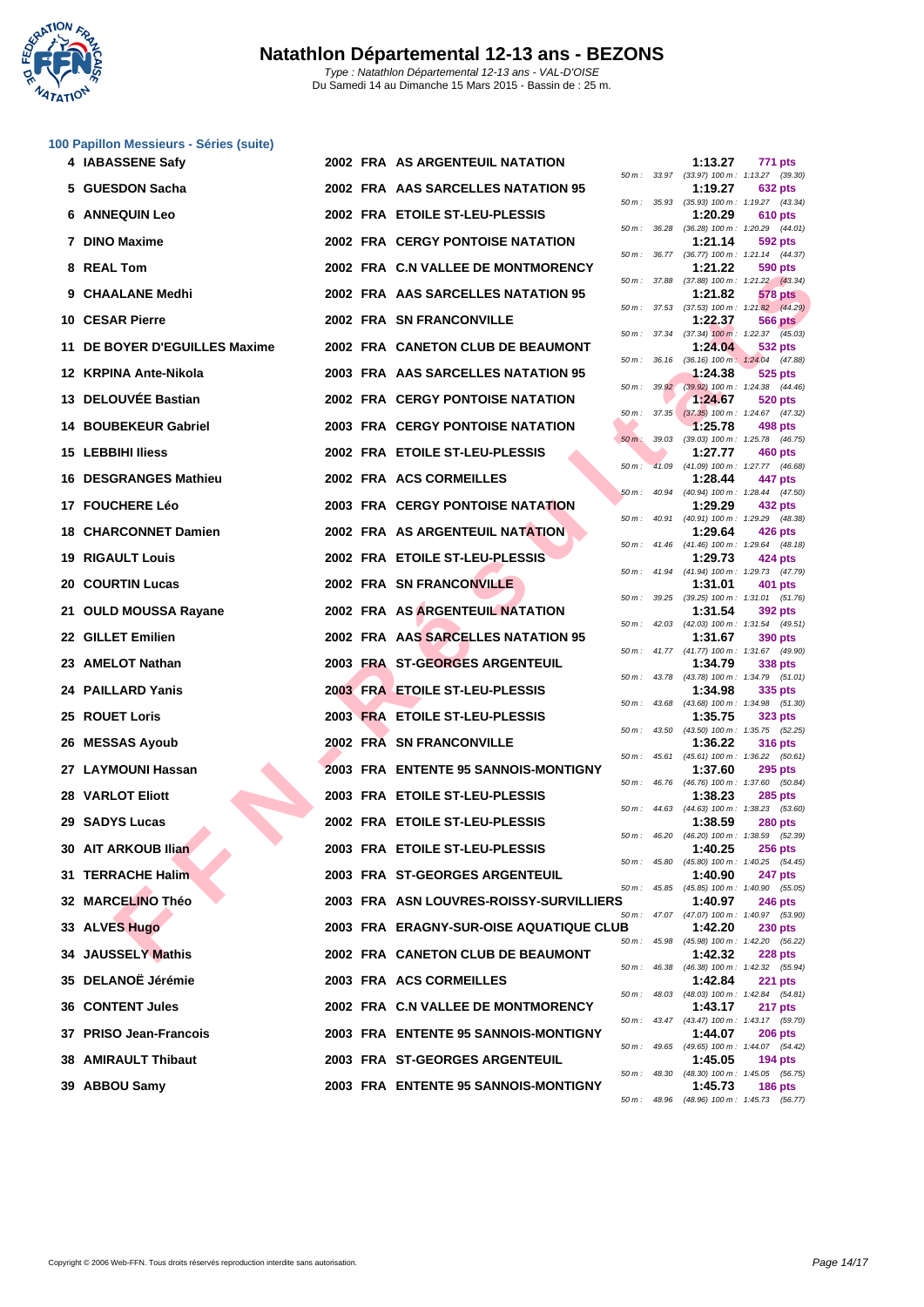

| 47AT10 |                                         |  |                                         |              |              |         |                                                              |
|--------|-----------------------------------------|--|-----------------------------------------|--------------|--------------|---------|--------------------------------------------------------------|
|        | 100 Papillon Messieurs - Séries (suite) |  |                                         |              |              |         |                                                              |
|        | 4 IABASSENE Safy                        |  | <b>2002 FRA AS ARGENTEUIL NATATION</b>  |              |              | 1:13.27 | 771 pts                                                      |
|        | 5 GUESDON Sacha                         |  | 2002 FRA AAS SARCELLES NATATION 95      |              |              | 1:19.27 | 50 m: 33.97 (33.97) 100 m: 1:13.27 (39.30)<br><b>632 pts</b> |
|        | <b>6 ANNEQUIN Leo</b>                   |  | 2002 FRA ETOILE ST-LEU-PLESSIS          | 50 m :       | 35.93        | 1:20.29 | (35.93) 100 m: 1:19.27 (43.34)<br>610 pts                    |
|        |                                         |  |                                         |              | 50 m : 36.28 |         | (36.28) 100 m: 1:20.29 (44.01)                               |
|        | 7 DINO Maxime                           |  | <b>2002 FRA CERGY PONTOISE NATATION</b> |              |              | 1:21.14 | 592 pts<br>50 m: 36.77 (36.77) 100 m: 1:21.14 (44.37)        |
| 8      | <b>REAL Tom</b>                         |  | 2002 FRA C.N VALLEE DE MONTMORENCY      |              | 50 m : 37.88 | 1:21.22 | 590 pts<br>$(37.88)$ 100 m : 1:21.22 $(43.34)$               |
| 9      | <b>CHAALANE Medhi</b>                   |  | 2002 FRA AAS SARCELLES NATATION 95      |              |              | 1:21.82 | 578 pts<br>50 m: 37.53 (37.53) 100 m: 1:21.82 (44.29)        |
|        | 10 CESAR Pierre                         |  | 2002 FRA SN FRANCONVILLE                |              |              | 1:22.37 | <b>566 pts</b>                                               |
|        | 11 DE BOYER D'EGUILLES Maxime           |  | 2002 FRA CANETON CLUB DE BEAUMONT       |              | 50 m : 37.34 | 1:24.04 | $(37.34)$ 100 m : 1:22.37 $(45.03)$<br>532 pts               |
|        | 12 KRPINA Ante-Nikola                   |  | 2003 FRA AAS SARCELLES NATATION 95      | 50 m :       | 36.16        | 1:24.38 | (36.16) 100 m: 1:24.04 (47.88)<br>525 pts                    |
|        | 13 DELOUVEE Bastian                     |  | <b>2002 FRA CERGY PONTOISE NATATION</b> |              | 50 m: 39.92  | 1:24.67 | $(39.92)$ 100 m : 1:24.38 $(44.46)$<br>520 pts               |
|        |                                         |  |                                         | 50 m :       | 37.35        |         | $(37.35)$ 100 m : 1:24.67 $(47.32)$                          |
| 14     | <b>BOUBEKEUR Gabriel</b>                |  | <b>2003 FRA CERGY PONTOISE NATATION</b> | $50 m$ :     | 39.03        | 1:25.78 | 498 pts<br>(39.03) 100 m: 1:25.78 (46.75)                    |
|        | <b>15 LEBBIHI Iliess</b>                |  | 2002 FRA ETOILE ST-LEU-PLESSIS          | $50 m$ :     | 41.09        | 1:27.77 | 460 pts<br>(41.09) 100 m: 1:27.77 (46.68)                    |
|        | 16 DESGRANGES Mathieu                   |  | 2002 FRA ACS CORMEILLES                 |              | 50 m : 40.94 | 1:28.44 | 447 pts<br>$(40.94)$ 100 m : 1:28.44 $(47.50)$               |
|        | 17 FOUCHERE Léo                         |  | 2003 FRA CERGY PONTOISE NATATION        |              |              | 1:29.29 | 432 pts                                                      |
|        | <b>18 CHARCONNET Damien</b>             |  | <b>2002 FRA AS ARGENTEUIL NATATION</b>  | 50 m :       | 40.91        | 1:29.64 | (40.91) 100 m: 1:29.29 (48.38)<br>426 pts                    |
| 19     | <b>RIGAULT Louis</b>                    |  | 2002 FRA ETOILE ST-LEU-PLESSIS          |              | 50 m : 41.46 | 1:29.73 | (41.46) 100 m: 1:29.64 (48.18)<br>424 pts                    |
| 20     | <b>COURTIN Lucas</b>                    |  | 2002 FRA SN FRANCONVILLE                |              |              | 1:31.01 | 50 m: 41.94 (41.94) 100 m: 1:29.73 (47.79)<br>401 pts        |
| 21     | <b>OULD MOUSSA Rayane</b>               |  | 2002 FRA AS ARGENTEUIL NATATION         | 50 m :       | 39.25        | 1:31.54 | $(39.25)$ 100 m : 1:31.01 $(51.76)$<br>392 pts               |
|        | 22 GILLET Emilien                       |  | 2002 FRA AAS SARCELLES NATATION 95      |              |              | 1:31.67 | 50 m: 42.03 (42.03) 100 m: 1:31.54 (49.51)<br>390 pts        |
|        |                                         |  |                                         | 50 m :       |              |         | 41.77 (41.77) 100 m: 1:31.67 (49.90)                         |
| 23.    | <b>AMELOT Nathan</b>                    |  | 2003 FRA ST-GEORGES ARGENTEUIL          |              | 50 m : 43.78 | 1:34.79 | 338 pts<br>(43.78) 100 m: 1:34.79 (51.01)                    |
|        | 24 PAILLARD Yanis                       |  | 2003 FRA ETOILE ST-LEU-PLESSIS          |              | 50 m : 43.68 | 1:34.98 | 335 pts<br>(43.68) 100 m: 1:34.98 (51.30)                    |
|        | 25 ROUET Loris                          |  | 2003 FRA ETOILE ST-LEU-PLESSIS          |              | 50 m : 43.50 | 1:35.75 | <b>323 pts</b><br>$(43.50)$ 100 m : 1:35.75 $(52.25)$        |
|        | 26 MESSAS Ayoub                         |  | 2002 FRA SN FRANCONVILLE                |              |              | 1:36.22 | <b>316 pts</b>                                               |
|        | 27 LAYMOUNI Hassan                      |  | 2003 FRA ENTENTE 95 SANNOIS-MONTIGNY    |              | 50 m : 45.61 | 1:37.60 | $(45.61)$ 100 m : 1:36.22 $(50.61)$<br>295 pts               |
|        | <b>28 VARLOT Eliott</b>                 |  | 2003 FRA ETOILE ST-LEU-PLESSIS          | 50 m : 46.76 |              | 1:38.23 | (46.76) 100 m: 1:37.60 (50.84)<br><b>285 pts</b>             |
|        | 29 SADYS Lucas                          |  | 2002 FRA ETOILE ST-LEU-PLESSIS          |              | 50 m : 44.63 | 1:38.59 | $(44.63)$ 100 m : 1:38.23 (53.60)<br><b>280 pts</b>          |
|        |                                         |  |                                         |              | 50 m : 46.20 |         | (46.20) 100 m : 1:38.59 (52.39)                              |
|        | 30 AIT ARKOUB Ilian                     |  | 2003 FRA ETOILE ST-LEU-PLESSIS          | 50 m :       | 45.80        | 1:40.25 | <b>256 pts</b><br>(45.80) 100 m: 1:40.25 (54.45)             |
|        | 31 TERRACHE Halim                       |  | 2003 FRA ST-GEORGES ARGENTEUIL          |              | 50 m : 45.85 | 1:40.90 | 247 pts<br>$(45.85)$ 100 m : 1:40.90 $(55.05)$               |
|        | 32 MARCELINO Théo                       |  | 2003 FRA ASN LOUVRES-ROISSY-SURVILLIERS |              |              | 1:40.97 | <b>246 pts</b><br>50 m: 47.07 (47.07) 100 m: 1:40.97 (53.90) |
|        | 33 ALVES Hugo                           |  | 2003 FRA ERAGNY-SUR-OISE AQUATIQUE CLUB |              |              | 1:42.20 | <b>230 pts</b>                                               |
|        | 34 JAUSSELY Mathis                      |  | 2002 FRA CANETON CLUB DE BEAUMONT       |              |              | 1:42.32 | 50 m: 45.98 (45.98) 100 m: 1:42.20 (56.22)<br><b>228 pts</b> |

| <b>30 AIT ARKOUB Ilian</b> |  | 2003 FRA ETOILE ST-LEU-PLESSIS          |
|----------------------------|--|-----------------------------------------|
| 31 TERRACHE Halim          |  | 2003 FRA ST-GEORGES ARGENTEUIL          |
| 32 MARCELINO Théo          |  | 2003 FRA ASN LOUVRES-ROISSY-SURVILLIERS |
| 33 ALVES Hugo              |  | 2003 FRA ERAGNY-SUR-OISE AQUATIQUE CLUE |
| 34 JAUSSELY Mathis         |  | 2002 FRA CANETON CLUB DE BEAUMONT       |
| 35 DELANOË Jérémie         |  | 2003 FRA ACS CORMEILLES                 |
| 36 CONTENT Jules           |  | 2002 FRA C.N VALLEE DE MONTMORENCY      |
| 37 PRISO Jean-Francois     |  | 2003 FRA ENTENTE 95 SANNOIS-MONTIGNY    |
| <b>38 AMIRAULT Thibaut</b> |  | 2003 FRA ST-GEORGES ARGENTEUIL          |
| 39 ABBOU Samy              |  | 2003 FRA ENTENTE 95 SANNOIS-MONTIGNY    |

|          |       | 1:13.27                      | 771<br>pts                |
|----------|-------|------------------------------|---------------------------|
| 50 m :   | 33.97 | $(33.97) 100 m$ :            | 1:13.27<br>(39.30)        |
|          |       | 1:19.27                      | 632 pts                   |
| $50 m$ : | 35.93 | $(35.93) 100 m$ :            | 1:19.27<br>(43.34)        |
|          |       | 1:20.29                      | <b>610 pts</b>            |
| $50 m$ : | 36.28 | $(36.28) 100 m$ :            | 1:20.29<br>(44.01)        |
|          |       | 1:21.14                      | 592 pts                   |
| $50 m$ : | 36.77 | $(36.77)$ 100 m :            | 1:21.14<br>(44.37)        |
|          |       | 1:21.22                      | 590 pts                   |
| $50 m$ : | 37.88 | $(37.88) 100 m$ :            | 1:21.22<br>(43.34)        |
|          |       | 1:21.82                      | 578<br>pts                |
| $50 m$ : | 37.53 | $(37.53) 100 m$ :            | 1:21.82<br>(44.29)        |
|          |       | 1:22.37                      | 566<br>pts                |
| $50 m$ : | 37.34 | $(37.34)$ 100 m:             | 1:22.37<br>(45.03)        |
|          |       | 1:24.04                      | 532 pts                   |
| $50 m$ : | 36.16 | $(36.16) 100 m$ :            | 1:24.04<br>(47.88)        |
|          |       | 1:24.38                      | 525<br>pts                |
| $50 m$ : | 39.92 | $(39.92) 100 m$ :            | 1:24.38<br>(44.46)        |
|          |       | 1:24.67                      | 520 pts                   |
| 50 m :   | 37.35 | $(37.35)$ 100 m :            | 1:24.67<br>(47.32)        |
|          |       | 1:25.78                      | 498 pts                   |
| $50 m$ : | 39.03 | $(39.03)$ 100 m :            | 1:25.78<br>(46.75)        |
|          |       | 1:27.77                      | <b>460 pts</b>            |
| $50 m$ : | 41.09 | $(41.09) 100 m$ :            | 1:27.77<br>(46.68)        |
|          |       | 1:28.44                      | 447<br>pts                |
| 50 m :   | 40.94 | $(40.94) 100 m$ :            | 1:28.44<br>(47.50)        |
|          |       | 1:29.29                      | 432 pts                   |
| $50 m$ : | 40.91 | $(40.91)$ 100 m :            | 1:29.29<br>(48.38)        |
|          |       | 1:29.64                      | 426 pts                   |
| 50 m :   | 41.46 | $(41.46) 100 m$ :            | 1:29.64<br>(48.18)        |
|          |       | 1:29.73                      | 424 pts                   |
| 50 m :   | 41.94 | $(41.94) 100 m$ :            | 1:29.73<br>(47.79)        |
|          |       | 1:31.01                      | 401 pts                   |
| $50 m$ : | 39.25 | $(39.25)$ 100 m :            | 1:31.01<br>(51.76)        |
|          |       | 1:31.54                      | 392 pts                   |
| $50 m$ : | 42.03 | $(42.03) 100 m$ :            | 1:31.54<br>(49.51)        |
|          |       | 1:31.67                      | 390 pts                   |
| $50 m$ : | 41.77 | $(41.77) 100 m$ :<br>1:34.79 | 1:31.67<br>(49.90)        |
|          |       | $(43.78) 100 m$ :            | 338 pts<br>1:34.79        |
| $50 m$ : | 43.78 | 1:34.98                      | (51.01)<br>335            |
| $50 m$ : | 43.68 | $(43.68) 100 m$ :            | pts<br>1:34.98<br>(51.30) |
|          |       | 1:35.75                      | 323 pts                   |
| 50 m :   | 43.50 | $(43.50)$ 100 m :            | 1:35.75<br>(52.25)        |
|          |       | 1:36.22                      | 316 pts                   |
| $50 m$ : | 45.61 | $(45.61)$ 100 m :            | 1:36.22<br>(50.61)        |
|          |       | 1:37.60                      | 295<br>pts                |
| $50 m$ : | 46.76 | $(46.76)$ 100 m :            | 1:37.60<br>(50.84)        |
|          |       | 1:38.23                      | 285<br>pts                |
| $50 m$ : | 44.63 | $(44.63) 100 m$ :            | 1:38.23<br>(53.60)        |
|          |       | 1:38.59                      | 280 pts                   |
| $50 m$ : | 46.20 | $(46.20)$ 100 m :            | 1:38.59<br>(52.39)        |
|          |       | 1:40.25                      | 256 pts                   |
| $50 m$ : | 45.80 | $(45.80) 100 m$ :            | 1:40.25<br>(54.45)        |
|          |       | 1:40.90                      | <b>247 pts</b>            |
| $50 m$ : | 45.85 | $(45.85) 100 m$ :            | 1:40.90<br>(55.05)        |
| RS       |       | 1:40.97                      | <b>246 pts</b>            |
| $50 m$ : | 47.07 | $(47.07) 100 m$ :            | 1:40.97<br>(53.90)        |
| .UB      |       | 1:42.20                      | <b>230 pts</b>            |
| $50 m$ : | 45.98 | $(45.98) 100 m$ :            | 1:42.20<br>(56.22)        |
|          |       | 1:42.32                      | <b>228 pts</b>            |
| $50 m$ : | 46.38 | $(46.38) 100 m$ :            | 1:42.32<br>(55.94)        |
|          |       | 1:42.84                      | 221<br>pts                |
| $50 m$ : | 48.03 | $(48.03) 100 m$ :            | 1:42.84<br>(54.81)        |
|          |       | 1:43.17                      | 217 pts                   |
| $50 m$ : | 43.47 | $(43.47) 100 m$ :            | 1:43.17<br>(59.70)        |
|          |       | 1:44.07                      | <b>206 pts</b>            |
| $50 m$ : | 49.65 | $(49.65) 100 m$ :            | 1:44.07<br>(54.42)        |
|          |       | 1:45.05                      | <b>194 pts</b>            |
| $50 m$ : | 48.30 | $(48.30)$ 100 m :            | 1:45.05<br>(56.75)        |
|          |       | 1:45.73                      | 186 pts                   |
| $50 m$ : | 48.96 | (48.96) 100 m : 1:45.73      | (56.77)                   |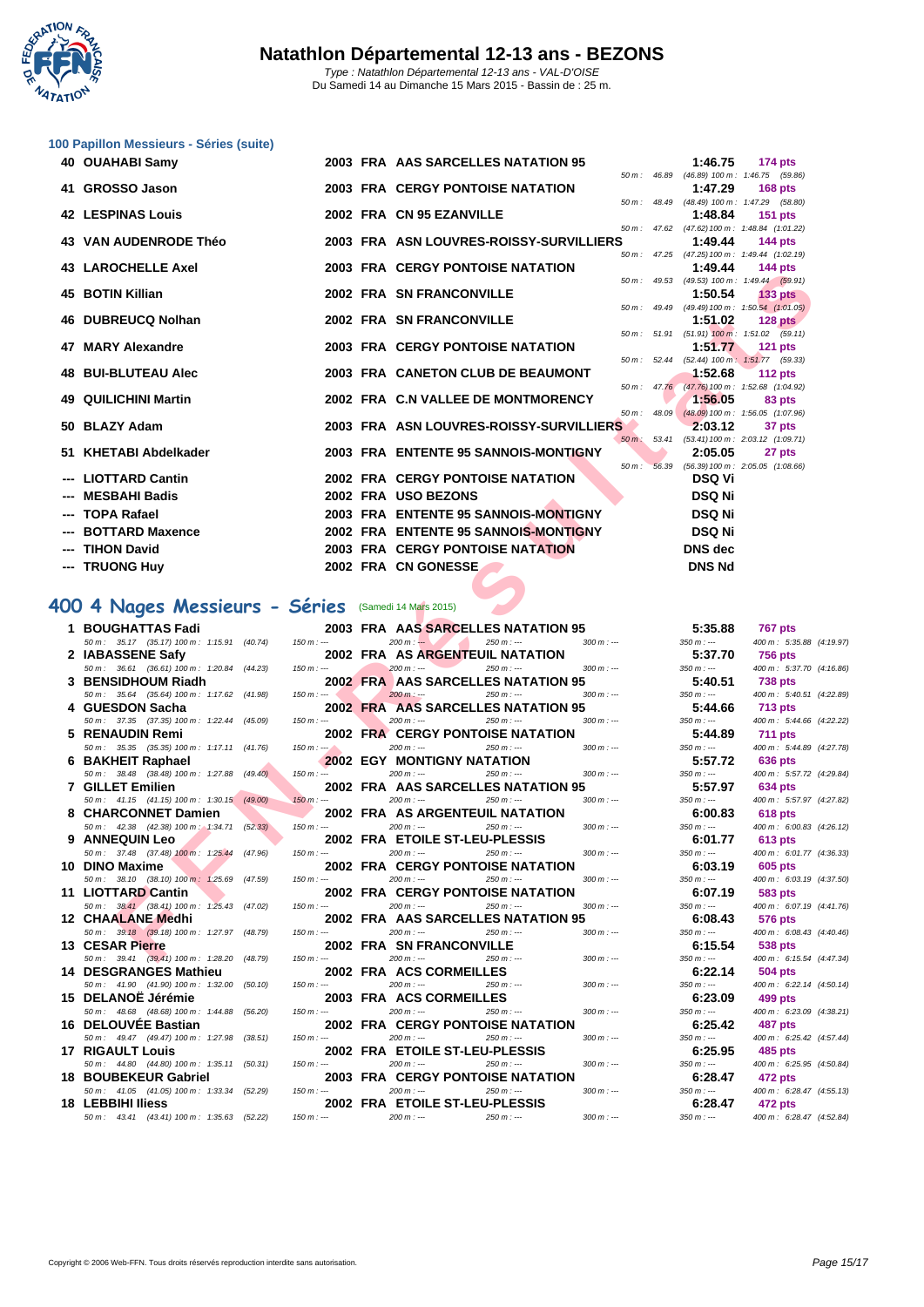

#### **[100 Papil](http://www.ffnatation.fr/webffn/index.php)lon Messieurs - Séries (suite)**

| 40 OUAHABI Samy                                                        |              | 2003 FRA AAS SARCELLES NATATION 95                                               |          |                  | 1:46.75                | 174 pts                                                      |
|------------------------------------------------------------------------|--------------|----------------------------------------------------------------------------------|----------|------------------|------------------------|--------------------------------------------------------------|
| 41 GROSSO Jason                                                        |              | <b>2003 FRA CERGY PONTOISE NATATION</b>                                          |          | 50 m: 46.89      | 1:47.29                | $(46.89)$ 100 m : 1:46.75 (59.86)<br><b>168 pts</b>          |
| <b>42 LESPINAS Louis</b>                                               |              | 2002 FRA CN 95 EZANVILLE                                                         |          | 50 m : 48.49     | 1:48.84                | (48.49) 100 m: 1:47.29 (58.80)<br>$151$ pts                  |
| <b>43 VAN AUDENRODE Théo</b>                                           |              | 2003 FRA ASN LOUVRES-ROISSY-SURVILLIERS                                          |          |                  | 1:49.44                | 50 m: 47.62 (47.62) 100 m: 1:48.84 (1:01.22)<br>144 $pts$    |
|                                                                        |              |                                                                                  |          |                  |                        | 50 m: 47.25 (47.25) 100 m: 1:49.44 (1:02.19)                 |
| <b>43 LAROCHELLE Axel</b>                                              |              | <b>2003 FRA CERGY PONTOISE NATATION</b>                                          |          |                  | 1:49.44                | <b>144 pts</b>                                               |
| <b>45 BOTIN Killian</b>                                                |              | 2002 FRA SN FRANCONVILLE                                                         |          |                  | 1:50.54                | 50 m: 49.53 (49.53) 100 m: 1:49.44 (59.91)<br><b>133 pts</b> |
|                                                                        |              |                                                                                  | $50 m$ : | 49.49            |                        | $(49.49) 100 \text{ m}$ : 1:50.54 $(1:01.05)$                |
| 46 DUBREUCQ Nolhan                                                     |              | 2002 FRA SN FRANCONVILLE                                                         |          |                  | 1:51.02                | $128$ pts                                                    |
| 47 MARY Alexandre                                                      |              | <b>2003 FRA CERGY PONTOISE NATATION</b>                                          |          |                  | 1:51.77                | 50 m: 51.91 (51.91) 100 m: 1:51.02 (59.11)<br>$121$ pts      |
|                                                                        |              |                                                                                  |          | 50 m: 52.44      |                        | $(52.44)$ 100 m : 1:51.77 $(59.33)$                          |
| <b>48 BUI-BLUTEAU Alec</b>                                             |              | 2003 FRA CANETON CLUB DE BEAUMONT                                                |          |                  | 1:52.68                | $112$ pts<br>50 m: 47.76 (47.76) 100 m: 1:52.68 (1:04.92)    |
| 49 QUILICHINI Martin                                                   |              | 2002 FRA C.N VALLEE DE MONTMORENCY                                               |          |                  | 1:56.05                | 83 pts                                                       |
|                                                                        |              |                                                                                  |          | $50 m$ : 48.09   |                        | $(48.09)$ 100 m : 1:56.05 $(1:07.96)$                        |
| 50 BLAZY Adam                                                          |              | 2003 FRA ASN LOUVRES-ROISSY-SURVILLIERS                                          | $50 m$ : | 53.41            | 2:03.12                | 37 pts<br>(53.41) 100 m: 2:03.12 (1:09.71)                   |
| 51 KHETABI Abdelkader                                                  |              | 2003 FRA ENTENTE 95 SANNOIS-MONTIGNY                                             |          |                  | 2:05.05                | 27 pts                                                       |
| --- LIOTTARD Cantin                                                    |              | 2002 FRA CERGY PONTOISE NATATION                                                 |          | $50 m$ : $56.39$ | <b>DSQ Vi</b>          | $(56.39) 100 m$ : 2:05.05 $(1:08.66)$                        |
| --- MESBAHI Badis                                                      |              | 2002 FRA USO BEZONS                                                              |          |                  | <b>DSQ Ni</b>          |                                                              |
| <b>TOPA Rafael</b>                                                     |              | 2003 FRA ENTENTE 95 SANNOIS-MONTIGNY                                             |          |                  | <b>DSQ Ni</b>          |                                                              |
| <b>BOTTARD Maxence</b>                                                 |              | 2002 FRA ENTENTE 95 SANNOIS-MONTIGNY                                             |          |                  | <b>DSQ Ni</b>          |                                                              |
|                                                                        |              |                                                                                  |          |                  |                        |                                                              |
| <b>TIHON David</b>                                                     |              | 2003 FRA CERGY PONTOISE NATATION                                                 |          |                  | <b>DNS</b> dec         |                                                              |
| --- TRUONG Huy                                                         |              | 2002 FRA CN GONESSE                                                              |          |                  | <b>DNS Nd</b>          |                                                              |
|                                                                        |              |                                                                                  |          |                  |                        |                                                              |
| 00 4 Nages Messieurs - Séries (Samedi 14 Mars 2015)                    |              |                                                                                  |          |                  |                        |                                                              |
| 1 BOUGHATTAS Fadi                                                      |              | <b>2003 FRA AAS SARCELLES NATATION 95</b>                                        |          |                  | 5:35.88                | <b>767 pts</b>                                               |
| 50 m: 35.17 (35.17) 100 m: 1:15.91 (40.74)                             | $150 m : -$  | $200 m: -$<br>$250 m : -$<br>$300 m: -$                                          |          |                  | $350 m: -$             | 400 m: 5:35.88 (4:19                                         |
| 2 IABASSENE Safy<br>50 m: 36.61 (36.61) 100 m: 1:20.84 (44.23)         | $150 m : -$  | 2002 FRA AS ARGENTEUIL NATATION<br>$200 m: -$<br>$250 m: -$<br>$300 m: -$        |          |                  | 5:37.70<br>$350 m: -$  | <b>756 pts</b><br>400 m : 5:37.70 (4:16                      |
| 3 BENSIDHOUM Riadh                                                     |              | 2002 FRA AAS SARCELLES NATATION 95                                               |          |                  | 5:40.51                | <b>738 pts</b>                                               |
| 50 m: 35.64 (35.64) 100 m: 1:17.62 (41.98)                             | $150 m: -$   | $200 m: -$<br>$250 m: -$<br>$300 m : -$                                          |          |                  | $350 m: -$             | 400 m: 5:40.51 (4:22                                         |
| 4 GUESDON Sacha                                                        | $150 m : -$  | 2002 FRA AAS SARCELLES NATATION 95<br>$200 m: -$<br>$250 m: -$<br>$300 m: -$     |          |                  | 5:44.66<br>$350 m : -$ | <b>713 pts</b>                                               |
| 50 m: 37.35 (37.35) 100 m: 1:22.44 (45.09)<br>5 RENAUDIN Remi          |              | <b>2002 FRA CERGY PONTOISE NATATION</b>                                          |          |                  | 5:44.89                | 400 m : 5:44.66 (4:22<br><b>711 pts</b>                      |
| 50 m: 35.35 (35.35) 100 m: 1:17.11 (41.76)                             | $150 m : -1$ | $200 m: -$<br>$250 m: -$<br>$300 m: -$                                           |          |                  | $350 m: -$             | 400 m : 5:44.89 (4:27                                        |
| 6 BAKHEIT Raphael                                                      |              | <b>2002 EGY MONTIGNY NATATION</b>                                                |          |                  | 5:57.72                | 636 pts                                                      |
| 50 m: 38.48 (38.48) 100 m: 1:27.88 (49.40)<br><b>7 GILLET Emilien</b>  | $150 m: -$   | $200 m$ : ---<br>$250 m : -$<br>$300 m: -$<br>2002 FRA AAS SARCELLES NATATION 95 |          |                  | $350 m : -$<br>5:57.97 | 400 m : 5:57.72 (4:29<br><b>634 pts</b>                      |
| 50 m: 41.15 (41.15) 100 m: 1:30.15 (49.00)                             | $150 m : -$  | $200 m: -$<br>$250 m : -$<br>$300 m$ : ---                                       |          |                  | $350 m: -$             | 400 m : 5:57.97 (4:27                                        |
| 8 CHARCONNET Damien                                                    |              | 2002 FRA AS ARGENTEUIL NATATION                                                  |          |                  | 6:00.83                | <b>618 pts</b>                                               |
| 50 m : 42.38 (42.38) 100 m : 1:34.71 (52.33)                           | $150 m : -$  | $200 m: -$<br>$300 m : -$<br>$250 m: -$                                          |          |                  | 350 m : ---            | 400 m : 6:00.83 (4:26                                        |
| 9 ANNEQUIN Leo                                                         | $150 m : -$  | 2002 FRA ETOILE ST-LEU-PLESSIS<br>$300 m$ : ---<br>$200 m : -$<br>$250 m : -$    |          |                  | 6:01.77<br>$350 m : -$ | <b>613 pts</b>                                               |
| 50 m: 37.48 (37.48) 100 m: 1:25.44 (47.96)<br>10 DINO Maxime           |              | <b>2002 FRA CERGY PONTOISE NATATION</b>                                          |          |                  | 6:03.19                | 400 m : 6:01.77 (4:36<br>605 pts                             |
| 50 m : 38.10 (38.10) 100 m : 1:25.69 (47.59)                           | $150 m : -$  | $200 m: -$<br>$250 m : -$<br>$300 m: -$                                          |          |                  | $350 m : -$            | 400 m : 6:03.19 (4:37                                        |
| 11 LIOTTARD Cantin                                                     |              | <b>2002 FRA CERGY PONTOISE NATATION</b>                                          |          |                  | 6:07.19                | 583 pts                                                      |
| 50 m: 38.41 (38.41) 100 m: 1:25.43 (47.02)<br><b>12 CHAALANE Medhi</b> | $150 m : -$  | $200 m: -$<br>250 m : ---<br>$300 m: -$<br>2002 FRA AAS SARCELLES NATATION 95    |          |                  | $350 m : -$<br>6:08.43 | 400 m : 6:07.19 (4:41<br>576 pts                             |
| 50 m : 39.18 (39.18) 100 m : 1:27.97 (48.79)                           | $150 m: -$   | $200 m: -$<br>$250 m: -$<br>$300 m$ : ---                                        |          |                  | $350 m : -$            | 400 m : 6:08.43 (4:40                                        |
| 13 CESAR Pierre<br>50 m: 39.41 (39.41) 100 m: 1:28.20 (48.79)          | 150 m : ---  | 2002 FRA SN FRANCONVILLE<br>$200 m: -$<br>$250 m: -$<br>$300 m : -$              |          |                  | 6:15.54<br>$350 m: -$  | 538 pts<br>400 m: 6:15.54 (4:47                              |

# **400 4 Nages Messieurs - Séries** (Samedi 14 Mars 2015)

| <b>BOUGHATTAS Fadi</b>                       |                       | 5:35.88<br>2003 FRA AAS SARCELLES NATATION 95          | <b>767 pts</b>            |
|----------------------------------------------|-----------------------|--------------------------------------------------------|---------------------------|
| 50 m: 35.17 (35.17) 100 m: 1:15.91 (40.74)   | $150 m: -$            | $200 m: -$<br>$250 m: -$<br>$300 m: -$<br>$350 m : -$  | 400 m: 5:35.88 (4:19.97)  |
| 2 IABASSENE Safy                             |                       | 5:37.70<br>2002 FRA AS ARGENTEUIL NATATION             | <b>756 pts</b>            |
| 50 m: 36.61 (36.61) 100 m: 1:20.84 (44.23)   | $150 m: -$            | $200 m: -$<br>$350 m : -$<br>$250 m: -$<br>$300 m: -$  | 400 m: 5:37.70 (4:16.86)  |
| 3 BENSIDHOUM Riadh                           |                       | 5:40.51<br>2002 FRAI AAS SARCELLES NATATION 95         | <b>738 pts</b>            |
| 50 m: 35.64 (35.64) 100 m: 1:17.62 (41.98)   | $150 m: -$            | $200 m: -$<br>$250 m: -$<br>$350 m: -$<br>$300 m : -$  | 400 m: 5:40.51 (4:22.89)  |
| 4 GUESDON Sacha                              |                       | 2002 FRA AAS SARCELLES NATATION 95<br>5:44.66          | <b>713 pts</b>            |
| 50 m: 37.35 (37.35) 100 m: 1:22.44 (45.09)   | $150 m: -$            | $200 m: -$<br>$350 m: -$<br>$250 m: -$<br>$300 m: -$   | 400 m: 5:44.66 (4:22.22)  |
| 5 RENAUDIN Remi                              |                       | <b>2002 FRA CERGY PONTOISE NATATION</b><br>5:44.89     | <b>711 pts</b>            |
| 50 m: 35.35 (35.35) 100 m: 1:17.11 (41.76)   | $150 m : -2$          | $200 m: -$<br>$350 m : -$<br>$250 m: -$<br>$300 m: -$  | 400 m: 5:44.89 (4:27.78)  |
| 6 BAKHEIT Raphael                            |                       | <b>2002 EGY MONTIGNY NATATION</b><br>5:57.72           | 636 pts                   |
| 50 m: 38.48 (38.48) 100 m: 1:27.88 (49.40)   | $150 m: -$            | $200 m: -$<br>$250 m: -$<br>$300 m : -$<br>$350 m : -$ | 400 m : 5:57.72 (4:29.84) |
| 7 GILLET Emilien                             |                       | 2002 FRA AAS SARCELLES NATATION 95<br>5:57.97          | <b>634 pts</b>            |
| 50 m: 41.15 (41.15) 100 m: 1:30.15 (49.00)   | $150 m: -$            | $200 m: -$<br>$250 m: -$<br>$300 m : -$<br>$350 m: -$  | 400 m: 5:57.97 (4:27.82)  |
| 8 CHARCONNET Damien                          |                       | 2002 FRA AS ARGENTEUIL NATATION<br>6:00.83             | <b>618 pts</b>            |
| 50 m : 42.38 (42.38) 100 m : 1:34.71 (52.33) | $150 m: -$            | $200 m: -$<br>$350 m : -$<br>$250 m: -$<br>$300 m: -$  | 400 m: 6:00.83 (4:26.12)  |
| 9 ANNEQUIN Leo                               |                       | 2002 FRA ETOILE ST-LEU-PLESSIS<br>6:01.77              | <b>613 pts</b>            |
| 50 m : 37.48 (37.48) 100 m : 1:25.44 (47.96) | $150 m : -$           | $200 m: -$<br>$250 m: -$<br>$300 m: -$<br>$350 m: -$   | 400 m: 6:01.77 (4:36.33)  |
| 10 DINO Maxime                               |                       | <b>2002 FRA CERGY PONTOISE NATATION</b><br>6:03.19     | 605 pts                   |
| 50 m: 38.10 (38.10) 100 m: 1.25.69 (47.59)   | $150 m: -$            | $200 m: -$<br>$250 m: -$<br>$350 m : -$<br>$300 m: -$  | 400 m: 6:03.19 (4:37.50)  |
| 11 LIOTTARD Cantin                           |                       | 2002 FRA CERGY PONTOISE NATATION<br>6:07.19            | 583 pts                   |
| 50 m: 38.41 (38.41) 100 m: 1:25.43 (47.02)   | $150 m: -$            | $200 m: -$<br>$250 m: -$<br>$300 m: -$<br>$350 m: -$   | 400 m : 6:07.19 (4:41.76) |
| 12 CHAALANE Medhi                            |                       | 2002 FRA AAS SARCELLES NATATION 95<br>6:08.43          | 576 pts                   |
| 50 m: 39.18 (39.18) 100 m: 1:27.97 (48.79)   | $150 m: -$            | $200 m: -$<br>$250 m: -$<br>$300 m: -$<br>$350 m : -$  | 400 m : 6:08.43 (4:40.46) |
| 13 CESAR Pierre                              |                       | <b>2002 FRA SN FRANCONVILLE</b><br>6:15.54             | 538 pts                   |
| 50 m: 39.41 (39.41) 100 m: 1:28.20 (48.79)   | $150 m: -$            | $200 m: -$<br>$250 m: -$<br>$350 m : -$<br>$300 m: -$  | 400 m: 6:15.54 (4:47.34)  |
| 14 DESGRANGES Mathieu                        |                       | 2002 FRA ACS CORMEILLES<br>6:22.14                     | <b>504 pts</b>            |
| 50 m: 41.90 (41.90) 100 m: 1:32.00 (50.10)   | $150 m: -$            | $200 m: -$<br>$250 m: -$<br>$300 m: -$<br>$350 m : -$  | 400 m: 6:22.14 (4:50.14)  |
| 15 DELANOË Jérémie                           |                       | 2003 FRA ACS CORMEILLES<br>6:23.09                     | 499 pts                   |
| 50 m: 48.68 (48.68) 100 m: 1:44.88           | (56.20)<br>$150 m: -$ | $200 m: -$<br>$350 m: -$<br>$250 m : -$<br>$300 m: -$  | 400 m: 6:23.09 (4:38.21)  |
| 16 DELOUVEE Bastian                          |                       | <b>2002 FRA CERGY PONTOISE NATATION</b><br>6:25.42     | <b>487 pts</b>            |
| 50 m: 49.47 (49.47) 100 m: 1:27.98 (38.51)   | $150 m: -$            | $200 m: -$<br>$350 m : -$<br>$250 m: -$<br>$300 m: -$  | 400 m : 6:25.42 (4:57.44) |
| <b>17 RIGAULT Louis</b>                      |                       | 2002 FRA ETOILE ST-LEU-PLESSIS<br>6:25.95              | 485 pts                   |
| 50 m: 44.80 (44.80) 100 m: 1:35.11 (50.31)   | $150 m: -$            | $200 m: -$<br>$250 m: -$<br>$350 m: -$<br>$300 m: -$   | 400 m: 6:25.95 (4:50.84)  |
| 18 BOUBEKEUR Gabriel                         |                       | <b>2003 FRA CERGY PONTOISE NATATION</b><br>6:28.47     | 472 pts                   |
| 50 m: 41.05 (41.05) 100 m: 1:33.34 (52.29)   | $150 m: -$            | $200 m: -$<br>$250 m: -$<br>$300 m: -$<br>$350 m : -$  | 400 m: 6:28.47 (4:55.13)  |
| <b>18 LEBBIHI Iliess</b>                     |                       | 2002 FRA ETOILE ST-LEU-PLESSIS<br>6:28.47              | 472 pts                   |
| 50 m: 43.41 (43.41) 100 m: 1:35.63 (52.22)   | $150 m : -$           | $200 m: -$<br>$250 m: -$<br>$300 m : -$<br>$350 m : -$ | 400 m : 6:28.47 (4:52.84) |

|             |       | 1:46.75                      | <b>174 pts</b>                 |
|-------------|-------|------------------------------|--------------------------------|
| 50 m: 46.89 |       |                              | (46.89) 100 m: 1:46.75 (59.86) |
|             |       | 1:47.29                      | <b>168 pts</b>                 |
| 50 m :      | 48.49 | $(48.49) 100 m$ :            | 1:47.29 (58.80)                |
|             |       | 1:48.84                      | <b>151 pts</b>                 |
| 50 m:       | 47.62 | $(47.62) 100 m$ :            | 1:48.84 (1:01.22)              |
|             |       | 1:49.44                      | <b>144 pts</b>                 |
| $50 m$ :    | 47.25 | $(47.25) 100 m$ :            | 1:49.44 (1:02.19)              |
|             |       | 1:49.44                      | 144 pts                        |
| 50 m :      | 49.53 | $(49.53) 100 m$ :            | 1:49.44 (59.91)                |
|             |       | 1:50.54                      | <b>133 pts</b>                 |
| 50 m:       | 49.49 | $(49.49) 100 m$ :            | 1:50.54 (1:01.05)              |
|             |       | 1:51.02                      | 128 pts                        |
| 50 m :      | 51.91 | $(51.91)$ 100 m :            | $1:51.02$ $(59.11)$            |
|             |       | 1:51.77                      | 121 pts                        |
| 50 m :      | 52.44 | $(52.44)$ 100 m:             | 1:51.77 (59.33)                |
|             |       | 1:52.68                      | 112 pts                        |
| 50 m :      | 47.76 | $(47.76) 100 m$ :            | 1:52.68 (1:04.92)              |
|             |       | 1:56.05                      | 83 pts                         |
| 50 m :      | 48.09 | $(48.09) 100 m$ :            | 1:56.05 (1:07.96)              |
|             | 53.41 | 2:03.12<br>$(53.41) 100 m$ : | 37 pts<br>2:03.12 (1:09.71)    |
| $50 m$ :    |       | 2:05.05                      | 27 pts                         |
| 50 m :      | 56.39 | $(56.39) 100 m$ :            | 2:05.05 (1:08.66)              |
|             |       | <b>DSQ Vi</b>                |                                |
|             |       |                              |                                |
| þ           |       | <b>DSQ Ni</b>                |                                |
|             |       | <b>DSQ Ni</b>                |                                |
|             |       | <b>DSQ Ni</b>                |                                |
|             |       | DNS dec                      |                                |
|             |       |                              |                                |
|             |       | <b>DNS Nd</b>                |                                |
|             |       |                              |                                |
|             |       |                              |                                |
|             |       |                              |                                |
|             |       | 5:35.88                      | <b>767 pts</b>                 |
|             |       | $350 m : -$                  | 400 m: 5:35.88                 |
|             |       | 5:37.70                      | <b>756 pts</b>                 |
|             |       | $350 m : -$                  | 400 m: 5:37.70                 |
|             |       |                              |                                |

| $350 m : -$ | 400 m: 5:35.88 (4:19.97) |
|-------------|--------------------------|
| 5:37.70     | <b>756 pts</b>           |
| $350 m : -$ | 400 m: 5:37.70 (4:16.86) |
| 5:40.51     | <b>738 pts</b>           |
| $350 m: -$  | 400 m: 5:40.51 (4:22.89) |
| 5:44.66     | <b>713 pts</b>           |
| $350 m : -$ | 400 m: 5:44.66 (4:22.22) |
| 5:44.89     | 711 pts                  |
| $350 m: -$  | 400 m: 5:44.89 (4:27.78) |
| 5:57.72     | 636 pts                  |
| $350 m : -$ | 400 m: 5:57.72 (4:29.84) |
| 5:57.97     | 634 pts                  |
| $350 m : -$ | 400 m: 5:57.97 (4:27.82) |
| 6:00.83     | <b>618 pts</b>           |
| $350 m : -$ | 400 m: 6:00.83 (4:26.12) |
| 6:01.77     | 613 pts                  |
| $350 m : -$ | 400 m: 6:01.77 (4:36.33) |
| 6:03.19     | <b>605 pts</b>           |
| $350 m : -$ | 400 m: 6:03.19 (4:37.50) |
| 6:07.19     | 583 pts                  |
| $350 m : -$ | 400 m: 6:07.19 (4:41.76) |
| 6:08.43     | 576 pts                  |
| $350 m : -$ | 400 m: 6:08.43 (4:40.46) |
| 6:15.54     | 538 pts                  |
| $350 m : -$ | 400 m: 6:15.54 (4:47.34) |
| 6:22.14     | 504 pts                  |
| $350 m : -$ | 400 m: 6:22.14 (4:50.14) |
| 6:23.09     | 499 pts                  |
| $350 m : -$ | 400 m: 6:23.09 (4:38.21) |
| 6:25.42     | 487 pts                  |
| $350 m : -$ | 400 m: 6:25.42 (4:57.44) |
| 6:25.95     | <b>485 pts</b>           |
| $350 m : -$ | 400 m: 6:25.95 (4:50.84) |
| 6:28.47     | 472 pts                  |
| $350 m : -$ | 400 m: 6:28.47 (4:55.13) |
| 6:28.47     | 472 pts                  |
| $350 m : -$ | 400 m: 6:28.47 (4:52.84) |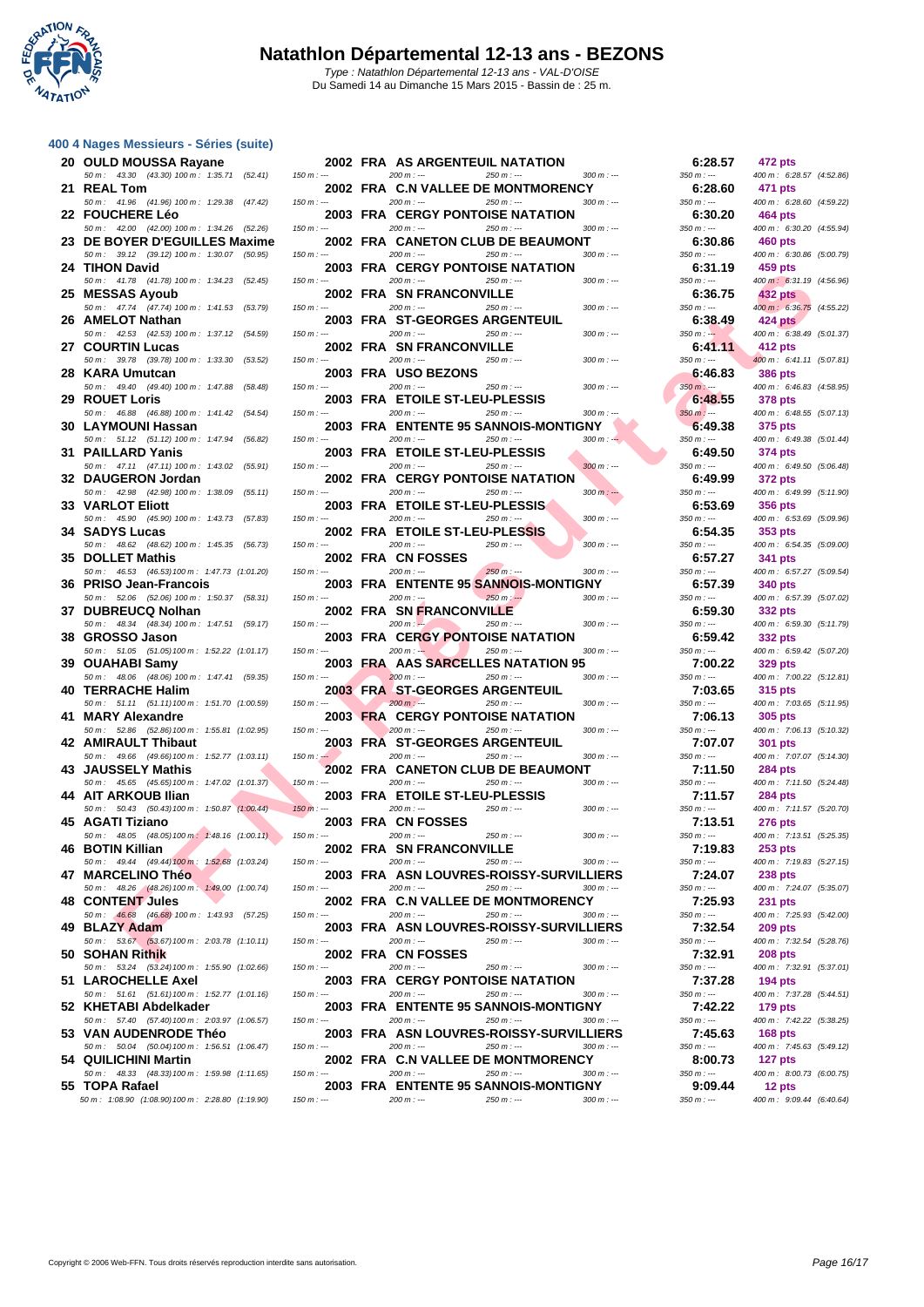

|    | 400 4 Nages Messieurs - Séries (suite)                                                                              |                   |                              |    |
|----|---------------------------------------------------------------------------------------------------------------------|-------------------|------------------------------|----|
| 20 | <b>OULD MOUSSA Rayane</b>                                                                                           |                   |                              | 20 |
| 21 | 43.30 (43.30) 100 m : 1:35.71<br>$50 m$ :<br><b>REAL Tom</b>                                                        | (52.41)           | $150 m: -$                   | 20 |
| 22 | 50 m: 41.96 (41.96) 100 m: 1:29.38<br><b>FOUCHERE Léo</b>                                                           | (47.42)           | $150 m : -$                  | 20 |
| 23 | 50 m : 42.00 (42.00) 100 m : 1:34.26<br>DE BOYER D'EGUILLES Maxime                                                  | (52.26)           | $150 m : -$                  | 20 |
| 24 | 39.12<br>$(39.12)$ 100 m : 1:30.07<br>$50 m$ :<br><b>TIHON David</b>                                                | (50.95)           | $150 m : -$                  | 20 |
| 25 | 41.78 (41.78) 100 m : 1:34.23<br>$50 m$ :<br><b>MESSAS Ayoub</b>                                                    | (52.45)           | 150 m : ---                  | 20 |
| 26 | 47.74 (47.74) 100 m : 1:41.53<br>$50 m$ :<br><b>AMELOT Nathan</b>                                                   | (53.79)           | $150 m : -$                  | 20 |
| 27 | 42.53 (42.53) 100 m : 1:37.12<br>50 m :<br><b>COURTIN Lucas</b>                                                     | (54.59)           | 150 m : ---                  | 20 |
| 28 | 39.78 (39.78) 100 m : 1:33.30<br>50 m :<br><b>KARA Umutcan</b>                                                      | (53.52)           | $150 m : -$                  | 20 |
| 29 | 50 m: 49.40 (49.40) 100 m: 1:47.88<br><b>ROUET Loris</b>                                                            | (58.48)           | $150 m : -$                  | 20 |
| 30 | 50 m: 46.88 (46.88) 100 m: 1:41.42<br><b>LAYMOUNI Hassan</b>                                                        | (54.54)           | $150 m : -$                  | 20 |
| 31 | $50 m$ :<br>51.12<br>$(51.12)$ 100 m : 1:47.94<br><b>PAILLARD Yanis</b>                                             | (56.82)           | $150 m: -$                   | 20 |
| 32 | 47.11<br>$(47.11)$ 100 m : 1:43.02<br>$50 m$ :<br><b>DAUGERON Jordan</b>                                            | (55.91)           | $150 m : -$                  | 20 |
| 33 | 42.98<br>$(42.98)$ 100 m : 1:38.09<br>50 m :<br><b>VARLOT Eliott</b>                                                | (55.11)           | $150 m : -$                  | 20 |
| 34 | 45.90 (45.90) 100 m : 1:43.73<br>50 m :<br><b>SADYS Lucas</b>                                                       | (57.83)           | 150 m : ---                  | 20 |
| 35 | $50 m$ : 48.62<br>$(48.62)$ 100 m : 1:45.35<br><b>DOLLET Mathis</b>                                                 | (56.73)           | $150 m : -$                  | 20 |
| 36 | 46.53 (46.53) 100 m : 1:47.73 (1:01.20)<br>$50 m$ :<br><b>PRISO Jean-Francois</b>                                   |                   | $150 m : -$                  | 20 |
| 37 | 52.06<br>$(52.06)$ 100 m : 1:50.37<br>$50 m$ :<br><b>DUBREUCQ Nolhan</b>                                            | (58.31)           | 150 m : ---                  | 20 |
| 38 | $50 m$ :<br>48.34<br>(48.34) 100 m : 1:47.51<br><b>GROSSO Jason</b>                                                 | (59.17)           | $150 m : -$                  | 20 |
| 39 | 50 m: 51.05 (51.05) 100 m: 1:52.22 (1:01.17)<br><b>OUAHABI Samy</b>                                                 |                   | $150 m: -$                   | 20 |
| 40 | 48.06<br>$(48.06)$ 100 m : 1:47.41<br>$50 m$ :<br><b>TERRACHE Halim</b>                                             | (59.35)           | $150 m : -$                  | 20 |
| 41 | 51.11 (51.11) 100 m: 1:51.70 (1:00.59)<br>50 m :<br><b>MARY Alexandre</b>                                           |                   | 150 m : ---                  | 20 |
| 42 | 52.86 (52.86) 100 m: 1:55.81 (1:02.95)<br>50 m :<br><b>AMIRAULT Thibaut</b><br>49.66<br>(49.66) 100 m :<br>$50 m$ : |                   | $150 m : -$<br>$150 m$ : $-$ | 20 |
| 43 | <b>JAUSSELY Mathis</b><br>(45.65) 100 m: 1:47.02 (1:01.37)<br>$50 m$ :<br>45.65                                     | 1:52.77 (1:03.11) | 150 m : ---                  | 20 |
| 44 | <b>AIT ARKOUB Ilian</b>                                                                                             |                   |                              | 20 |
| 45 | 50 m : 50.43 (50.43) 100 m : 1:50.87 (1:00.44)<br>AGATI Tiziano                                                     |                   | $150 m: -$                   | 20 |
| 46 | 50 m : 48.05 (48.05) 100 m : 1:48.16 (1:00.11) 150 m : ---<br><b>BOTIN Killian</b>                                  |                   |                              | 20 |
| 47 | 49.44 (49.44) 100 m : 1:52.68 (1:03.24)<br>50 m :<br><b>MARCELINO Théo</b>                                          |                   | $150 m : -$                  | 20 |
| 48 | 50 m : 48.26 (48.26) 100 m : 1:49.00 (1:00.74)<br><b>CONTENT Jules</b>                                              |                   | $150 m : -$                  | 20 |
| 49 | 50 m : 46.68 (46.68) 100 m : 1:43.93 (57.25)<br><b>BLAZY Adam</b>                                                   |                   | $150 m : -$                  | 20 |
| 50 | 53.67 (53.67) 100 m : 2:03.78 (1:10.11)<br>$50 m$ :<br><b>SOHAN Rithik</b>                                          |                   | $150 m : -$                  | 20 |
| 51 | 50 m : 53.24 (53.24) 100 m : 1:55.90 (1:02.66)<br><b>LAROCHELLE Axel</b>                                            |                   | $150 m: -$                   | 20 |
| 52 | 50 m: 51.61 (51.61) 100 m: 1:52.77 (1:01.16)<br>KHETABI Abdelkader                                                  |                   | $150 m : -$                  | 20 |
| 53 | 50 m : 57.40 (57.40) 100 m : 2:03.97 (1:06.57)<br>VAN AUDENRODE Théo                                                |                   | $150 m : -$                  | 20 |
| 54 | 50 m : 50.04 (50.04) 100 m : 1:56.51 (1:06.47)<br><b>QUILICHINI Martin</b>                                          |                   | $150 m : -$                  | 20 |
| 55 | 50 m : 48.33 (48.33) 100 m : 1:59.98 (1:11.65)<br><b>TOPA Rafael</b>                                                |                   | $150 m : -$                  | 20 |
|    | 50 m : 1:08.90 (1:08.90) 100 m : 2:28.80 (1:19.90)                                                                  |                   | $150 m : -$                  |    |

| 0 4 Nages Messieurs - Series (suite)                                    |               |                                                                                       |                        |                                             |
|-------------------------------------------------------------------------|---------------|---------------------------------------------------------------------------------------|------------------------|---------------------------------------------|
| 20   OULD MOUSSA Rayane                                                 |               | 2002 FRA AS ARGENTEUIL NATATION                                                       | 6:28.57                | 472 pts                                     |
| 50 m: 43.30 (43.30) 100 m: 1:35.71 (52.41)<br>21 REAL Tom               | $150 m : -$   | $200 m: -$<br>$250 m : -$<br>$300 m: -$<br>2002 FRA C.N VALLEE DE MONTMORENCY         | $350 m : -$<br>6:28.60 | 400 m: 6:28.57 (4:52.86)<br>471 pts         |
| 50 m: 41.96 (41.96) 100 m: 1:29.38 (47.42)                              | $150 m: -$    | $200 m: -$<br>$250 m: -$<br>$300 m: -$                                                | $350 m: -$             | 400 m: 6:28.60 (4:59.22)                    |
| 22 FOUCHERE Léo<br>50 m: 42.00 (42.00) 100 m: 1:34.26 (52.26)           | $150 m : -$   | <b>2003 FRA CERGY PONTOISE NATATION</b><br>200 m : ---<br>$250 m : -$<br>$300 m: -$   | 6:30.20<br>$350 m : -$ | 464 pts<br>400 m: 6:30.20 (4:55.94)         |
| 23 DE BOYER D'EGUILLES Maxime                                           |               | 2002 FRA CANETON CLUB DE BEAUMONT                                                     | 6:30.86                | 460 pts                                     |
| 50 m : 39.12 (39.12) 100 m : 1:30.07<br>(50.95)<br>24 TIHON David       | $150 m: -$    | 200 m : ---<br>$250 m : -$<br>300 m : ---<br><b>2003 FRA CERGY PONTOISE NATATION</b>  | $350 m : -$<br>6:31.19 | 400 m: 6:30.86 (5:00.79)<br><b>459 pts</b>  |
| 50 m: 41.78 (41.78) 100 m: 1:34.23 (52.45)                              | $150 m: -$    | $200 m: -$<br>$250 m: -$<br>$300 m: -$                                                | $350 m: -$             | 400 m: 6:31.19 (4:56.96)                    |
| 25  MESSAS Ayoub<br>50 m: 47.74 (47.74) 100 m: 1:41.53 (53.79)          | $150 m : -$   | <b>2002 FRA SN FRANCONVILLE</b><br>$200 m: -$<br>$250 m : -$<br>$300 m$ : ---         | 6:36.75<br>$350 m : -$ | 432 pts<br>400 m: 6:36.75 (4:55.22)         |
| 26   AMELOT Nathan                                                      |               | 2003 FRA ST-GEORGES ARGENTEUIL                                                        | 6:38.49                | 424 pts                                     |
| 50 m: 42.53 (42.53) 100 m: 1:37.12 (54.59)<br>27 COURTIN Lucas          | $150 m : -$   | $200 m: -$<br>$250 m : -$<br>$300 m : -$<br><b>2002 FRA SN FRANCONVILLE</b>           | $350 m: -$<br>6:41.11  | 400 m: 6:38.49 (5:01.37)<br>412 pts         |
| 50 m: 39.78 (39.78) 100 m: 1:33.30 (53.52)                              | $150 m: -$    | $200 m: -$<br>$300 m : -$<br>$250 m: -$                                               | $350 m: -$             | 400 m: 6:41.11 (5:07.81)                    |
| 28   KARA Umutcan<br>50 m: 49.40 (49.40) 100 m: 1:47.88 (58.48)         | $150 m: -$    | 2003 FRA USO BEZONS<br>$200 m: -$<br>$250 m : -$<br>$300 m$ : ---                     | 6:46.83<br>$350 m: -$  | <b>386 pts</b><br>400 m: 6:46.83 (4:58.95)  |
| 29   ROUET Loris                                                        |               | 2003 FRA ETOILE ST-LEU-PLESSIS                                                        | 6:48.55                | <b>378 pts</b>                              |
| 50 m : 46.88 (46.88) 100 m : 1:41.42<br>(54.54)<br>30   LAYMOUNI Hassan | $150 m: -$    | $200 m : -$<br>$250 m: -$<br>300 m : ---<br>2003 FRA ENTENTE 95 SANNOIS-MONTIGNY      | $350 m : -$<br>6:49.38 | 400 m: 6:48.55 (5:07.13)<br>375 pts         |
| 50 m: 51.12 (51.12) 100 m: 1:47.94<br>(56.82)                           | $150 m : -$   | $200 m: -$<br>$250 m : -$<br>$300 m: -$                                               | $350 m: -$             | 400 m: 6:49.38 (5:01.44)                    |
| 31   PAILLARD Yanis<br>50 m: 47.11 (47.11) 100 m: 1:43.02 (55.91)       | $150 m: -$    | 2003 FRA ETOILE ST-LEU-PLESSIS<br>$200 m: -$<br>$250 m: -$<br>$300 m: -$              | 6:49.50<br>$350 m : -$ | 374 pts<br>400 m: 6:49.50 (5:06.48)         |
| 32 DAUGERON Jordan                                                      |               | <b>2002 FRA CERGY PONTOISE NATATION</b>                                               | 6:49.99                | <b>372 pts</b>                              |
| 50 m: 42.98 (42.98) 100 m: 1:38.09<br>(55.11)<br>33 VARLOT Eliott       | $150 m$ : --- | 200 m : ---<br>$250 m : -$<br>$300 m: -$<br>2003 FRA ETOILE ST-LEU-PLESSIS            | $350 m: -$<br>6:53.69  | 400 m: 6:49.99 (5:11.90)<br>356 pts         |
| 50 m: 45.90 (45.90) 100 m: 1:43.73 (57.83)                              | $150 m: -$    | $200 m: -$<br>$250 m: -$<br>$300 m: -$                                                | $350 m : -$            | 400 m: 6:53.69 (5:09.96)                    |
| 34   SADYS Lucas<br>50 m: 48.62 (48.62) 100 m: 1:45.35 (56.73)          | $150 m: -$    | 2002 FRA ETOILE ST-LEU-PLESSIS<br>$200 m: -$<br>$300 m$ : ---<br>$250 m : -$          | 6:54.35<br>$350 m: -$  | 353 pts<br>400 m: 6:54.35 (5:09.00)         |
| 35   DOLLET Mathis                                                      |               | 2002 FRA CN FOSSES                                                                    | 6:57.27                | 341 pts                                     |
| 50 m: 46.53 (46.53) 100 m: 1:47.73 (1:01.20)<br>36 PRISO Jean-Francois  | $150 m: -$    | $250 m: -$<br>$300 m : -$<br>$200 m: -$<br>2003 FRA ENTENTE 95 SANNOIS-MONTIGNY       | $350 m : -$<br>6:57.39 | 400 m: 6:57.27 (5:09.54)<br>340 pts         |
| 50 m: 52.06 (52.06) 100 m: 1:50.37 (58.31)                              | $150 m: -$    | $200 m: -$<br>$250 m: -$<br>$300 m: -$                                                | $350 m : -$            | 400 m: 6:57.39 (5:07.02)                    |
| 37   DUBREUCQ Nolhan<br>50 m: 48.34 (48.34) 100 m: 1:47.51 (59.17)      | $150 m : -$   | 2002 FRA SNFRANCONVILLE<br>$200 m: -$<br>$300 m$ : ---<br>$250 m: -$                  | 6:59.30<br>$350 m : -$ | 332 pts<br>400 m: 6:59.30 (5:11.79)         |
| 38   GROSSO Jason                                                       |               | <b>2003 FRA CERGY PONTOISE NATATION</b>                                               | 6:59.42                | 332 pts                                     |
| 50 m: 51.05 (51.05) 100 m: 1:52.22 (1:01.17)                            | $150 m: -$    | $200 m: -$<br>$250 m: -$<br>$300 m : -$                                               | $350 m : -$<br>7:00.22 | 400 m: 6:59.42 (5:07.20)                    |
| 39   OUAHABI Samv<br>50 m: 48.06 (48.06) 100 m: 1:47.41 (59.35)         | $150 m: -$    | 2003 FRA AAS SARCELLES NATATION 95<br>$200 m: -$<br>$250 m : -$<br>$300 m: -$         | $350 m: -$             | 329 pts<br>400 m: 7:00.22 (5:12.81)         |
| 40 TERRACHE Halim<br>50 m: 51.11 (51.11) 100 m: 1:51.70 (1:00.59)       | $150 m : -$   | 2003 FRA ST-GEORGES ARGENTEUIL<br>$200 m : -$<br>$250 m: -$<br>$300 m$ : ---          | 7:03.65<br>$350 m: -$  | 315 pts<br>400 m: 7:03.65 (5:11.95)         |
| 41 MARY Alexandre                                                       |               | <b>2003 FRA CERGY PONTOISE NATATION</b>                                               | 7:06.13                | 305 pts                                     |
| 50 m: 52.86 (52.86) 100 m: 1:55.81 (1:02.95)<br>42 AMIRAULT Thibaut     | $150 m: -$    | 200 m : ---<br>$250 m : -$<br>$300 m: -$                                              | $350 m : -$            | 400 m: 7:06.13 (5:10.32)                    |
| 50 m : 49.66 (49.66) 100 m : 1:52.77 (1:03.11)                          | $150 m$ : $-$ | 2003 FRA ST-GEORGES ARGENTEUIL<br>$200 m: -$<br>$250 m: -$<br>$300 m : -$             | 7:07.07<br>$350 m : -$ | 301 pts<br>400 m: 7:07.07 (5:14.30)         |
| 43   JAUSSELY Mathis                                                    |               | 2002 FRA CANETON CLUB DE BEAUMONT                                                     | 7:11.50                | <b>284 pts</b>                              |
| 50 m: 45.65 (45.65) 100 m: 1:47.02 (1:01.37)<br>44   AIT ARKOUB Ilian   | $150 m : -$   | $200 m: -$<br>$250 m : -$<br>$300 m: -$<br>2003 FRA ETOILE ST-LEU-PLESSIS             | $350 m : -$<br>7:11.57 | 400 m: 7:11.50 (5:24.48)<br><b>284 pts</b>  |
| 50 m: 50.43 (50.43) 100 m: 1:50.87 (1:00.44)                            | $150 m : -$   | $200 m: -$<br>$250 m : -$<br>$300 m$ : ---                                            | $350 m: -$             | 400 m: 7:11.57 (5:20.70)                    |
| 45   AGATI Tiziano<br>50 m : 48.05 (48.05) 100 m : 1:48.16 (1:00.11)    | $150 m : -$   | 2003 FRA CN FOSSES<br>$250 m : -$<br>$300 m: -$<br>200 m : ---                        | 7:13.51<br>$350 m : -$ | <b>276 pts</b><br>400 m: 7:13.51 (5:25.35)  |
| 46 BOTIN Killian                                                        |               | 2002 FRA SN FRANCONVILLE                                                              | 7:19.83                | <b>253 pts</b>                              |
| 50 m : 49.44 (49.44) 100 m : 1:52.68 (1:03.24)<br>47  MARCELINO Théo    | $150 m : -$   | $200 m: -$<br>$250 m : -$<br>$300 m$ : ---<br>2003 FRA ASN LOUVRES-ROISSY-SURVILLIERS | $350 m : -$<br>7:24.07 | 400 m: 7:19.83 (5:27.15)<br><b>238 pts</b>  |
| 50 m : 48.26 (48.26) 100 m : 1:49.00 (1:00.74)                          | $150 m: -$    | 200 m : ---<br>$250 m : -$<br>$300 m : -$                                             | $350 m : -$            | 400 m: 7:24.07 (5:35.07)                    |
| 48 CONTENT Jules<br>50 m : 46.68 (46.68) 100 m : 1:43.93 (57.25)        | $150 m: -$    | 2002 FRA C.N VALLEE DE MONTMORENCY<br>$200 m : -$<br>$250 m : -$<br>$300 m$ : ---     | 7:25.93<br>$350 m : -$ | <b>231 pts</b><br>400 m: 7:25.93 (5:42.00)  |
| 49 BLAZY Adam                                                           |               | 2003 FRA ASN LOUVRES-ROISSY-SURVILLIERS                                               | 7:32.54                | 209 pts                                     |
| 50 m: 53.67 (53.67) 100 m: 2:03.78 (1:10.11)<br>50 SOHAN Rithik         | $150 m : -$   | 200 m : ---<br>$300 m : -$<br>$250 m : -$<br>2002 FRA CN FOSSES                       | $350 m : -$<br>7:32.91 | 400 m : 7:32.54 (5:28.76)<br><b>208 pts</b> |
| 50 m: 53.24 (53.24) 100 m: 1:55.90 (1:02.66)                            | $150 m : -$   | 200 m : ---<br>$250 m : -$<br>$300 m : -$                                             | $350 m : -$            | 400 m: 7:32.91 (5:37.01)                    |
| 51   LAROCHELLE Axel<br>50 m: 51.61 (51.61) 100 m: 1:52.77 (1:01.16)    | $150 m : -$   | <b>2003 FRA CERGY PONTOISE NATATION</b><br>200 m : ---<br>$250 m : -$<br>$300 m : -$  | 7:37.28<br>$350 m : -$ | <b>194 pts</b><br>400 m: 7:37.28 (5:44.51)  |
| 52 KHETABI Abdelkader                                                   |               | 2003 FRA ENTENTE 95 SANNOIS-MONTIGNY                                                  | 7:42.22                | <b>179 pts</b>                              |
| 50 m: 57.40 (57.40) 100 m: 2:03.97 (1:06.57)<br>53   VAN AUDENRODE Théo | $150 m : -$   | $200 m: -$<br>$250 m : -$<br>$300 m$ : ---<br>2003 FRA ASN LOUVRES-ROISSY-SURVILLIERS | $350 m: -$<br>7:45.63  | 400 m : 7:42.22 (5:38.25)<br><b>168 pts</b> |
| 50 m: 50.04 (50.04) 100 m: 1:56.51 (1:06.47)                            | $150 m: -$    | $200 m: -$<br>$250 m: -$<br>$300 m : -$                                               | $350 m : -$            | 400 m: 7:45.63 (5:49.12)                    |
| 54 QUILICHINI Martin<br>50 m: 48.33 (48.33) 100 m: 1:59.98 (1:11.65)    | $150 m : -$   | 2002 FRA C.N VALLEE DE MONTMORENCY<br>200 m : ---<br>$250 m : -$<br>$300 m : -$       | 8:00.73<br>$350 m : -$ | 127 pts<br>400 m : 8:00.73 (6:00.75)        |
| 55   TOPA Rafael                                                        |               | 2003 FRA ENTENTE 95 SANNOIS-MONTIGNY                                                  | 9:09.44                | 12 pts                                      |
| 50 m: 1:08.90 (1:08.90) 100 m: 2:28.80 (1:19.90)                        | $150 m : -$   | $200 m: -$<br>$250 m : -$<br>$300 m$ : ---                                            | $350 m : -$            | 400 m : 9:09.44 (6:40.64)                   |

| 6:28.57                | 472 pts                                     |           |
|------------------------|---------------------------------------------|-----------|
| 350 m : ---<br>6:28.60 | 400 m: 6:28.57 (4:52.86)<br>471 pts         |           |
| $350 m : -$            | 400 m: 6:28.60 (4:59.22)                    |           |
| 6:30.20<br>350 m : --- | 464 pts<br>400 m: 6:30.20 (4:55.94)         |           |
| 6:30.86                | <b>460 pts</b>                              |           |
| $350 m : -$<br>6:31.19 | 400 m : 6:30.86<br><b>459 pts</b>           | (5:00.79) |
| $350 m : -$            | $400 \text{ m}: 6:31.19 (4:56.96)$          |           |
| 6:36.75<br>$350 m : -$ | <b>432 pts</b><br>400 m : 6:36.75           | (4:55.22) |
| 6:38.49                | 424 pts                                     |           |
| $350 m : -$<br>6:41.11 | 400 m : 6:38.49<br><b>412 pts</b>           | (5:01.37) |
| $350 m : -$            | 400 m : 6:41.11                             | (5:07.81) |
| 6:46.83<br>$350 m : -$ | <b>386 pts</b><br>400 m : 6:46.83           | (4:58.95) |
| 6:48.55                | <b>378 pts</b>                              |           |
| $350 m : -$<br>6:49.38 | 400 m : 6:48.55 (5:07.13)<br>375 pts        |           |
| $350 m : -$            | 400 m : 6:49.38                             | (5:01.44) |
| 6:49.50<br>$350 m : -$ | 374 pts<br>400 m: 6:49.50 (5:06.48)         |           |
| 6:49.99                | <b>372 pts</b>                              |           |
| $350 m : -$<br>6:53.69 | 400 m : 6:49.99<br><b>356 pts</b>           | (5:11.90) |
| $350 m : -$            | 400 m: 6:53.69 (5:09.96)                    |           |
| 6:54.35<br>$350 m : -$ | 353 pts<br>400 m: 6:54.35 (5:09.00)         |           |
| 6:57.27                | 341 pts                                     |           |
| $350 m : -$<br>6:57.39 | 400 m: 6:57.27 (5:09.54)<br>340 pts         |           |
| $350 m : -$            | 400 m : 6:57.39 (5:07.02)                   |           |
| 6:59.30<br>$350 m : -$ | 332 pts<br>400 m: 6:59.30 (5:11.79)         |           |
| 6:59.42<br>$350 m : -$ | 332 pts<br>400 m: 6:59.42 (5:07.20)         |           |
| 7:00.22                | 329 pts                                     |           |
| $350 m : -$<br>7:03.65 | 400 m : 7:00.22<br><b>315 pts</b>           | (5:12.81) |
| 350 m : ---            | 400 m: 7:03.65 (5:11.95)                    |           |
| 7:06.13<br>$350 m : -$ | 305 pts<br>400 m: 7:06.13 (5:10.32)         |           |
| 7:07.07                | 301 pts                                     |           |
| $350 m : -$<br>7:11.50 | 400 m: 7:07.07 (5:14.30)<br><b>284 pts</b>  |           |
| 350 m : ---            | 400 m: 7:11.50 (5:24.48)                    |           |
| 7:11.57<br>$350 m : -$ | 284 pts<br>400 m: 7:11.57 (5:20.70)         |           |
| 7:13.51                | 276 pts                                     |           |
| $350 m : -$<br>7:19.83 | 400 m: 7:13.51 (5:25.35)<br><b>253 pts</b>  |           |
| $350 m : -$            | 400 m: 7:19.83 (5:27.15)<br><b>238 pts</b>  |           |
| 7:24.07<br>$350 m : -$ | 400 m: 7:24.07 (5:35.07)                    |           |
| 7:25.93                | 231 pts<br>$400 m$ : 7:25.93 (5:42.00)      |           |
| $350 m : -$<br>7:32.54 | <b>209 pts</b>                              |           |
| 350 m : ---<br>7:32.91 | 400 m : 7:32.54 (5:28.76)<br><b>208 pts</b> |           |
| 350 m : ---            | 400 m: 7:32.91 (5:37.01)                    |           |
| 7:37.28<br>$350 m : -$ | 194 pts<br>400 m: 7:37.28 (5:44.51)         |           |
| 7:42.22                | 179 pts                                     |           |
| $350 m : -$<br>7:45.63 | 400 m : 7:42.22 (5:38.25)<br>168 pts        |           |
| $350 m : -$            | 400 m: 7:45.63 (5:49.12)                    |           |
| 8:00.73<br>$350 m : -$ | 127 pts<br>400 m: 8:00.73 (6:00.75)         |           |
| 9:09.44                | 12 pts                                      |           |
| 350 m : ---            | 400 m: 9:09.44 (6:40.64)                    |           |